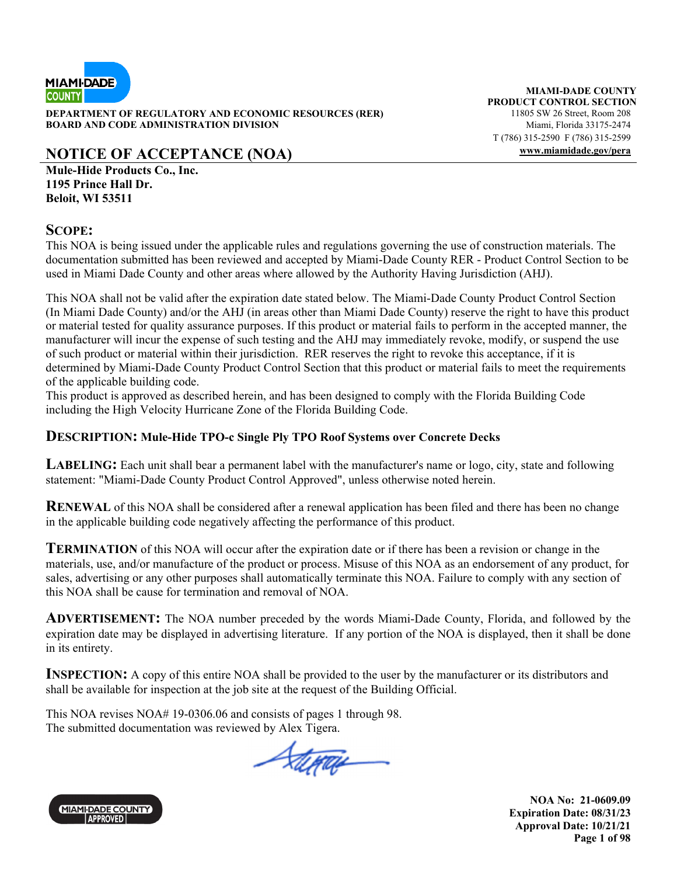

**DEPARTMENT OF REGULATORY AND ECONOMIC RESOURCES (RER)** 11805 SW 26 Street, Room 208 **BOARD AND CODE ADMINISTRATION DIVISION Miami, Florida 33175-2474** 

# **NOTICE OF ACCEPTANCE (NOA) www.miamidade.gov/pera**

**Mule-Hide Products Co., Inc. 1195 Prince Hall Dr. Beloit, WI 53511** 

# **SCOPE:**

This NOA is being issued under the applicable rules and regulations governing the use of construction materials. The documentation submitted has been reviewed and accepted by Miami-Dade County RER - Product Control Section to be used in Miami Dade County and other areas where allowed by the Authority Having Jurisdiction (AHJ).

This NOA shall not be valid after the expiration date stated below. The Miami-Dade County Product Control Section (In Miami Dade County) and/or the AHJ (in areas other than Miami Dade County) reserve the right to have this product or material tested for quality assurance purposes. If this product or material fails to perform in the accepted manner, the manufacturer will incur the expense of such testing and the AHJ may immediately revoke, modify, or suspend the use of such product or material within their jurisdiction. RER reserves the right to revoke this acceptance, if it is determined by Miami-Dade County Product Control Section that this product or material fails to meet the requirements of the applicable building code.

This product is approved as described herein, and has been designed to comply with the Florida Building Code including the High Velocity Hurricane Zone of the Florida Building Code.

## **DESCRIPTION: Mule-Hide TPO-c Single Ply TPO Roof Systems over Concrete Decks**

**LABELING:** Each unit shall bear a permanent label with the manufacturer's name or logo, city, state and following statement: "Miami-Dade County Product Control Approved", unless otherwise noted herein.

**RENEWAL** of this NOA shall be considered after a renewal application has been filed and there has been no change in the applicable building code negatively affecting the performance of this product.

**TERMINATION** of this NOA will occur after the expiration date or if there has been a revision or change in the materials, use, and/or manufacture of the product or process. Misuse of this NOA as an endorsement of any product, for sales, advertising or any other purposes shall automatically terminate this NOA. Failure to comply with any section of this NOA shall be cause for termination and removal of NOA.

**ADVERTISEMENT:** The NOA number preceded by the words Miami-Dade County, Florida, and followed by the expiration date may be displayed in advertising literature. If any portion of the NOA is displayed, then it shall be done in its entirety.

**INSPECTION:** A copy of this entire NOA shall be provided to the user by the manufacturer or its distributors and shall be available for inspection at the job site at the request of the Building Official.

This NOA revises NOA# 19-0306.06 and consists of pages 1 through 98. The submitted documentation was reviewed by Alex Tigera.

Stera



**MIAMI-DADE COUNTY PRODUCT CONTROL SECTION** T (786) 315-2590 F (786) 315-2599

> **NOA No: 21-0609.09 Expiration Date: 08/31/23 Approval Date: 10/21/21 Page 1 of 98**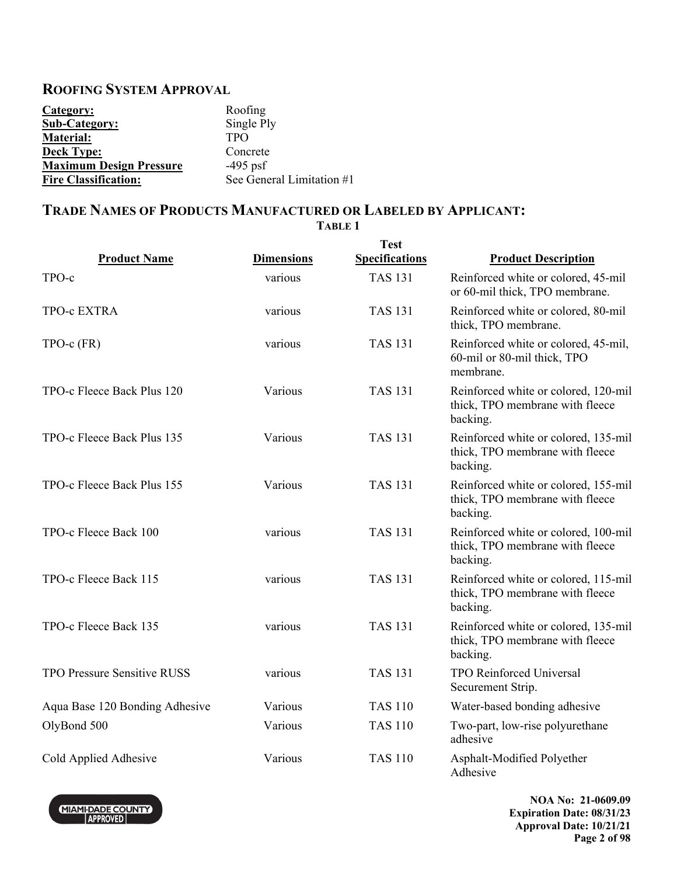# **ROOFING SYSTEM APPROVAL**

| Category:                      | Roofing                   |
|--------------------------------|---------------------------|
| <b>Sub-Category:</b>           | Single Ply                |
| Material:                      | <b>TPO</b>                |
| <b>Deck Type:</b>              | Concrete                  |
| <b>Maximum Design Pressure</b> | $-495$ psf                |
| <b>Fire Classification:</b>    | See General Limitation #1 |

## **TRADE NAMES OF PRODUCTS MANUFACTURED OR LABELED BY APPLICANT: TABLE 1**

|                                |                   | <b>Test</b>           |                                                                                     |
|--------------------------------|-------------------|-----------------------|-------------------------------------------------------------------------------------|
| <b>Product Name</b>            | <b>Dimensions</b> | <b>Specifications</b> | <b>Product Description</b>                                                          |
| TPO-c                          | various           | <b>TAS 131</b>        | Reinforced white or colored, 45-mil<br>or 60-mil thick, TPO membrane.               |
| TPO-c EXTRA                    | various           | <b>TAS 131</b>        | Reinforced white or colored, 80-mil<br>thick, TPO membrane.                         |
| $TPO-c$ $(FR)$                 | various           | <b>TAS 131</b>        | Reinforced white or colored, 45-mil,<br>60-mil or 80-mil thick, TPO<br>membrane.    |
| TPO-c Fleece Back Plus 120     | Various           | <b>TAS 131</b>        | Reinforced white or colored, 120-mil<br>thick, TPO membrane with fleece<br>backing. |
| TPO-c Fleece Back Plus 135     | Various           | <b>TAS 131</b>        | Reinforced white or colored, 135-mil<br>thick, TPO membrane with fleece<br>backing. |
| TPO-c Fleece Back Plus 155     | Various           | <b>TAS 131</b>        | Reinforced white or colored, 155-mil<br>thick, TPO membrane with fleece<br>backing. |
| TPO-c Fleece Back 100          | various           | <b>TAS 131</b>        | Reinforced white or colored, 100-mil<br>thick, TPO membrane with fleece<br>backing. |
| TPO-c Fleece Back 115          | various           | <b>TAS 131</b>        | Reinforced white or colored, 115-mil<br>thick, TPO membrane with fleece<br>backing. |
| TPO-c Fleece Back 135          | various           | <b>TAS 131</b>        | Reinforced white or colored, 135-mil<br>thick, TPO membrane with fleece<br>backing. |
| TPO Pressure Sensitive RUSS    | various           | <b>TAS 131</b>        | <b>TPO Reinforced Universal</b><br>Securement Strip.                                |
| Aqua Base 120 Bonding Adhesive | Various           | <b>TAS 110</b>        | Water-based bonding adhesive                                                        |
| OlyBond 500                    | Various           | <b>TAS 110</b>        | Two-part, low-rise polyurethane<br>adhesive                                         |
| Cold Applied Adhesive          | Various           | <b>TAS 110</b>        | Asphalt-Modified Polyether<br>Adhesive                                              |



**NOA No: 21-0609.09 Expiration Date: 08/31/23 Approval Date: 10/21/21 Page 2 of 98**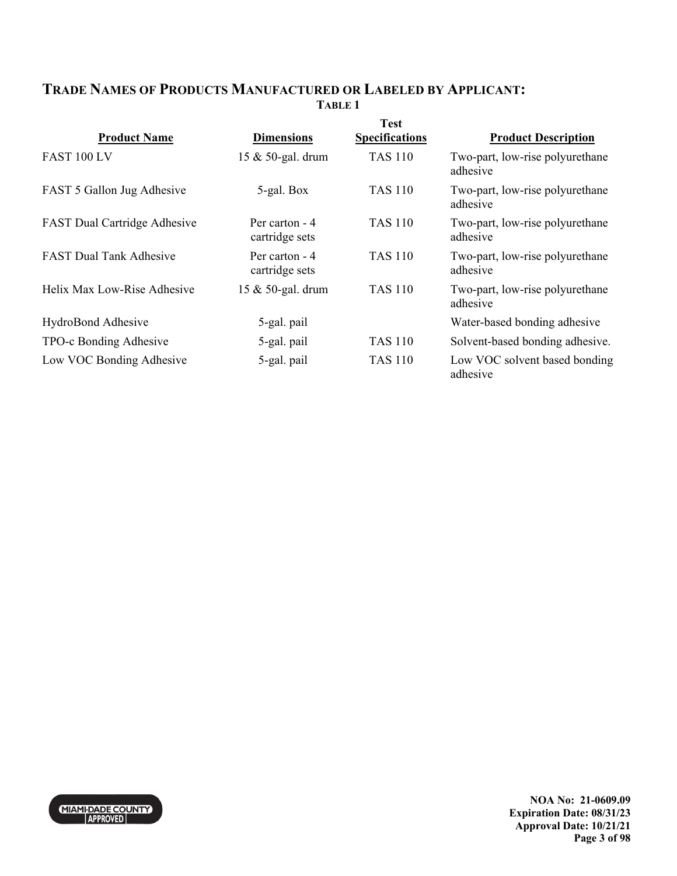# **TRADE NAMES OF PRODUCTS MANUFACTURED OR LABELED BY APPLICANT: TABLE 1**

| <b>Product Name</b>                 | <b>Dimensions</b>                | <b>Test</b><br><b>Specifications</b> | <b>Product Description</b>                  |
|-------------------------------------|----------------------------------|--------------------------------------|---------------------------------------------|
| FAST 100 LV                         | 15 & 50-gal. drum                | <b>TAS 110</b>                       | Two-part, low-rise polyurethane<br>adhesive |
| FAST 5 Gallon Jug Adhesive          | 5-gal. Box                       | <b>TAS 110</b>                       | Two-part, low-rise polyurethane<br>adhesive |
| <b>FAST Dual Cartridge Adhesive</b> | Per carton - 4<br>cartridge sets | <b>TAS 110</b>                       | Two-part, low-rise polyurethane<br>adhesive |
| <b>FAST Dual Tank Adhesive</b>      | Per carton - 4<br>cartridge sets | TAS 110                              | Two-part, low-rise polyurethane<br>adhesive |
| Helix Max Low-Rise Adhesive         | 15 & 50-gal. drum                | <b>TAS 110</b>                       | Two-part, low-rise polyurethane<br>adhesive |
| HydroBond Adhesive                  | 5-gal. pail                      |                                      | Water-based bonding adhesive                |
| TPO-c Bonding Adhesive              | 5-gal. pail                      | <b>TAS 110</b>                       | Solvent-based bonding adhesive.             |
| Low VOC Bonding Adhesive            | 5-gal. pail                      | <b>TAS 110</b>                       | Low VOC solvent based bonding<br>adhesive   |



**NOA No: 21-0609.09 Expiration Date: 08/31/23 Approval Date: 10/21/21 Page 3 of 98**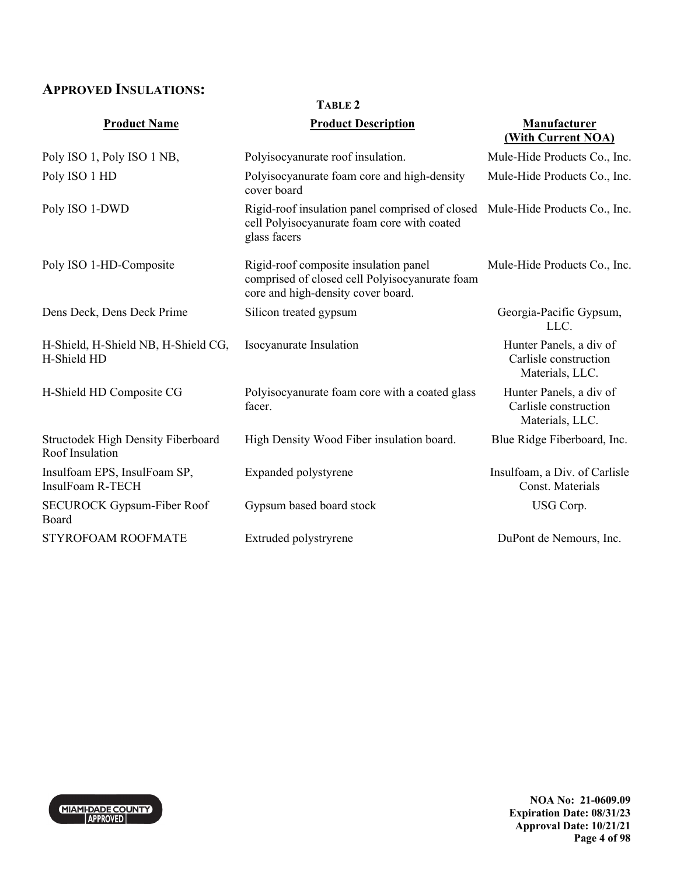# **APPROVED INSULATIONS:**

| <b>Product Name</b>                                          | <b>Product Description</b>                                                                                                    | <b>Manufacturer</b><br>(With Current NOA)                           |
|--------------------------------------------------------------|-------------------------------------------------------------------------------------------------------------------------------|---------------------------------------------------------------------|
|                                                              |                                                                                                                               |                                                                     |
| Poly ISO 1, Poly ISO 1 NB,                                   | Polyisocyanurate roof insulation.                                                                                             | Mule-Hide Products Co., Inc.                                        |
| Poly ISO 1 HD                                                | Polyisocyanurate foam core and high-density<br>cover board                                                                    | Mule-Hide Products Co., Inc.                                        |
| Poly ISO 1-DWD                                               | Rigid-roof insulation panel comprised of closed<br>cell Polyisocyanurate foam core with coated<br>glass facers                | Mule-Hide Products Co., Inc.                                        |
| Poly ISO 1-HD-Composite                                      | Rigid-roof composite insulation panel<br>comprised of closed cell Polyisocyanurate foam<br>core and high-density cover board. | Mule-Hide Products Co., Inc.                                        |
| Dens Deck, Dens Deck Prime                                   | Silicon treated gypsum                                                                                                        | Georgia-Pacific Gypsum,<br>LLC.                                     |
| H-Shield, H-Shield NB, H-Shield CG,<br>H-Shield HD           | Isocyanurate Insulation                                                                                                       | Hunter Panels, a div of<br>Carlisle construction<br>Materials, LLC. |
| H-Shield HD Composite CG                                     | Polyisocyanurate foam core with a coated glass<br>facer.                                                                      | Hunter Panels, a div of<br>Carlisle construction<br>Materials, LLC. |
| <b>Structodek High Density Fiberboard</b><br>Roof Insulation | High Density Wood Fiber insulation board.                                                                                     | Blue Ridge Fiberboard, Inc.                                         |
| Insulfoam EPS, InsulFoam SP,<br>InsulFoam R-TECH             | Expanded polystyrene                                                                                                          | Insulfoam, a Div. of Carlisle<br>Const. Materials                   |
| <b>SECUROCK Gypsum-Fiber Roof</b><br>Board                   | Gypsum based board stock                                                                                                      | USG Corp.                                                           |
| STYROFOAM ROOFMATE                                           | Extruded polystryrene                                                                                                         | DuPont de Nemours, Inc.                                             |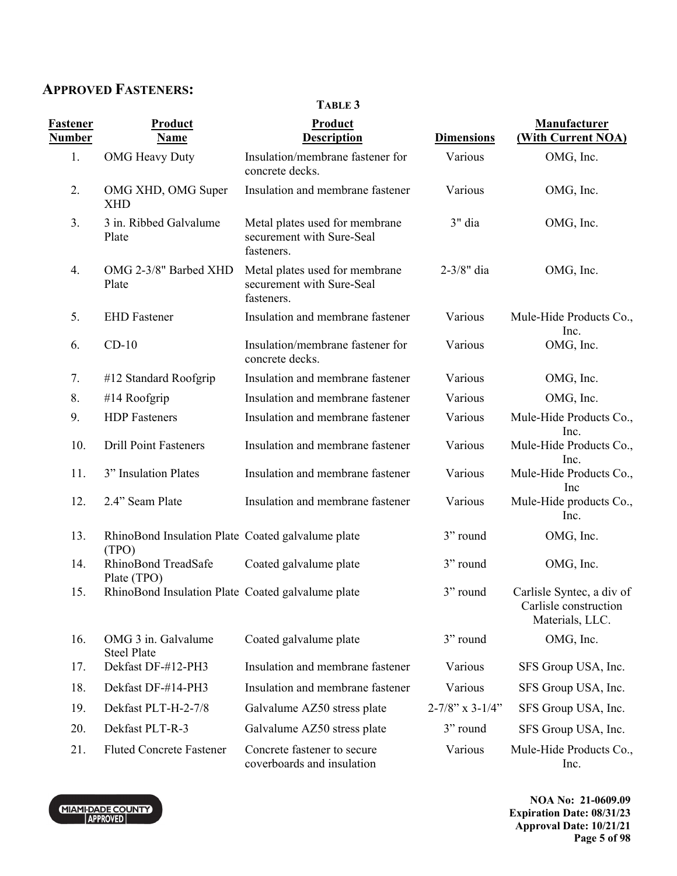# **APPROVED FASTENERS:**

## **TABLE 3**

| <b>Fastener</b><br><b>Number</b> | <b>Product</b><br><b>Name</b>                              | <b>Product</b><br><b>Description</b>                                      | <b>Dimensions</b>         | Manufacturer<br>(With Current NOA)                                    |
|----------------------------------|------------------------------------------------------------|---------------------------------------------------------------------------|---------------------------|-----------------------------------------------------------------------|
| 1.                               | <b>OMG</b> Heavy Duty                                      | Insulation/membrane fastener for<br>concrete decks.                       | Various                   | OMG, Inc.                                                             |
| 2.                               | OMG XHD, OMG Super<br>XHD                                  | Insulation and membrane fastener                                          | Various                   | OMG, Inc.                                                             |
| 3.                               | 3 in. Ribbed Galvalume<br>Plate                            | Metal plates used for membrane<br>securement with Sure-Seal<br>fasteners. | 3" dia                    | OMG, Inc.                                                             |
| 4.                               | OMG 2-3/8" Barbed XHD<br>Plate                             | Metal plates used for membrane<br>securement with Sure-Seal<br>fasteners. | 2-3/8" dia                | OMG, Inc.                                                             |
| 5.                               | <b>EHD</b> Fastener                                        | Insulation and membrane fastener                                          | Various                   | Mule-Hide Products Co.,<br>Inc.                                       |
| 6.                               | $CD-10$                                                    | Insulation/membrane fastener for<br>concrete decks.                       | Various                   | OMG, Inc.                                                             |
| 7.                               | #12 Standard Roofgrip                                      | Insulation and membrane fastener                                          | Various                   | OMG, Inc.                                                             |
| 8.                               | #14 Roofgrip                                               | Insulation and membrane fastener                                          | Various                   | OMG, Inc.                                                             |
| 9.                               | <b>HDP</b> Fasteners                                       | Insulation and membrane fastener                                          | Various                   | Mule-Hide Products Co.,<br>Inc.                                       |
| 10.                              | <b>Drill Point Fasteners</b>                               | Insulation and membrane fastener                                          | Various                   | Mule-Hide Products Co.,<br>Inc.                                       |
| 11.                              | 3" Insulation Plates                                       | Insulation and membrane fastener                                          | Various                   | Mule-Hide Products Co.,<br>Inc                                        |
| 12.                              | 2.4" Seam Plate                                            | Insulation and membrane fastener                                          | Various                   | Mule-Hide products Co.,<br>Inc.                                       |
| 13.                              | RhinoBond Insulation Plate Coated galvalume plate<br>(TPO) |                                                                           | 3" round                  | OMG, Inc.                                                             |
| 14.                              | RhinoBond TreadSafe<br>Plate (TPO)                         | Coated galvalume plate                                                    | 3" round                  | OMG, Inc.                                                             |
| 15.                              | RhinoBond Insulation Plate Coated galvalume plate          |                                                                           | 3" round                  | Carlisle Syntec, a div of<br>Carlisle construction<br>Materials, LLC. |
| 16.                              | OMG 3 in. Galvalume<br><b>Steel Plate</b>                  | Coated galvalume plate                                                    | 3" round                  | OMG, Inc.                                                             |
| 17.                              | Dekfast DF-#12-PH3                                         | Insulation and membrane fastener                                          | Various                   | SFS Group USA, Inc.                                                   |
| 18.                              | Dekfast DF-#14-PH3                                         | Insulation and membrane fastener                                          | Various                   | SFS Group USA, Inc.                                                   |
| 19.                              | Dekfast PLT-H-2-7/8                                        | Galvalume AZ50 stress plate                                               | $2 - 7/8$ " x $3 - 1/4$ " | SFS Group USA, Inc.                                                   |
| 20.                              | Dekfast PLT-R-3                                            | Galvalume AZ50 stress plate                                               | 3" round                  | SFS Group USA, Inc.                                                   |
| 21.                              | <b>Fluted Concrete Fastener</b>                            | Concrete fastener to secure<br>coverboards and insulation                 | Various                   | Mule-Hide Products Co.,<br>Inc.                                       |



**NOA No: 21-0609.09 Expiration Date: 08/31/23 Approval Date: 10/21/21 Page 5 of 98**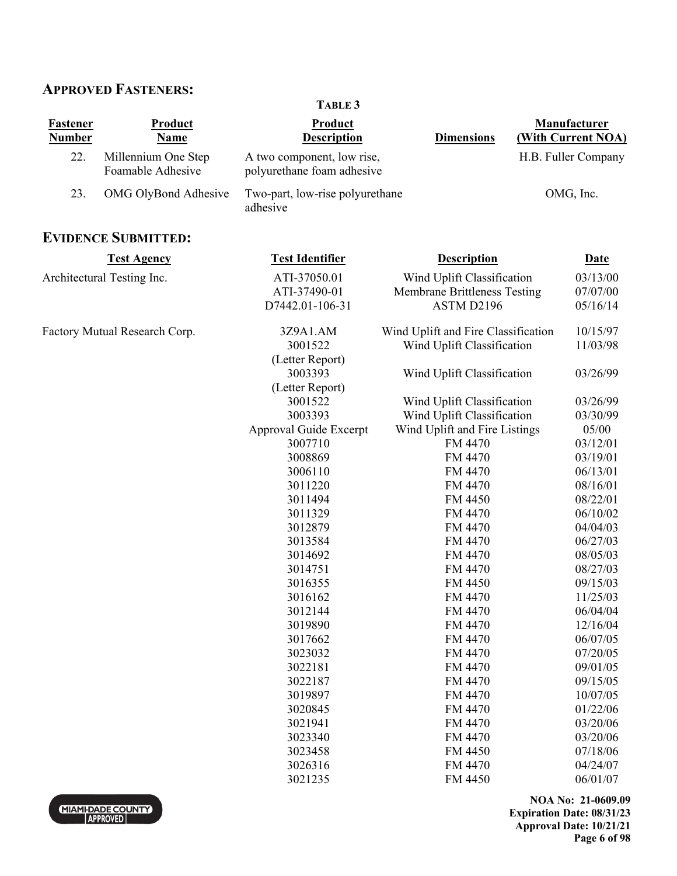# **APPROVED FASTENERS:**

| <b>Fastener</b><br><b>Number</b> | <b>Product</b><br>Name                   | Product<br><b>Description</b>                            | <b>Dimensions</b>                   | <b>Manufacturer</b><br>(With Current NOA) |
|----------------------------------|------------------------------------------|----------------------------------------------------------|-------------------------------------|-------------------------------------------|
| 22.                              | Millennium One Step<br>Foamable Adhesive | A two component, low rise,<br>polyurethane foam adhesive |                                     | H.B. Fuller Company                       |
| 23.                              | OMG OlyBond Adhesive                     | Two-part, low-rise polyurethane<br>adhesive              |                                     | OMG, Inc.                                 |
|                                  | <b>EVIDENCE SUBMITTED:</b>               |                                                          |                                     |                                           |
|                                  | <b>Test Agency</b>                       | <b>Test Identifier</b>                                   | <b>Description</b>                  | <b>Date</b>                               |
|                                  | Architectural Testing Inc.               | ATI-37050.01                                             | Wind Uplift Classification          | 03/13/00                                  |
|                                  |                                          | ATI-37490-01                                             | Membrane Brittleness Testing        | 07/07/00                                  |
|                                  |                                          | D7442.01-106-31                                          | ASTM D2196                          | 05/16/14                                  |
|                                  | Factory Mutual Research Corp.            | 3Z9A1.AM                                                 | Wind Uplift and Fire Classification | 10/15/97                                  |
|                                  |                                          | 3001522                                                  | Wind Uplift Classification          | 11/03/98                                  |
|                                  |                                          | (Letter Report)                                          |                                     |                                           |
|                                  |                                          | 3003393                                                  | Wind Uplift Classification          | 03/26/99                                  |
|                                  |                                          | (Letter Report)                                          |                                     |                                           |
|                                  |                                          | 3001522                                                  | Wind Uplift Classification          | 03/26/99                                  |
|                                  |                                          | 3003393                                                  | Wind Uplift Classification          | 03/30/99                                  |
|                                  |                                          | Approval Guide Excerpt                                   | Wind Uplift and Fire Listings       | 05/00                                     |
|                                  |                                          | 3007710                                                  | FM 4470                             | 03/12/01                                  |
|                                  |                                          | 3008869                                                  | FM 4470                             | 03/19/01                                  |
|                                  |                                          | 3006110                                                  | FM 4470                             | 06/13/01                                  |
|                                  |                                          | 3011220                                                  | FM 4470                             | 08/16/01                                  |
|                                  |                                          | 3011494                                                  | FM 4450                             | 08/22/01                                  |
|                                  |                                          | 3011329                                                  | FM 4470                             | 06/10/02                                  |
|                                  |                                          | 3012879                                                  | FM 4470                             | 04/04/03                                  |
|                                  |                                          | 3013584                                                  | FM 4470                             | 06/27/03                                  |
|                                  |                                          | 3014692                                                  | FM 4470                             | 08/05/03                                  |
|                                  |                                          | 3014751                                                  | FM 4470                             | 08/27/03                                  |
|                                  |                                          | 3016355                                                  | FM 4450                             | 09/15/03                                  |
|                                  |                                          | 3016162                                                  | FM 4470                             | 11/25/03                                  |
|                                  |                                          | 3012144                                                  | FM 4470                             | 06/04/04                                  |
|                                  |                                          | 3019890                                                  | FM 4470                             | 12/16/04                                  |
|                                  |                                          | 3017662                                                  | FM 4470                             | 06/07/05                                  |
|                                  |                                          | 3023032                                                  | FM 4470                             | 07/20/05                                  |
|                                  |                                          | 3022181                                                  | FM 4470                             | 09/01/05                                  |
|                                  |                                          | 3022187                                                  | FM 4470                             | 09/15/05                                  |
|                                  |                                          | 3019897                                                  | FM 4470                             | 10/07/05                                  |
|                                  |                                          | 3020845                                                  | FM 4470                             | 01/22/06                                  |
|                                  |                                          | 3021941                                                  | FM 4470                             | 03/20/06                                  |
|                                  |                                          | 3023340                                                  | FM 4470                             | 03/20/06                                  |
|                                  |                                          | 3023458                                                  | FM 4450                             | 07/18/06                                  |

 3026316 FM 4470 04/24/07 3021235 FM 4450 06/01/07

**TABLE 3** 

**NOA No: 21-0609.09 Expiration Date: 08/31/23 Approval Date: 10/21/21 Page 6 of 98** 

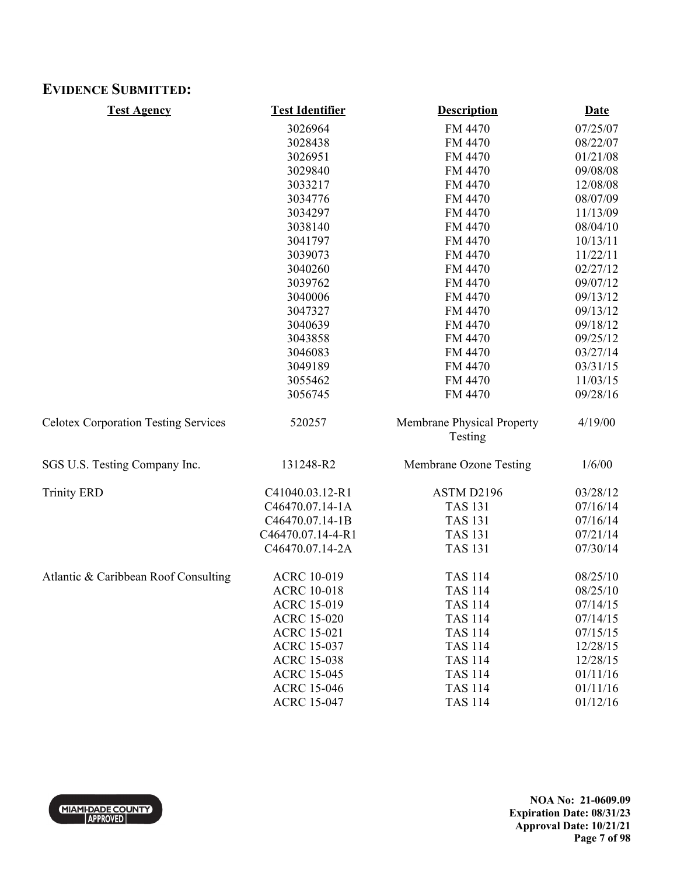# **EVIDENCE SUBMITTED:**

| <b>Test Agency</b>                          | <b>Test Identifier</b> | <b>Description</b>                    | <b>Date</b> |
|---------------------------------------------|------------------------|---------------------------------------|-------------|
|                                             | 3026964                | FM 4470                               | 07/25/07    |
|                                             | 3028438                | FM 4470                               | 08/22/07    |
|                                             | 3026951                | FM 4470                               | 01/21/08    |
|                                             | 3029840                | FM 4470                               | 09/08/08    |
|                                             | 3033217                | FM 4470                               | 12/08/08    |
|                                             | 3034776                | FM 4470                               | 08/07/09    |
|                                             | 3034297                | FM 4470                               | 11/13/09    |
|                                             | 3038140                | FM 4470                               | 08/04/10    |
|                                             | 3041797                | FM 4470                               | 10/13/11    |
|                                             | 3039073                | FM 4470                               | 11/22/11    |
|                                             | 3040260                | FM 4470                               | 02/27/12    |
|                                             | 3039762                | FM 4470                               | 09/07/12    |
|                                             | 3040006                | FM 4470                               | 09/13/12    |
|                                             | 3047327                | FM 4470                               | 09/13/12    |
|                                             | 3040639                | FM 4470                               | 09/18/12    |
|                                             | 3043858                | FM 4470                               | 09/25/12    |
|                                             | 3046083                | FM 4470                               | 03/27/14    |
|                                             | 3049189                | FM 4470                               | 03/31/15    |
|                                             | 3055462                | FM 4470                               | 11/03/15    |
|                                             | 3056745                | FM 4470                               | 09/28/16    |
| <b>Celotex Corporation Testing Services</b> | 520257                 | Membrane Physical Property<br>Testing | 4/19/00     |
| SGS U.S. Testing Company Inc.               | 131248-R2              | Membrane Ozone Testing                | 1/6/00      |
| <b>Trinity ERD</b>                          | C41040.03.12-R1        | ASTM D2196                            | 03/28/12    |
|                                             | C46470.07.14-1A        | <b>TAS 131</b>                        | 07/16/14    |
|                                             | C46470.07.14-1B        | <b>TAS 131</b>                        | 07/16/14    |
|                                             | C46470.07.14-4-R1      | <b>TAS 131</b>                        | 07/21/14    |
|                                             | C46470.07.14-2A        | <b>TAS 131</b>                        | 07/30/14    |
| Atlantic & Caribbean Roof Consulting        | <b>ACRC 10-019</b>     | <b>TAS 114</b>                        | 08/25/10    |
|                                             | <b>ACRC 10-018</b>     | <b>TAS 114</b>                        | 08/25/10    |
|                                             | <b>ACRC 15-019</b>     | <b>TAS 114</b>                        | 07/14/15    |
|                                             | <b>ACRC 15-020</b>     | <b>TAS 114</b>                        | 07/14/15    |
|                                             | <b>ACRC 15-021</b>     | <b>TAS 114</b>                        | 07/15/15    |
|                                             | <b>ACRC 15-037</b>     | <b>TAS 114</b>                        | 12/28/15    |
|                                             | <b>ACRC 15-038</b>     | <b>TAS 114</b>                        | 12/28/15    |
|                                             | <b>ACRC 15-045</b>     | <b>TAS 114</b>                        | 01/11/16    |
|                                             | <b>ACRC 15-046</b>     | <b>TAS 114</b>                        | 01/11/16    |
|                                             | <b>ACRC 15-047</b>     | <b>TAS 114</b>                        | 01/12/16    |

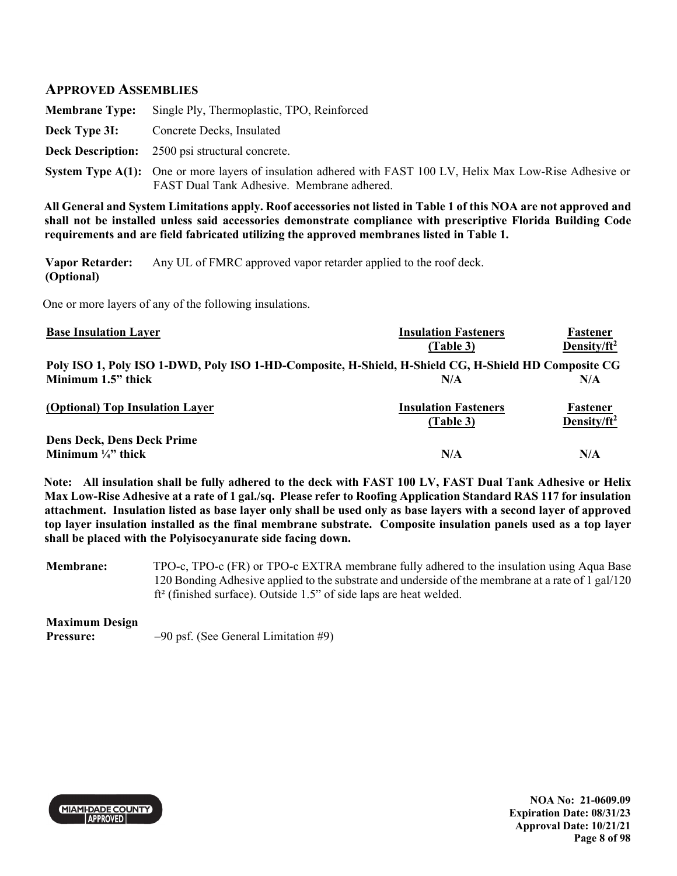## **APPROVED ASSEMBLIES**

|               | <b>Membrane Type:</b> Single Ply, Thermoplastic, TPO, Reinforced                                                                                                 |
|---------------|------------------------------------------------------------------------------------------------------------------------------------------------------------------|
| Deck Type 3I: | Concrete Decks, Insulated                                                                                                                                        |
|               | <b>Deck Description:</b> 2500 psi structural concrete.                                                                                                           |
|               | <b>System Type A(1):</b> One or more layers of insulation adhered with FAST 100 LV, Helix Max Low-Rise Adhesive or<br>FAST Dual Tank Adhesive. Membrane adhered. |

**All General and System Limitations apply. Roof accessories not listed in Table 1 of this NOA are not approved and shall not be installed unless said accessories demonstrate compliance with prescriptive Florida Building Code requirements and are field fabricated utilizing the approved membranes listed in Table 1.** 

**Vapor Retarder: (Optional)**  Any UL of FMRC approved vapor retarder applied to the roof deck.

One or more layers of any of the following insulations.

| <b>Base Insulation Layer</b>                                                                         | <b>Insulation Fasteners</b> | Fastener                |
|------------------------------------------------------------------------------------------------------|-----------------------------|-------------------------|
|                                                                                                      | (Table 3)                   | Density/ $ft^2$         |
| Poly ISO 1, Poly ISO 1-DWD, Poly ISO 1-HD-Composite, H-Shield, H-Shield CG, H-Shield HD Composite CG |                             |                         |
| Minimum 1.5" thick                                                                                   | N/A                         | N/A                     |
| (Optional) Top Insulation Layer                                                                      | <b>Insulation Fasteners</b> | Fastener                |
|                                                                                                      | (Table 3)                   | Density/ft <sup>2</sup> |
| <b>Dens Deck, Dens Deck Prime</b>                                                                    |                             |                         |
| Minimum $\frac{1}{4}$ thick                                                                          | N/A                         | N/A                     |

**Note: All insulation shall be fully adhered to the deck with FAST 100 LV, FAST Dual Tank Adhesive or Helix Max Low-Rise Adhesive at a rate of 1 gal./sq. Please refer to Roofing Application Standard RAS 117 for insulation attachment. Insulation listed as base layer only shall be used only as base layers with a second layer of approved top layer insulation installed as the final membrane substrate. Composite insulation panels used as a top layer shall be placed with the Polyisocyanurate side facing down.** 

**Membrane:** TPO-c, TPO-c (FR) or TPO-c EXTRA membrane fully adhered to the insulation using Aqua Base 120 Bonding Adhesive applied to the substrate and underside of the membrane at a rate of 1 gal/120 ft² (finished surface). Outside 1.5" of side laps are heat welded.

#### **Maximum Design**

**Pressure:**  $-90$  psf. (See General Limitation #9)



**NOA No: 21-0609.09 Expiration Date: 08/31/23 Approval Date: 10/21/21 Page 8 of 98**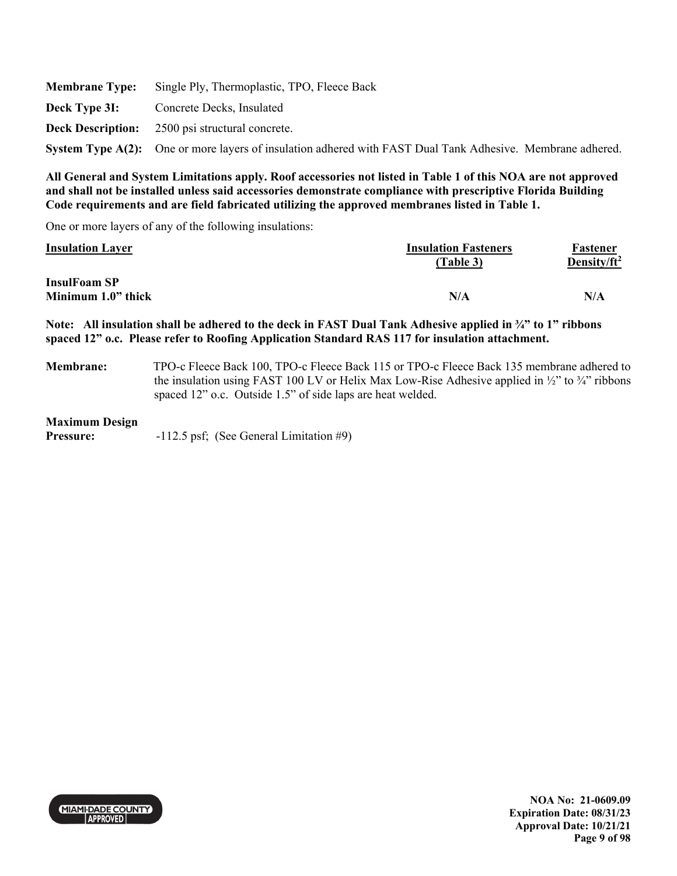|               | <b>Membrane Type:</b> Single Ply, Thermoplastic, TPO, Fleece Back                                          |
|---------------|------------------------------------------------------------------------------------------------------------|
| Deck Type 3I: | Concrete Decks, Insulated                                                                                  |
|               | <b>Deck Description:</b> 2500 psi structural concrete.                                                     |
|               | System Type A(2): One or more layers of insulation adhered with FAST Dual Tank Adhesive. Membrane adhered. |

One or more layers of any of the following insulations:

| <b>Insulation Layer</b> | <b>Insulation Fasteners</b><br>(Table 3) | Fastener<br>Density/ft <sup>2</sup> |
|-------------------------|------------------------------------------|-------------------------------------|
| <b>InsulFoam SP</b>     |                                          |                                     |
| Minimum 1.0" thick      | N/A                                      | N/A                                 |

**Note: All insulation shall be adhered to the deck in FAST Dual Tank Adhesive applied in ¾" to 1" ribbons spaced 12" o.c. Please refer to Roofing Application Standard RAS 117 for insulation attachment.** 

**Membrane:** TPO-c Fleece Back 100, TPO-c Fleece Back 115 or TPO-c Fleece Back 135 membrane adhered to the insulation using FAST 100 LV or Helix Max Low-Rise Adhesive applied in  $\frac{1}{2}$  to  $\frac{3}{4}$  ribbons spaced 12" o.c. Outside 1.5" of side laps are heat welded.

#### **Maximum Design**

**Pressure:** -112.5 psf; (See General Limitation #9)

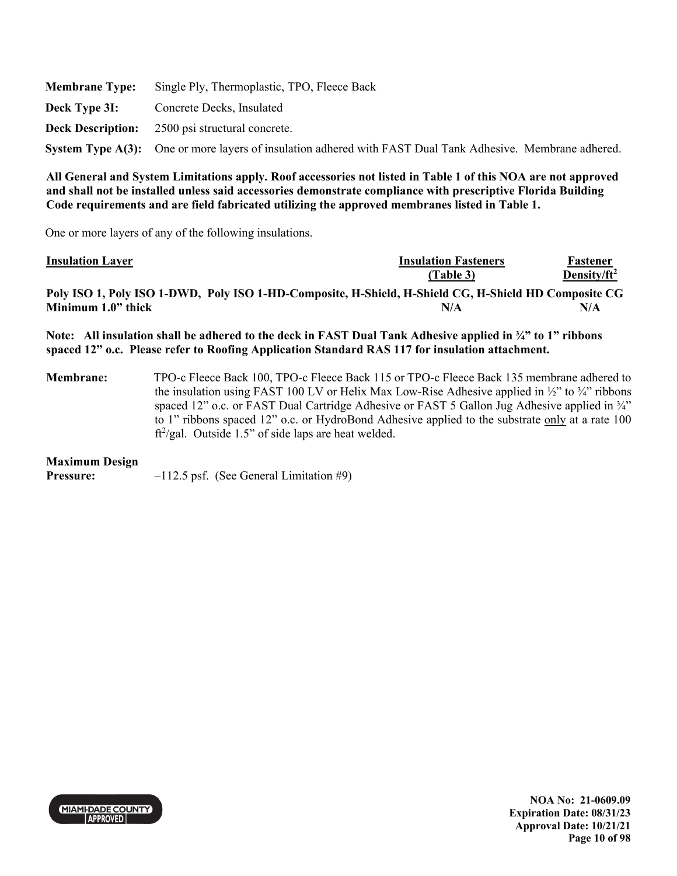|               | <b>Membrane Type:</b> Single Ply, Thermoplastic, TPO, Fleece Back                                          |
|---------------|------------------------------------------------------------------------------------------------------------|
| Deck Type 31: | Concrete Decks, Insulated                                                                                  |
|               | <b>Deck Description:</b> 2500 psi structural concrete.                                                     |
|               | System Type A(3): One or more layers of insulation adhered with FAST Dual Tank Adhesive. Membrane adhered. |

One or more layers of any of the following insulations.

| <b>Insulation Layer</b>                                                                                                                                                                                                  | <b>Insulation Fasteners</b> | Fastener        |
|--------------------------------------------------------------------------------------------------------------------------------------------------------------------------------------------------------------------------|-----------------------------|-----------------|
|                                                                                                                                                                                                                          | (Table 3)                   | Density/ $ft^2$ |
| Poly ISO 1, Poly ISO 1-DWD, Poly ISO 1-HD-Composite, H-Shield, H-Shield CG, H-Shield HD Composite CG                                                                                                                     |                             |                 |
| Minimum 1.0" thick                                                                                                                                                                                                       | N/A                         | N/A             |
| Note: All insulation shall be adhered to the deck in FAST Dual Tank Adhesive applied in $\frac{3}{4}$ " to 1" ribbons<br>spaced 12" o.c. Please refer to Roofing Application Standard RAS 117 for insulation attachment. |                             |                 |

**Membrane:** TPO-c Fleece Back 100, TPO-c Fleece Back 115 or TPO-c Fleece Back 135 membrane adhered to the insulation using FAST 100 LV or Helix Max Low-Rise Adhesive applied in  $\frac{1}{2}$  to  $\frac{3}{4}$ " ribbons spaced 12" o.c. or FAST Dual Cartridge Adhesive or FAST 5 Gallon Jug Adhesive applied in  $\frac{3}{4}$ " to 1" ribbons spaced 12" o.c. or HydroBond Adhesive applied to the substrate only at a rate 100  $ft^2/gal$ . Outside 1.5" of side laps are heat welded.

### **Maximum Design**

**Pressure:**  $-112.5$  psf. (See General Limitation #9)

**MIAMI-DADE COUNTY APPROVED**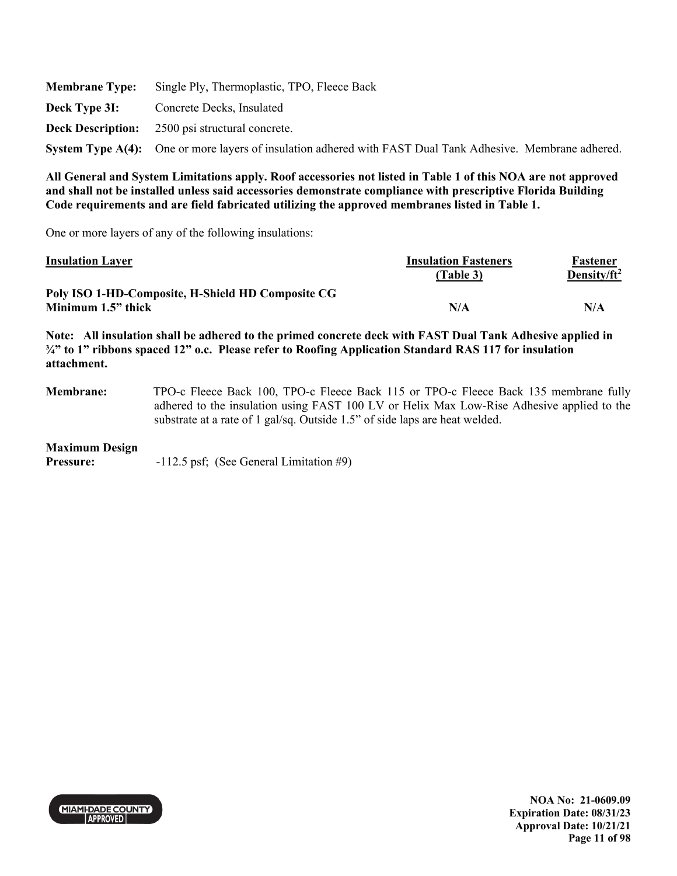|               | <b>Membrane Type:</b> Single Ply, Thermoplastic, TPO, Fleece Back                                          |
|---------------|------------------------------------------------------------------------------------------------------------|
| Deck Type 3I: | Concrete Decks, Insulated                                                                                  |
|               | <b>Deck Description:</b> 2500 psi structural concrete.                                                     |
|               | System Type A(4): One or more layers of insulation adhered with FAST Dual Tank Adhesive. Membrane adhered. |

One or more layers of any of the following insulations:

| <b>Insulation Layer</b>                           | <b>Insulation Fasteners</b> | Fastener                |
|---------------------------------------------------|-----------------------------|-------------------------|
|                                                   | (Table 3)                   | Density/ft <sup>2</sup> |
| Poly ISO 1-HD-Composite, H-Shield HD Composite CG |                             |                         |
| Minimum 1.5" thick                                | N/A                         | N/A                     |

**Note: All insulation shall be adhered to the primed concrete deck with FAST Dual Tank Adhesive applied in ¾" to 1" ribbons spaced 12" o.c. Please refer to Roofing Application Standard RAS 117 for insulation attachment.** 

**Membrane:** TPO-c Fleece Back 100, TPO-c Fleece Back 115 or TPO-c Fleece Back 135 membrane fully adhered to the insulation using FAST 100 LV or Helix Max Low-Rise Adhesive applied to the substrate at a rate of 1 gal/sq. Outside 1.5" of side laps are heat welded.

### **Maximum Design**

**Pressure:** -112.5 psf; (See General Limitation #9)



**NOA No: 21-0609.09 Expiration Date: 08/31/23 Approval Date: 10/21/21 Page 11 of 98**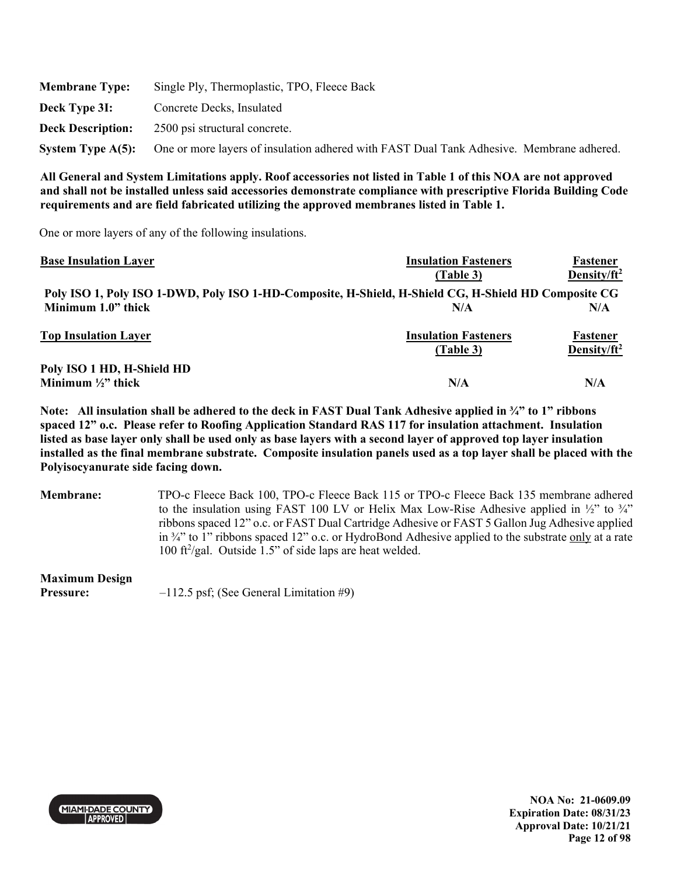| <b>Membrane Type:</b>    | Single Ply, Thermoplastic, TPO, Fleece Back                                              |
|--------------------------|------------------------------------------------------------------------------------------|
| Deck Type 3I:            | Concrete Decks, Insulated                                                                |
| <b>Deck Description:</b> | 2500 psi structural concrete.                                                            |
| System Type $A(5)$ :     | One or more layers of insulation adhered with FAST Dual Tank Adhesive. Membrane adhered. |

One or more layers of any of the following insulations.

| <b>Base Insulation Layer</b>                                                                         | <b>Insulation Fasteners</b> | Fastener        |
|------------------------------------------------------------------------------------------------------|-----------------------------|-----------------|
|                                                                                                      | (Table 3)                   | Density/ $ft^2$ |
| Poly ISO 1, Poly ISO 1-DWD, Poly ISO 1-HD-Composite, H-Shield, H-Shield CG, H-Shield HD Composite CG |                             |                 |
| Minimum 1.0" thick                                                                                   | N/A                         | N/A             |
| <b>Top Insulation Layer</b>                                                                          | <b>Insulation Fasteners</b> | <b>Fastener</b> |
|                                                                                                      | (Table 3)                   | Density/ $ft^2$ |
| Poly ISO 1 HD, H-Shield HD                                                                           |                             |                 |
| Minimum $\frac{1}{2}$ " thick                                                                        | N/A                         | N/A             |

**Note: All insulation shall be adhered to the deck in FAST Dual Tank Adhesive applied in ¾" to 1" ribbons spaced 12" o.c. Please refer to Roofing Application Standard RAS 117 for insulation attachment. Insulation listed as base layer only shall be used only as base layers with a second layer of approved top layer insulation installed as the final membrane substrate. Composite insulation panels used as a top layer shall be placed with the Polyisocyanurate side facing down.** 

**Membrane:** TPO-c Fleece Back 100, TPO-c Fleece Back 115 or TPO-c Fleece Back 135 membrane adhered to the insulation using FAST 100 LV or Helix Max Low-Rise Adhesive applied in ½" to ¾" ribbons spaced 12" o.c. or FAST Dual Cartridge Adhesive or FAST 5 Gallon Jug Adhesive applied in ¾" to 1" ribbons spaced 12" o.c. or HydroBond Adhesive applied to the substrate only at a rate 100 ft<sup>2</sup>/gal. Outside  $1.5$ " of side laps are heat welded.

**Maximum Design Pressure:**  $-112.5$  psf; (See General Limitation #9)



**NOA No: 21-0609.09 Expiration Date: 08/31/23 Approval Date: 10/21/21 Page 12 of 98**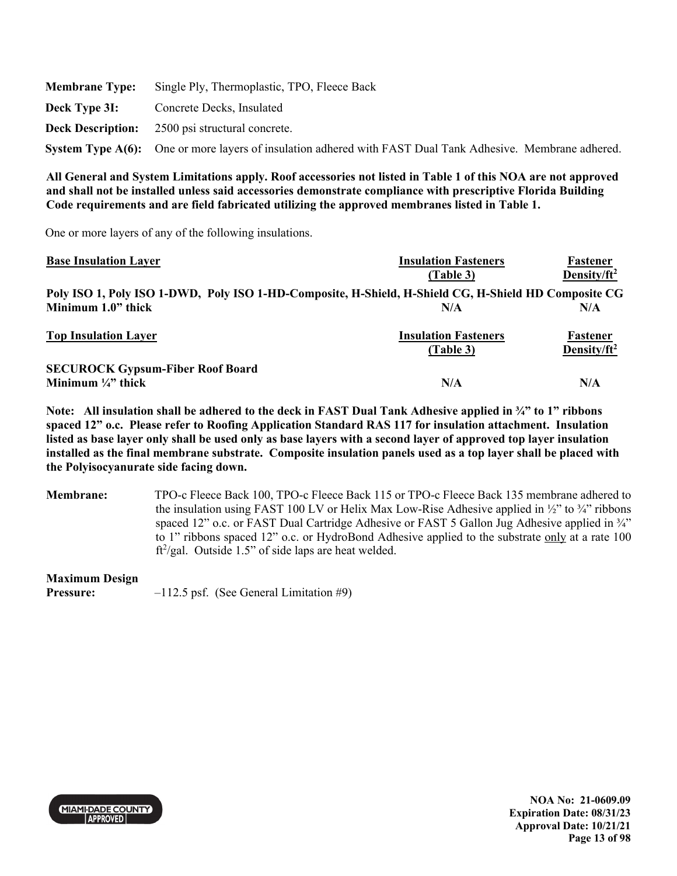|               | <b>Membrane Type:</b> Single Ply, Thermoplastic, TPO, Fleece Back                                          |
|---------------|------------------------------------------------------------------------------------------------------------|
| Deck Type 3I: | Concrete Decks, Insulated                                                                                  |
|               | <b>Deck Description:</b> 2500 psi structural concrete.                                                     |
|               | System Type A(6): One or more layers of insulation adhered with FAST Dual Tank Adhesive. Membrane adhered. |

One or more layers of any of the following insulations.

| <b>Base Insulation Layer</b>                                                                         | <b>Insulation Fasteners</b> | Fastener                |
|------------------------------------------------------------------------------------------------------|-----------------------------|-------------------------|
|                                                                                                      | (Table 3)                   | Density/ft <sup>2</sup> |
| Poly ISO 1, Poly ISO 1-DWD, Poly ISO 1-HD-Composite, H-Shield, H-Shield CG, H-Shield HD Composite CG |                             |                         |
| Minimum 1.0" thick                                                                                   | N/A                         | N/A                     |
| <b>Top Insulation Layer</b>                                                                          | <b>Insulation Fasteners</b> | <b>Fastener</b>         |
|                                                                                                      | (Table 3)                   | Density/ft <sup>2</sup> |
| <b>SECUROCK Gypsum-Fiber Roof Board</b>                                                              |                             |                         |
| Minimum $\frac{1}{4}$ " thick                                                                        | N/A                         | N/A                     |

**Note: All insulation shall be adhered to the deck in FAST Dual Tank Adhesive applied in ¾" to 1" ribbons spaced 12" o.c. Please refer to Roofing Application Standard RAS 117 for insulation attachment. Insulation listed as base layer only shall be used only as base layers with a second layer of approved top layer insulation installed as the final membrane substrate. Composite insulation panels used as a top layer shall be placed with the Polyisocyanurate side facing down.** 

**Membrane:** TPO-c Fleece Back 100, TPO-c Fleece Back 115 or TPO-c Fleece Back 135 membrane adhered to the insulation using FAST 100 LV or Helix Max Low-Rise Adhesive applied in  $\frac{1}{2}$  to  $\frac{3}{4}$  ribbons spaced 12" o.c. or FAST Dual Cartridge Adhesive or FAST 5 Gallon Jug Adhesive applied in  $\frac{3}{4}$ " to 1" ribbons spaced 12" o.c. or HydroBond Adhesive applied to the substrate only at a rate 100  $ft^2/gal$ . Outside 1.5" of side laps are heat welded.

**Maximum Design** 

**Pressure:**  $-112.5$  psf. (See General Limitation #9)

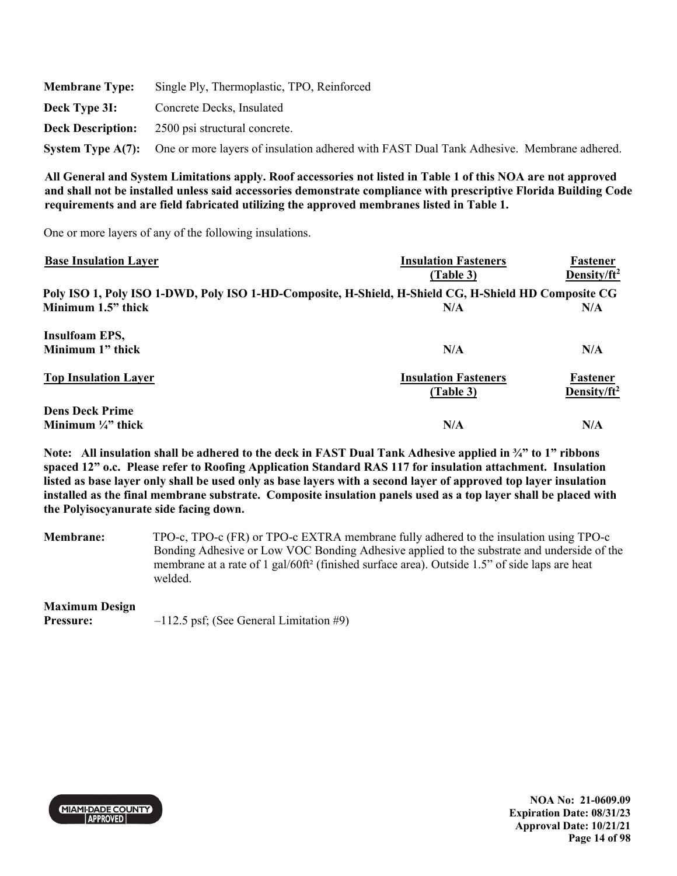| <b>Membrane Type:</b> | Single Ply, Thermoplastic, TPO, Reinforced                                                                 |
|-----------------------|------------------------------------------------------------------------------------------------------------|
| Deck Type 3I:         | Concrete Decks, Insulated                                                                                  |
|                       | <b>Deck Description:</b> 2500 psi structural concrete.                                                     |
|                       | System Type A(7): One or more layers of insulation adhered with FAST Dual Tank Adhesive. Membrane adhered. |

One or more layers of any of the following insulations.

| <b>Base Insulation Layer</b> | <b>Insulation Fasteners</b>                                                                          | Fastener                |
|------------------------------|------------------------------------------------------------------------------------------------------|-------------------------|
|                              | (Table 3)                                                                                            | Density/ $ft^2$         |
|                              | Poly ISO 1, Poly ISO 1-DWD, Poly ISO 1-HD-Composite, H-Shield, H-Shield CG, H-Shield HD Composite CG |                         |
| Minimum 1.5" thick           | N/A                                                                                                  | N/A                     |
| <b>Insulfoam EPS,</b>        |                                                                                                      |                         |
| Minimum 1" thick             | N/A                                                                                                  | N/A                     |
| <b>Top Insulation Layer</b>  | <b>Insulation Fasteners</b>                                                                          | Fastener                |
|                              | (Table 3)                                                                                            | Density/ft <sup>2</sup> |
| <b>Dens Deck Prime</b>       |                                                                                                      |                         |
| Minimum $\frac{1}{4}$ thick  | N/A                                                                                                  | N/A                     |

**Note: All insulation shall be adhered to the deck in FAST Dual Tank Adhesive applied in ¾" to 1" ribbons spaced 12" o.c. Please refer to Roofing Application Standard RAS 117 for insulation attachment. Insulation listed as base layer only shall be used only as base layers with a second layer of approved top layer insulation installed as the final membrane substrate. Composite insulation panels used as a top layer shall be placed with the Polyisocyanurate side facing down.** 

**Membrane:** TPO-c, TPO-c (FR) or TPO-c EXTRA membrane fully adhered to the insulation using TPO-c Bonding Adhesive or Low VOC Bonding Adhesive applied to the substrate and underside of the membrane at a rate of 1 gal/60ft² (finished surface area). Outside 1.5" of side laps are heat welded.

### **Maximum Design**

**Pressure:**  $-112.5$  psf; (See General Limitation #9)



**NOA No: 21-0609.09 Expiration Date: 08/31/23 Approval Date: 10/21/21 Page 14 of 98**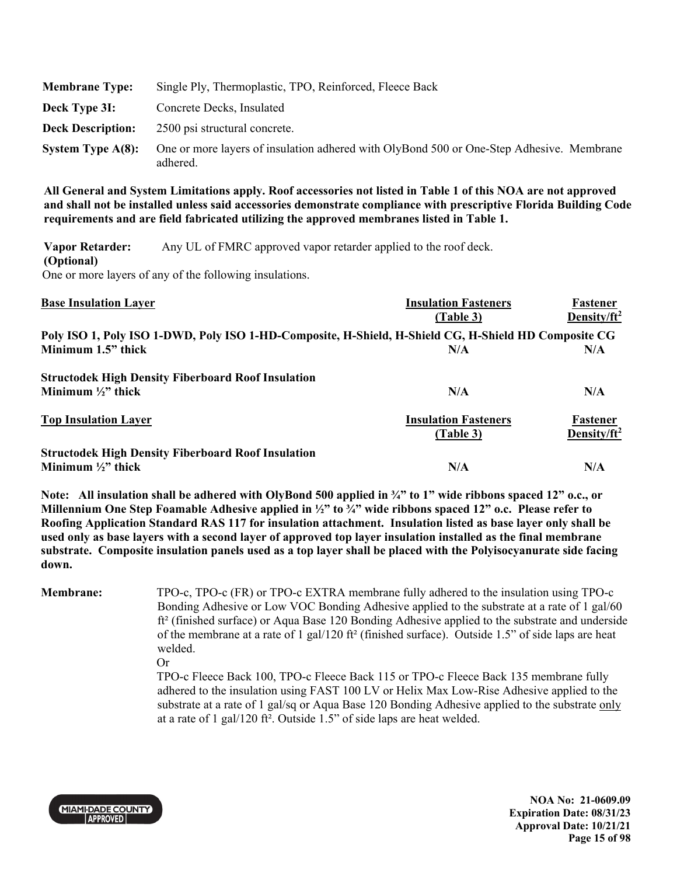| <b>Membrane Type:</b>    | Single Ply, Thermoplastic, TPO, Reinforced, Fleece Back                                              |
|--------------------------|------------------------------------------------------------------------------------------------------|
| Deck Type 3I:            | Concrete Decks, Insulated                                                                            |
| <b>Deck Description:</b> | 2500 psi structural concrete.                                                                        |
| System Type $A(8)$ :     | One or more layers of insulation adhered with OlyBond 500 or One-Step Adhesive. Membrane<br>adhered. |

**Vapor Retarder: (Optional)**  Any UL of FMRC approved vapor retarder applied to the roof deck. One or more layers of any of the following insulations.

| <b>Base Insulation Layer</b>                                                                         | <b>Insulation Fasteners</b><br>(Table 3) | Fastener<br>Density/ft <sup>2</sup> |
|------------------------------------------------------------------------------------------------------|------------------------------------------|-------------------------------------|
| Poly ISO 1, Poly ISO 1-DWD, Poly ISO 1-HD-Composite, H-Shield, H-Shield CG, H-Shield HD Composite CG |                                          |                                     |
| Minimum 1.5" thick                                                                                   | N/A                                      | N/A                                 |
| <b>Structodek High Density Fiberboard Roof Insulation</b>                                            |                                          |                                     |
| Minimum $\frac{1}{2}$ " thick                                                                        | N/A                                      | N/A                                 |
| <b>Top Insulation Layer</b>                                                                          | <b>Insulation Fasteners</b><br>(Table 3) | Fastener<br>Density/ft <sup>2</sup> |
| <b>Structodek High Density Fiberboard Roof Insulation</b>                                            |                                          |                                     |
| Minimum $\frac{1}{2}$ " thick                                                                        | N/A                                      | N/A                                 |

**Note: All insulation shall be adhered with OlyBond 500 applied in ¾" to 1" wide ribbons spaced 12" o.c., or Millennium One Step Foamable Adhesive applied in ½" to ¾" wide ribbons spaced 12" o.c. Please refer to Roofing Application Standard RAS 117 for insulation attachment. Insulation listed as base layer only shall be used only as base layers with a second layer of approved top layer insulation installed as the final membrane substrate. Composite insulation panels used as a top layer shall be placed with the Polyisocyanurate side facing down.** 

**Membrane:** TPO-c, TPO-c (FR) or TPO-c EXTRA membrane fully adhered to the insulation using TPO-c Bonding Adhesive or Low VOC Bonding Adhesive applied to the substrate at a rate of 1 gal/60 ft² (finished surface) or Aqua Base 120 Bonding Adhesive applied to the substrate and underside of the membrane at a rate of 1 gal/120 ft<sup>2</sup> (finished surface). Outside 1.5" of side laps are heat welded.

Or

TPO-c Fleece Back 100, TPO-c Fleece Back 115 or TPO-c Fleece Back 135 membrane fully adhered to the insulation using FAST 100 LV or Helix Max Low-Rise Adhesive applied to the substrate at a rate of 1 gal/sq or Aqua Base 120 Bonding Adhesive applied to the substrate only at a rate of 1 gal/120 ft². Outside 1.5" of side laps are heat welded.



**NOA No: 21-0609.09 Expiration Date: 08/31/23 Approval Date: 10/21/21 Page 15 of 98**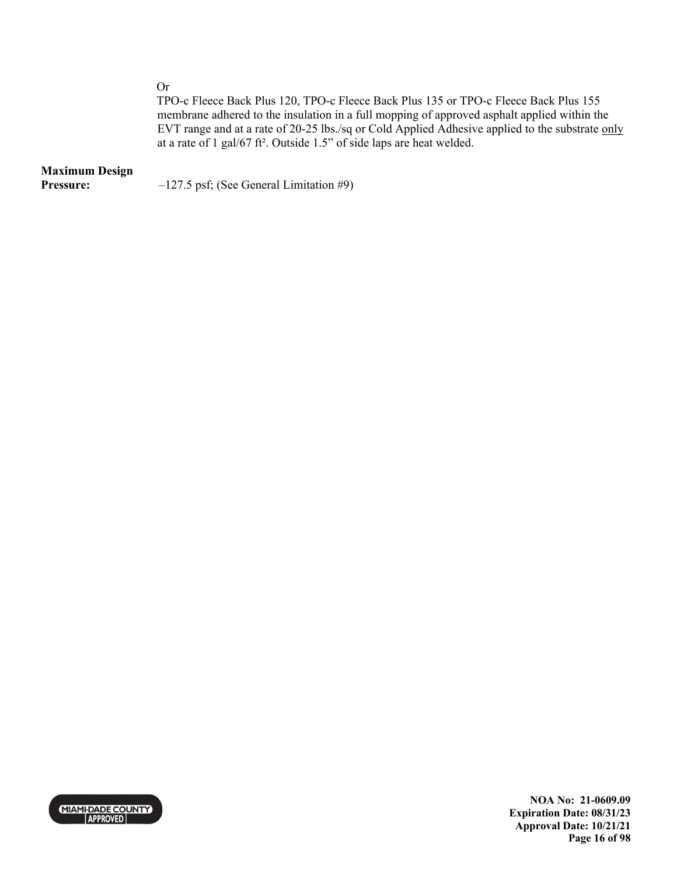Or

TPO-c Fleece Back Plus 120, TPO-c Fleece Back Plus 135 or TPO-c Fleece Back Plus 155 membrane adhered to the insulation in a full mopping of approved asphalt applied within the EVT range and at a rate of 20-25 lbs./sq or Cold Applied Adhesive applied to the substrate only at a rate of 1 gal/67 ft². Outside 1.5" of side laps are heat welded.

### **Maximum Design**

**Pressure:**  $-127.5$  psf; (See General Limitation #9)



**NOA No: 21-0609.09 Expiration Date: 08/31/23 Approval Date: 10/21/21 Page 16 of 98**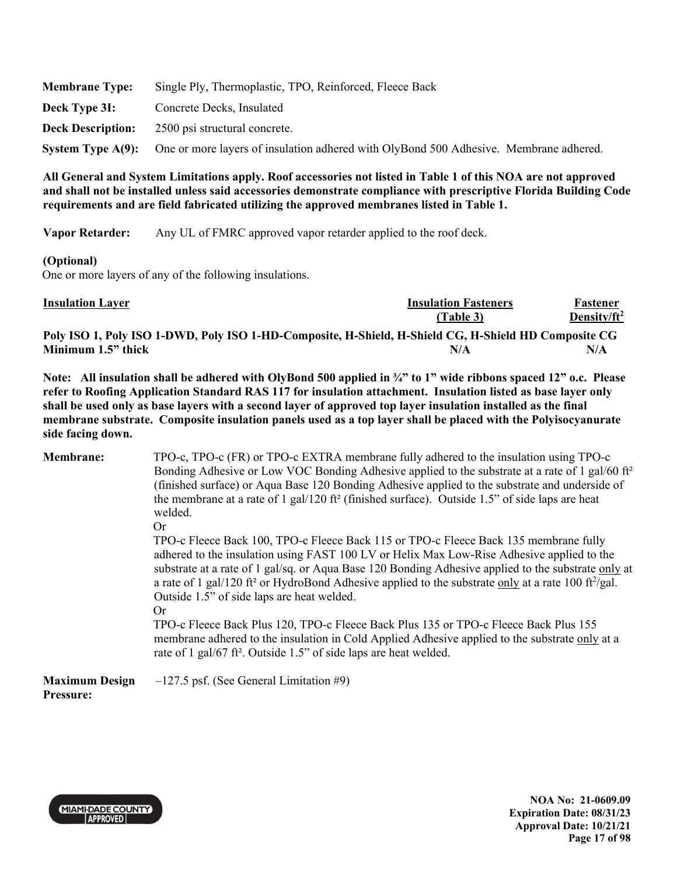| <b>Membrane Type:</b>    | Single Ply, Thermoplastic, TPO, Reinforced, Fleece Back                                                 |  |
|--------------------------|---------------------------------------------------------------------------------------------------------|--|
| Deck Type 3I:            | Concrete Decks, Insulated                                                                               |  |
| <b>Deck Description:</b> | 2500 psi structural concrete.                                                                           |  |
|                          | System Type A(9): One or more layers of insulation adhered with OlyBond 500 Adhesive. Membrane adhered. |  |

**Vapor Retarder:** Any UL of FMRC approved vapor retarder applied to the roof deck.

#### **(Optional)**

One or more layers of any of the following insulations.

| <b>Insulation Layer</b>                                                                              | <b>Insulation Fasteners</b> | Fastener        |
|------------------------------------------------------------------------------------------------------|-----------------------------|-----------------|
| Poly ISO 1, Poly ISO 1-DWD, Poly ISO 1-HD-Composite, H-Shield, H-Shield CG, H-Shield HD Composite CG | <b>(Table 3)</b>            | Density/ $ft^2$ |
| Minimum 1.5" thick                                                                                   | N/A                         | N/A             |

**Note: All insulation shall be adhered with OlyBond 500 applied in ¾" to 1" wide ribbons spaced 12" o.c. Please refer to Roofing Application Standard RAS 117 for insulation attachment. Insulation listed as base layer only shall be used only as base layers with a second layer of approved top layer insulation installed as the final membrane substrate. Composite insulation panels used as a top layer shall be placed with the Polyisocyanurate side facing down.** 

| <b>Membrane:</b>                   | TPO-c, TPO-c (FR) or TPO-c EXTRA membrane fully adhered to the insulation using TPO-c<br>Bonding Adhesive or Low VOC Bonding Adhesive applied to the substrate at a rate of 1 gal/60 ft <sup>2</sup><br>(finished surface) or Aqua Base 120 Bonding Adhesive applied to the substrate and underside of                                                                                                                                                                      |
|------------------------------------|-----------------------------------------------------------------------------------------------------------------------------------------------------------------------------------------------------------------------------------------------------------------------------------------------------------------------------------------------------------------------------------------------------------------------------------------------------------------------------|
|                                    | the membrane at a rate of 1 gal/120 ft <sup>2</sup> (finished surface). Outside 1.5" of side laps are heat<br>welded.<br><b>Or</b>                                                                                                                                                                                                                                                                                                                                          |
|                                    | TPO-c Fleece Back 100, TPO-c Fleece Back 115 or TPO-c Fleece Back 135 membrane fully<br>adhered to the insulation using FAST 100 LV or Helix Max Low-Rise Adhesive applied to the<br>substrate at a rate of 1 gal/sq. or Aqua Base 120 Bonding Adhesive applied to the substrate only at<br>a rate of 1 gal/120 ft <sup>2</sup> or HydroBond Adhesive applied to the substrate only at a rate 100 ft <sup>2</sup> /gal.<br>Outside 1.5" of side laps are heat welded.<br>Or |
|                                    | TPO-c Fleece Back Plus 120, TPO-c Fleece Back Plus 135 or TPO-c Fleece Back Plus 155<br>membrane adhered to the insulation in Cold Applied Adhesive applied to the substrate only at a<br>rate of 1 gal/67 ft <sup>2</sup> . Outside 1.5" of side laps are heat welded.                                                                                                                                                                                                     |
| <b>Maximum Design</b><br>Pressure: | $-127.5$ psf. (See General Limitation #9)                                                                                                                                                                                                                                                                                                                                                                                                                                   |



**NOA No: 21-0609.09 Expiration Date: 08/31/23 Approval Date: 10/21/21 Page 17 of 98**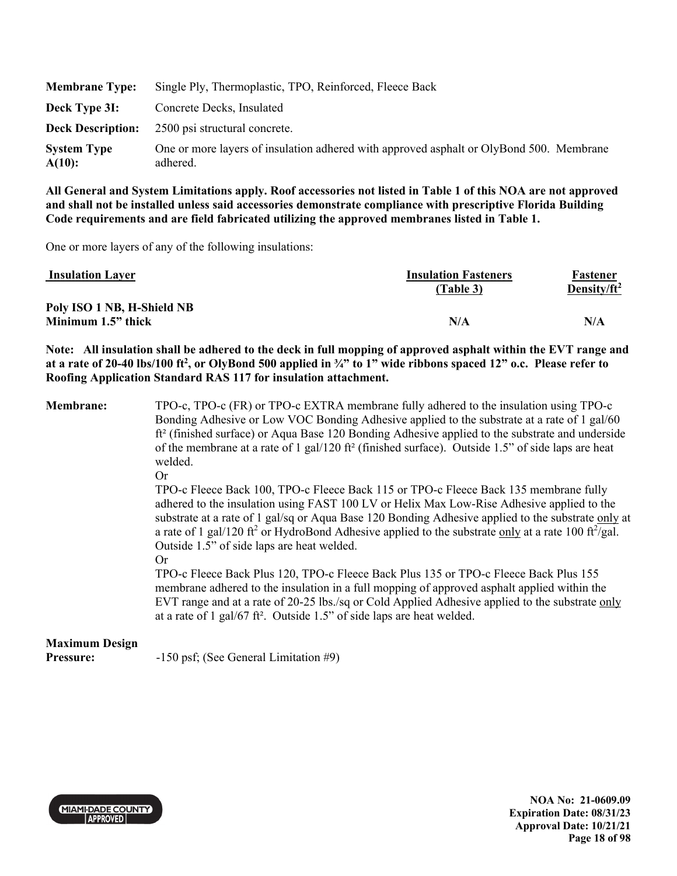| <b>Membrane Type:</b>        | Single Ply, Thermoplastic, TPO, Reinforced, Fleece Back                                             |
|------------------------------|-----------------------------------------------------------------------------------------------------|
| Deck Type 3I:                | Concrete Decks, Insulated                                                                           |
| <b>Deck Description:</b>     | 2500 psi structural concrete.                                                                       |
| <b>System Type</b><br>A(10): | One or more layers of insulation adhered with approved asphalt or OlyBond 500. Membrane<br>adhered. |

One or more layers of any of the following insulations:

| <b>Insulation Layer</b>    | <b>Insulation Fasteners</b><br>(Table 3) | Fastener<br>Density/ft <sup>2</sup> |
|----------------------------|------------------------------------------|-------------------------------------|
| Poly ISO 1 NB, H-Shield NB |                                          |                                     |
| Minimum 1.5" thick         | N/A                                      | N/A                                 |

**Note: All insulation shall be adhered to the deck in full mopping of approved asphalt within the EVT range and at a rate of 20-40 lbs/100 ft2 , or OlyBond 500 applied in ¾" to 1" wide ribbons spaced 12" o.c. Please refer to Roofing Application Standard RAS 117 for insulation attachment.** 

**Membrane:** TPO-c, TPO-c (FR) or TPO-c EXTRA membrane fully adhered to the insulation using TPO-c Bonding Adhesive or Low VOC Bonding Adhesive applied to the substrate at a rate of 1 gal/60 ft² (finished surface) or Aqua Base 120 Bonding Adhesive applied to the substrate and underside of the membrane at a rate of 1 gal/120 ft<sup>2</sup> (finished surface). Outside 1.5" of side laps are heat welded.

Or

TPO-c Fleece Back 100, TPO-c Fleece Back 115 or TPO-c Fleece Back 135 membrane fully adhered to the insulation using FAST 100 LV or Helix Max Low-Rise Adhesive applied to the substrate at a rate of 1 gal/sq or Aqua Base 120 Bonding Adhesive applied to the substrate only at a rate of 1 gal/120 ft<sup>2</sup> or HydroBond Adhesive applied to the substrate only at a rate 100 ft $^2$ /gal. Outside 1.5" of side laps are heat welded.

Or

TPO-c Fleece Back Plus 120, TPO-c Fleece Back Plus 135 or TPO-c Fleece Back Plus 155 membrane adhered to the insulation in a full mopping of approved asphalt applied within the EVT range and at a rate of 20-25 lbs./sq or Cold Applied Adhesive applied to the substrate only at a rate of 1 gal/67 ft². Outside 1.5" of side laps are heat welded.

# **Maximum Design**

**Pressure:** -150 psf; (See General Limitation #9)



**NOA No: 21-0609.09 Expiration Date: 08/31/23 Approval Date: 10/21/21 Page 18 of 98**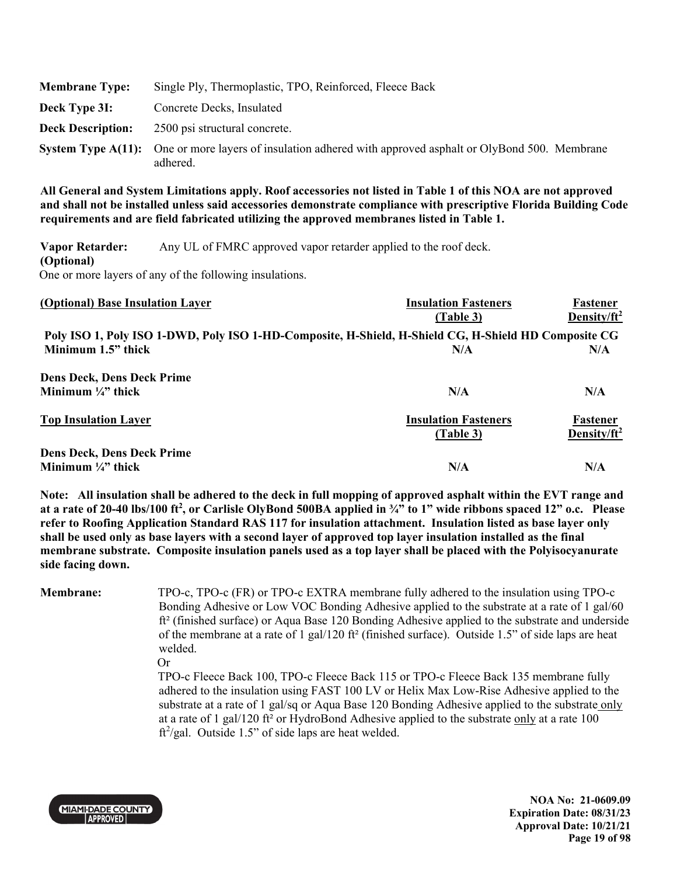| <b>Membrane Type:</b>    | Single Ply, Thermoplastic, TPO, Reinforced, Fleece Back                                                                       |
|--------------------------|-------------------------------------------------------------------------------------------------------------------------------|
| Deck Type 3I:            | Concrete Decks, Insulated                                                                                                     |
| <b>Deck Description:</b> | 2500 psi structural concrete.                                                                                                 |
|                          | <b>System Type A(11):</b> One or more layers of insulation adhered with approved asphalt or OlyBond 500. Membrane<br>adhered. |

**Vapor Retarder: (Optional)**  Any UL of FMRC approved vapor retarder applied to the roof deck. One or more layers of any of the following insulations.

| (Optional) Base Insulation Layer                                                                     | <b>Insulation Fasteners</b><br>(Table 3) | Fastener<br>Density/ft <sup>2</sup> |
|------------------------------------------------------------------------------------------------------|------------------------------------------|-------------------------------------|
| Poly ISO 1, Poly ISO 1-DWD, Poly ISO 1-HD-Composite, H-Shield, H-Shield CG, H-Shield HD Composite CG |                                          |                                     |
| Minimum 1.5" thick                                                                                   | N/A                                      | N/A                                 |
| <b>Dens Deck, Dens Deck Prime</b>                                                                    |                                          |                                     |
| Minimum $\frac{1}{4}$ " thick                                                                        | N/A                                      | N/A                                 |
| <b>Top Insulation Layer</b>                                                                          | <b>Insulation Fasteners</b>              | Fastener                            |
|                                                                                                      | (Table 3)                                | Density/ft <sup>2</sup>             |
| <b>Dens Deck, Dens Deck Prime</b>                                                                    |                                          |                                     |
| Minimum $\frac{1}{4}$ " thick                                                                        | N/A                                      | N/A                                 |

**Note: All insulation shall be adhered to the deck in full mopping of approved asphalt within the EVT range and at a rate of 20-40 lbs/100 ft2 , or Carlisle OlyBond 500BA applied in ¾" to 1" wide ribbons spaced 12" o.c. Please refer to Roofing Application Standard RAS 117 for insulation attachment. Insulation listed as base layer only shall be used only as base layers with a second layer of approved top layer insulation installed as the final membrane substrate. Composite insulation panels used as a top layer shall be placed with the Polyisocyanurate side facing down.** 

**Membrane:** TPO-c, TPO-c (FR) or TPO-c EXTRA membrane fully adhered to the insulation using TPO-c Bonding Adhesive or Low VOC Bonding Adhesive applied to the substrate at a rate of 1 gal/60 ft² (finished surface) or Aqua Base 120 Bonding Adhesive applied to the substrate and underside of the membrane at a rate of 1 gal/120 ft<sup>2</sup> (finished surface). Outside 1.5" of side laps are heat welded.

Or

TPO-c Fleece Back 100, TPO-c Fleece Back 115 or TPO-c Fleece Back 135 membrane fully adhered to the insulation using FAST 100 LV or Helix Max Low-Rise Adhesive applied to the substrate at a rate of 1 gal/sq or Aqua Base 120 Bonding Adhesive applied to the substrate only at a rate of 1 gal/120 ft² or HydroBond Adhesive applied to the substrate only at a rate 100 ft<sup>2</sup>/gal. Outside 1.5" of side laps are heat welded.



**NOA No: 21-0609.09 Expiration Date: 08/31/23 Approval Date: 10/21/21 Page 19 of 98**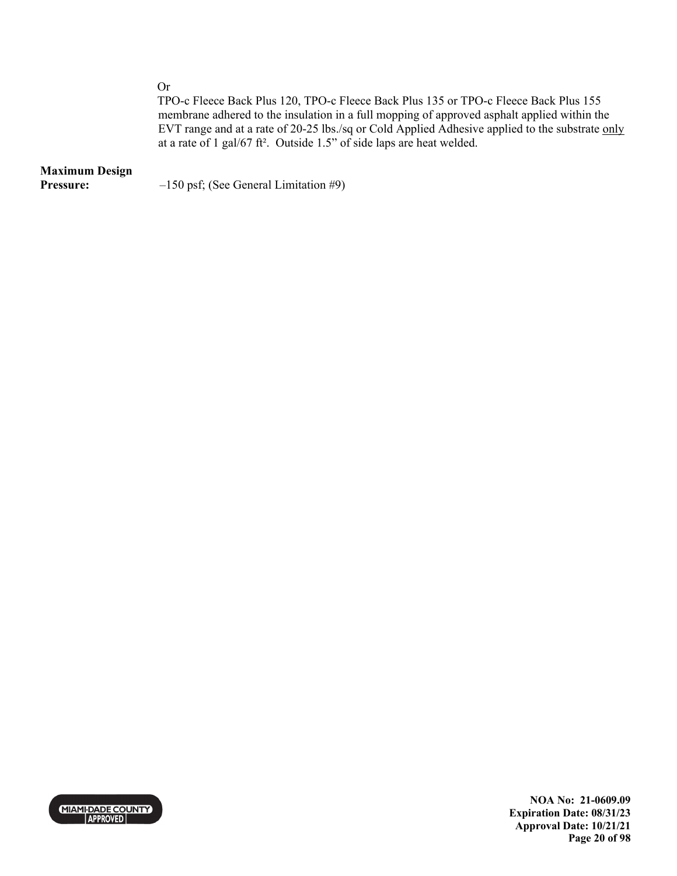Or

TPO-c Fleece Back Plus 120, TPO-c Fleece Back Plus 135 or TPO-c Fleece Back Plus 155 membrane adhered to the insulation in a full mopping of approved asphalt applied within the EVT range and at a rate of 20-25 lbs./sq or Cold Applied Adhesive applied to the substrate only at a rate of 1 gal/67 ft². Outside 1.5" of side laps are heat welded.

## **Maximum Design**

**Pressure:**  $-150 \text{ psf}$ ; (See General Limitation #9)



**NOA No: 21-0609.09 Expiration Date: 08/31/23 Approval Date: 10/21/21 Page 20 of 98**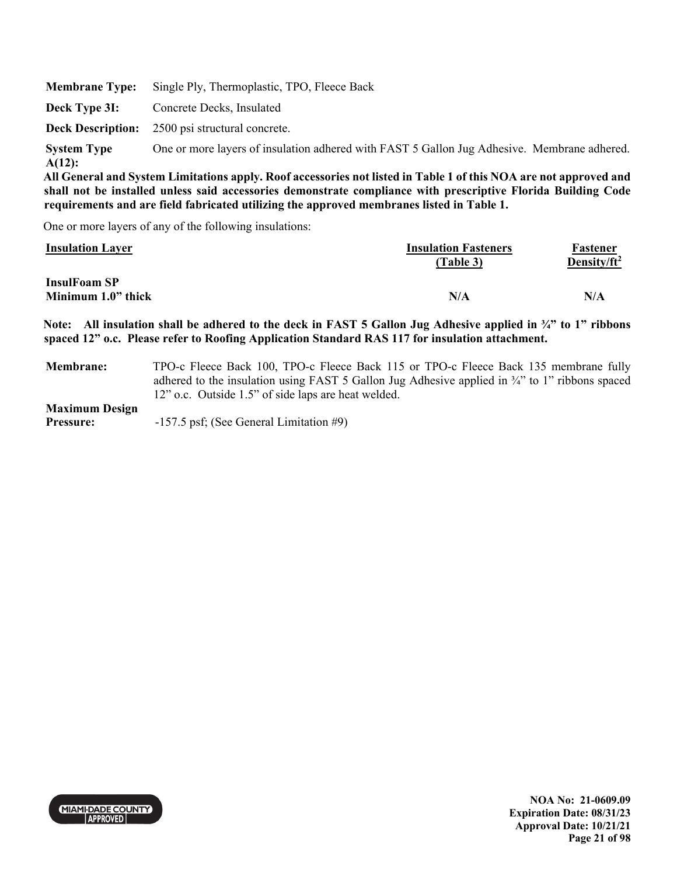| <b>Membrane Type:</b>           | Single Ply, Thermoplastic, TPO, Fleece Back                                                                      |
|---------------------------------|------------------------------------------------------------------------------------------------------------------|
| Deck Type 3I:                   | Concrete Decks, Insulated                                                                                        |
|                                 | <b>Deck Description:</b> 2500 psi structural concrete.                                                           |
| <b>System Type</b><br>$A(12)$ : | One or more layers of insulation adhered with FAST 5 Gallon Jug Adhesive. Membrane adhered.                      |
|                                 | All General and System Limitations annly Roof accessories not listed in Table 1 of this NOA are not annroyed and |

One or more layers of any of the following insulations:

| <b>Insulation Layer</b>                   | <b>Insulation Fasteners</b><br>(Table 3) | Fastener<br>Density/ft <sup>2</sup> |
|-------------------------------------------|------------------------------------------|-------------------------------------|
| <b>InsulFoam SP</b><br>Minimum 1.0" thick | N/A                                      | N/A                                 |

**Note: All insulation shall be adhered to the deck in FAST 5 Gallon Jug Adhesive applied in ¾" to 1" ribbons spaced 12" o.c. Please refer to Roofing Application Standard RAS 117 for insulation attachment.** 

**Membrane:** TPO-c Fleece Back 100, TPO-c Fleece Back 115 or TPO-c Fleece Back 135 membrane fully adhered to the insulation using FAST 5 Gallon Jug Adhesive applied in ¾" to 1" ribbons spaced 12" o.c. Outside 1.5" of side laps are heat welded.

**Maximum Design** 

**Pressure:** -157.5 psf; (See General Limitation #9)

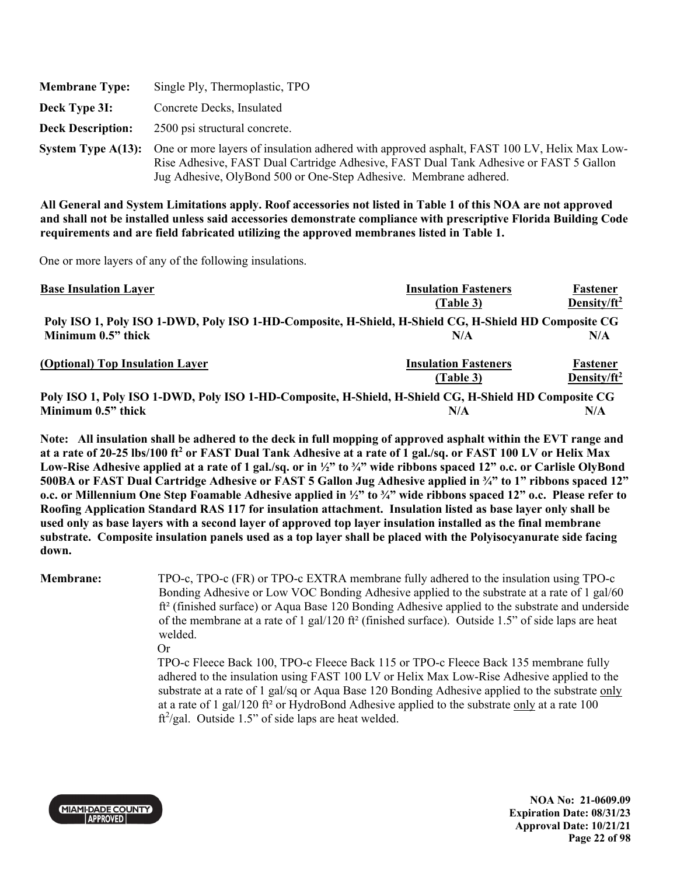| <b>Membrane Type:</b>    | Single Ply, Thermoplastic, TPO                                                                                                                                                                                                                                                      |
|--------------------------|-------------------------------------------------------------------------------------------------------------------------------------------------------------------------------------------------------------------------------------------------------------------------------------|
| Deck Type 3I:            | Concrete Decks, Insulated                                                                                                                                                                                                                                                           |
| <b>Deck Description:</b> | 2500 psi structural concrete.                                                                                                                                                                                                                                                       |
|                          | <b>System Type A(13):</b> One or more layers of insulation adhered with approved asphalt, FAST 100 LV, Helix Max Low-<br>Rise Adhesive, FAST Dual Cartridge Adhesive, FAST Dual Tank Adhesive or FAST 5 Gallon<br>Jug Adhesive, OlyBond 500 or One-Step Adhesive. Membrane adhered. |

One or more layers of any of the following insulations.

| <b>Base Insulation Layer</b>                                                                         | <b>Insulation Fasteners</b> | Fastener        |
|------------------------------------------------------------------------------------------------------|-----------------------------|-----------------|
|                                                                                                      | (Table 3)                   | Density/ $ft^2$ |
| Poly ISO 1, Poly ISO 1-DWD, Poly ISO 1-HD-Composite, H-Shield, H-Shield CG, H-Shield HD Composite CG |                             |                 |
| Minimum 0.5" thick                                                                                   | N/A                         | N/A             |
| (Optional) Top Insulation Layer                                                                      | <b>Insulation Fasteners</b> | Fastener        |
|                                                                                                      | (Table 3)                   | Density/ $ft^2$ |
| Poly ISO 1, Poly ISO 1-DWD, Poly ISO 1-HD-Composite, H-Shield, H-Shield CG, H-Shield HD Composite CG |                             |                 |
| Minimum 0.5" thick                                                                                   | N/A                         | N/A             |

**Note: All insulation shall be adhered to the deck in full mopping of approved asphalt within the EVT range and**  at a rate of 20-25 lbs/100 ft<sup>2</sup> or FAST Dual Tank Adhesive at a rate of 1 gal./sq. or FAST 100 LV or Helix Max **Low-Rise Adhesive applied at a rate of 1 gal./sq. or in ½" to ¾" wide ribbons spaced 12" o.c. or Carlisle OlyBond 500BA or FAST Dual Cartridge Adhesive or FAST 5 Gallon Jug Adhesive applied in ¾" to 1" ribbons spaced 12" o.c. or Millennium One Step Foamable Adhesive applied in ½" to ¾" wide ribbons spaced 12" o.c. Please refer to Roofing Application Standard RAS 117 for insulation attachment. Insulation listed as base layer only shall be used only as base layers with a second layer of approved top layer insulation installed as the final membrane substrate. Composite insulation panels used as a top layer shall be placed with the Polyisocyanurate side facing down.** 

**Membrane:** TPO-c, TPO-c (FR) or TPO-c EXTRA membrane fully adhered to the insulation using TPO-c Bonding Adhesive or Low VOC Bonding Adhesive applied to the substrate at a rate of 1 gal/60 ft² (finished surface) or Aqua Base 120 Bonding Adhesive applied to the substrate and underside of the membrane at a rate of 1 gal/120 ft² (finished surface). Outside 1.5" of side laps are heat welded.

Or

TPO-c Fleece Back 100, TPO-c Fleece Back 115 or TPO-c Fleece Back 135 membrane fully adhered to the insulation using FAST 100 LV or Helix Max Low-Rise Adhesive applied to the substrate at a rate of 1 gal/sq or Aqua Base 120 Bonding Adhesive applied to the substrate only at a rate of 1 gal/120 ft² or HydroBond Adhesive applied to the substrate only at a rate 100 ft<sup>2</sup>/gal. Outside 1.5" of side laps are heat welded.



**NOA No: 21-0609.09 Expiration Date: 08/31/23 Approval Date: 10/21/21 Page 22 of 98**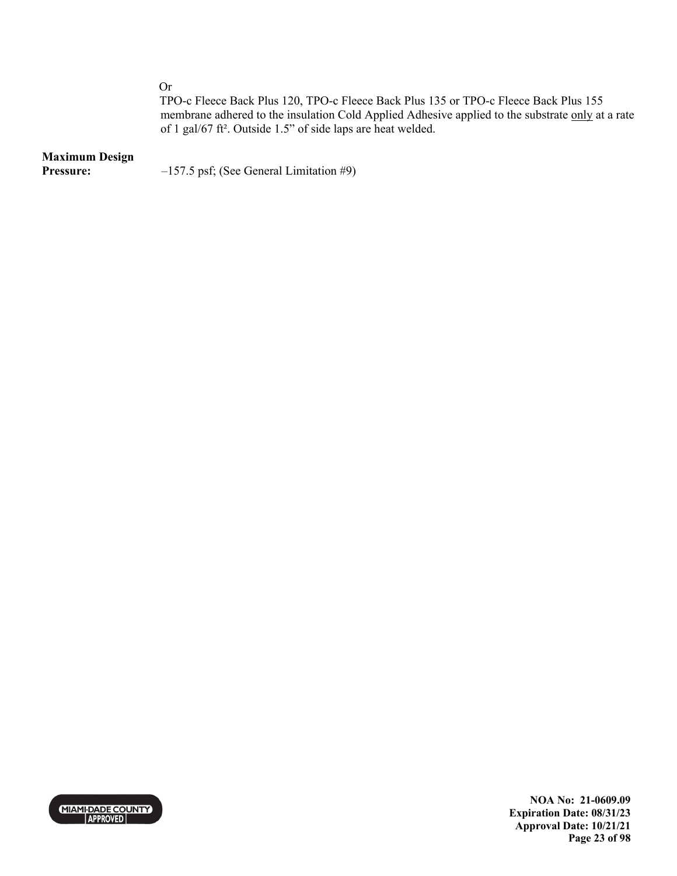Or

TPO-c Fleece Back Plus 120, TPO-c Fleece Back Plus 135 or TPO-c Fleece Back Plus 155 membrane adhered to the insulation Cold Applied Adhesive applied to the substrate only at a rate of 1 gal/67 ft². Outside 1.5" of side laps are heat welded.

### **Maximum Design**

**Pressure:**  $-157.5 \text{ psf}$ ; (See General Limitation #9)



**NOA No: 21-0609.09 Expiration Date: 08/31/23 Approval Date: 10/21/21 Page 23 of 98**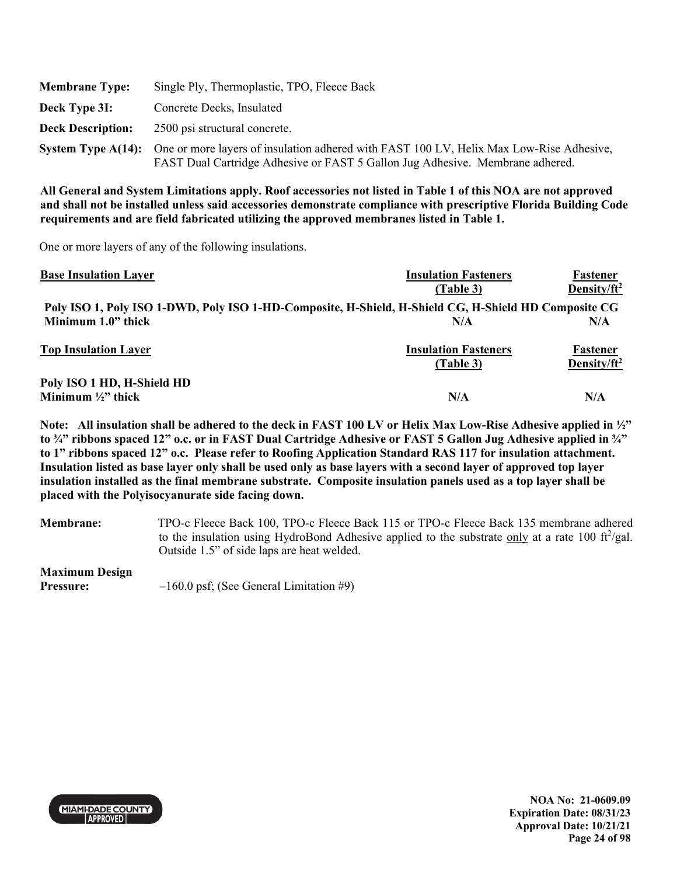| <b>Membrane Type:</b>    | Single Ply, Thermoplastic, TPO, Fleece Back                                                                                                                                                 |
|--------------------------|---------------------------------------------------------------------------------------------------------------------------------------------------------------------------------------------|
| Deck Type 3I:            | Concrete Decks, Insulated                                                                                                                                                                   |
| <b>Deck Description:</b> | 2500 psi structural concrete.                                                                                                                                                               |
|                          | System Type A(14): One or more layers of insulation adhered with FAST 100 LV, Helix Max Low-Rise Adhesive,<br>FAST Dual Cartridge Adhesive or FAST 5 Gallon Jug Adhesive. Membrane adhered. |

One or more layers of any of the following insulations.

| <b>Base Insulation Layer</b>                                                                         | <b>Insulation Fasteners</b> | Fastener                |
|------------------------------------------------------------------------------------------------------|-----------------------------|-------------------------|
|                                                                                                      | (Table 3)                   | Density/ $ft^2$         |
| Poly ISO 1, Poly ISO 1-DWD, Poly ISO 1-HD-Composite, H-Shield, H-Shield CG, H-Shield HD Composite CG |                             |                         |
| Minimum 1.0" thick                                                                                   | N/A                         | N/A                     |
| <b>Top Insulation Layer</b>                                                                          | <b>Insulation Fasteners</b> | Fastener                |
|                                                                                                      | (Table 3)                   | Density/ft <sup>2</sup> |
| Poly ISO 1 HD, H-Shield HD                                                                           |                             |                         |
| Minimum $\frac{1}{2}$ thick                                                                          | N/A                         | N/A                     |

**Note: All insulation shall be adhered to the deck in FAST 100 LV or Helix Max Low-Rise Adhesive applied in ½" to ¾" ribbons spaced 12" o.c. or in FAST Dual Cartridge Adhesive or FAST 5 Gallon Jug Adhesive applied in ¾" to 1" ribbons spaced 12" o.c. Please refer to Roofing Application Standard RAS 117 for insulation attachment. Insulation listed as base layer only shall be used only as base layers with a second layer of approved top layer insulation installed as the final membrane substrate. Composite insulation panels used as a top layer shall be placed with the Polyisocyanurate side facing down.** 

**Membrane:** TPO-c Fleece Back 100, TPO-c Fleece Back 115 or TPO-c Fleece Back 135 membrane adhered to the insulation using HydroBond Adhesive applied to the substrate only at a rate 100  $\text{ft}^2/\text{gal}$ . Outside 1.5" of side laps are heat welded.

**Maximum Design** 

**Pressure:**  $-160.0 \text{ psf}$ ; (See General Limitation #9)



**NOA No: 21-0609.09 Expiration Date: 08/31/23 Approval Date: 10/21/21 Page 24 of 98**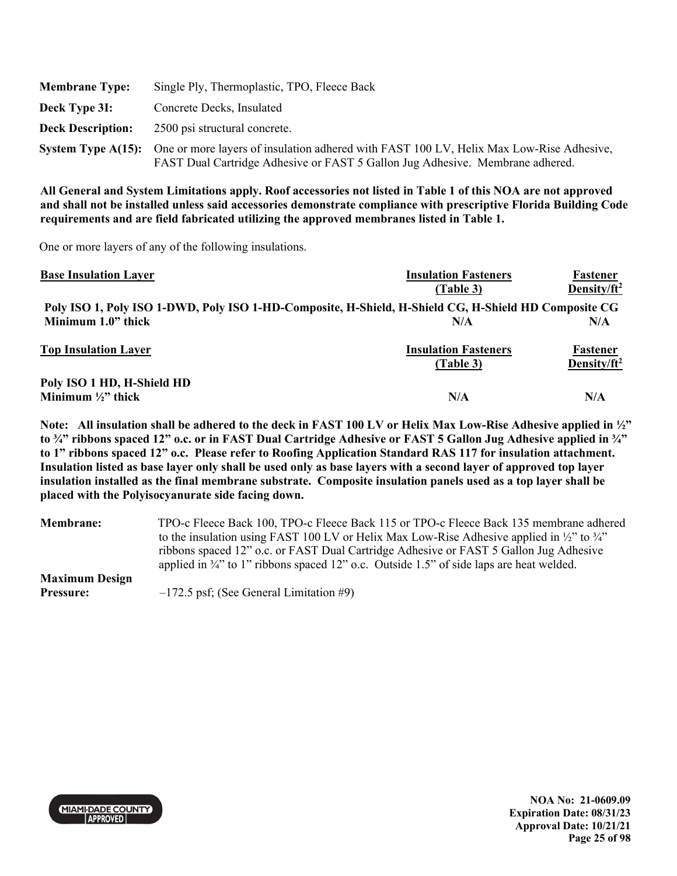| <b>Membrane Type:</b>    | Single Ply, Thermoplastic, TPO, Fleece Back                                                                                                                                                 |
|--------------------------|---------------------------------------------------------------------------------------------------------------------------------------------------------------------------------------------|
| Deck Type 3I:            | Concrete Decks, Insulated                                                                                                                                                                   |
| <b>Deck Description:</b> | 2500 psi structural concrete.                                                                                                                                                               |
|                          | System Type A(15): One or more layers of insulation adhered with FAST 100 LV, Helix Max Low-Rise Adhesive,<br>FAST Dual Cartridge Adhesive or FAST 5 Gallon Jug Adhesive. Membrane adhered. |

One or more layers of any of the following insulations.

| <b>Base Insulation Layer</b>  | <b>Insulation Fasteners</b>                                                                          | Fastener        |
|-------------------------------|------------------------------------------------------------------------------------------------------|-----------------|
|                               | (Table 3)                                                                                            | Density/ $ft^2$ |
|                               | Poly ISO 1, Poly ISO 1-DWD, Poly ISO 1-HD-Composite, H-Shield, H-Shield CG, H-Shield HD Composite CG |                 |
| Minimum 1.0" thick            | N/A                                                                                                  | N/A             |
| <b>Top Insulation Layer</b>   | <b>Insulation Fasteners</b>                                                                          | Fastener        |
|                               | (Table 3)                                                                                            | Density/ $ft^2$ |
| Poly ISO 1 HD, H-Shield HD    |                                                                                                      |                 |
| Minimum $\frac{1}{2}$ " thick | N/A                                                                                                  | N/A             |

**Note: All insulation shall be adhered to the deck in FAST 100 LV or Helix Max Low-Rise Adhesive applied in ½" to ¾" ribbons spaced 12" o.c. or in FAST Dual Cartridge Adhesive or FAST 5 Gallon Jug Adhesive applied in ¾" to 1" ribbons spaced 12" o.c. Please refer to Roofing Application Standard RAS 117 for insulation attachment. Insulation listed as base layer only shall be used only as base layers with a second layer of approved top layer insulation installed as the final membrane substrate. Composite insulation panels used as a top layer shall be placed with the Polyisocyanurate side facing down.** 

| <b>Membrane:</b>      | TPO-c Fleece Back 100, TPO-c Fleece Back 115 or TPO-c Fleece Back 135 membrane adhered                         |  |  |  |
|-----------------------|----------------------------------------------------------------------------------------------------------------|--|--|--|
|                       | to the insulation using FAST 100 LV or Helix Max Low-Rise Adhesive applied in $\frac{1}{2}$ to $\frac{3}{4}$ " |  |  |  |
|                       | ribbons spaced 12" o.c. or FAST Dual Cartridge Adhesive or FAST 5 Gallon Jug Adhesive                          |  |  |  |
|                       | applied in $\frac{3}{4}$ " to 1" ribbons spaced 12" o.c. Outside 1.5" of side laps are heat welded.            |  |  |  |
| <b>Maximum Design</b> |                                                                                                                |  |  |  |
| <b>Pressure:</b>      | $-172.5$ psf; (See General Limitation #9)                                                                      |  |  |  |

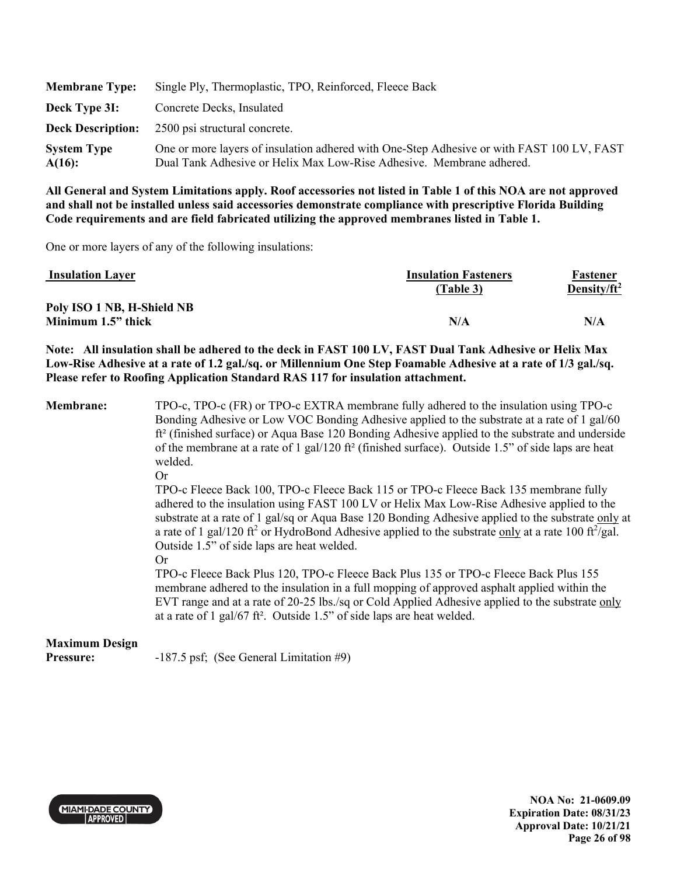| <b>Membrane Type:</b>           | Single Ply, Thermoplastic, TPO, Reinforced, Fleece Back                                                                                                           |
|---------------------------------|-------------------------------------------------------------------------------------------------------------------------------------------------------------------|
| Deck Type 3I:                   | Concrete Decks, Insulated                                                                                                                                         |
|                                 | <b>Deck Description:</b> 2500 psi structural concrete.                                                                                                            |
| <b>System Type</b><br>$A(16)$ : | One or more layers of insulation adhered with One-Step Adhesive or with FAST 100 LV, FAST<br>Dual Tank Adhesive or Helix Max Low-Rise Adhesive. Membrane adhered. |

One or more layers of any of the following insulations:

| <b>Insulation Layer</b>    | <b>Insulation Fasteners</b><br>(Table 3) | Fastener<br>Density/ft <sup>2</sup> |
|----------------------------|------------------------------------------|-------------------------------------|
| Poly ISO 1 NB, H-Shield NB |                                          |                                     |
| Minimum 1.5" thick         | N/A                                      | N/A                                 |

**Note: All insulation shall be adhered to the deck in FAST 100 LV, FAST Dual Tank Adhesive or Helix Max**  Low-Rise Adhesive at a rate of 1.2 gal./sq. or Millennium One Step Foamable Adhesive at a rate of 1/3 gal./sq. **Please refer to Roofing Application Standard RAS 117 for insulation attachment.** 

**Membrane:** TPO-c, TPO-c (FR) or TPO-c EXTRA membrane fully adhered to the insulation using TPO-c Bonding Adhesive or Low VOC Bonding Adhesive applied to the substrate at a rate of 1 gal/60 ft² (finished surface) or Aqua Base 120 Bonding Adhesive applied to the substrate and underside of the membrane at a rate of 1 gal/120 ft<sup>2</sup> (finished surface). Outside 1.5" of side laps are heat welded.

Or

TPO-c Fleece Back 100, TPO-c Fleece Back 115 or TPO-c Fleece Back 135 membrane fully adhered to the insulation using FAST 100 LV or Helix Max Low-Rise Adhesive applied to the substrate at a rate of 1 gal/sq or Aqua Base 120 Bonding Adhesive applied to the substrate only at a rate of 1 gal/120 ft<sup>2</sup> or HydroBond Adhesive applied to the substrate only at a rate 100 ft $^2$ /gal. Outside 1.5" of side laps are heat welded.

Or

TPO-c Fleece Back Plus 120, TPO-c Fleece Back Plus 135 or TPO-c Fleece Back Plus 155 membrane adhered to the insulation in a full mopping of approved asphalt applied within the EVT range and at a rate of 20-25 lbs./sq or Cold Applied Adhesive applied to the substrate only at a rate of 1 gal/67 ft². Outside 1.5" of side laps are heat welded.

# **Maximum Design**

**Pressure:** -187.5 psf; (See General Limitation #9)



**NOA No: 21-0609.09 Expiration Date: 08/31/23 Approval Date: 10/21/21 Page 26 of 98**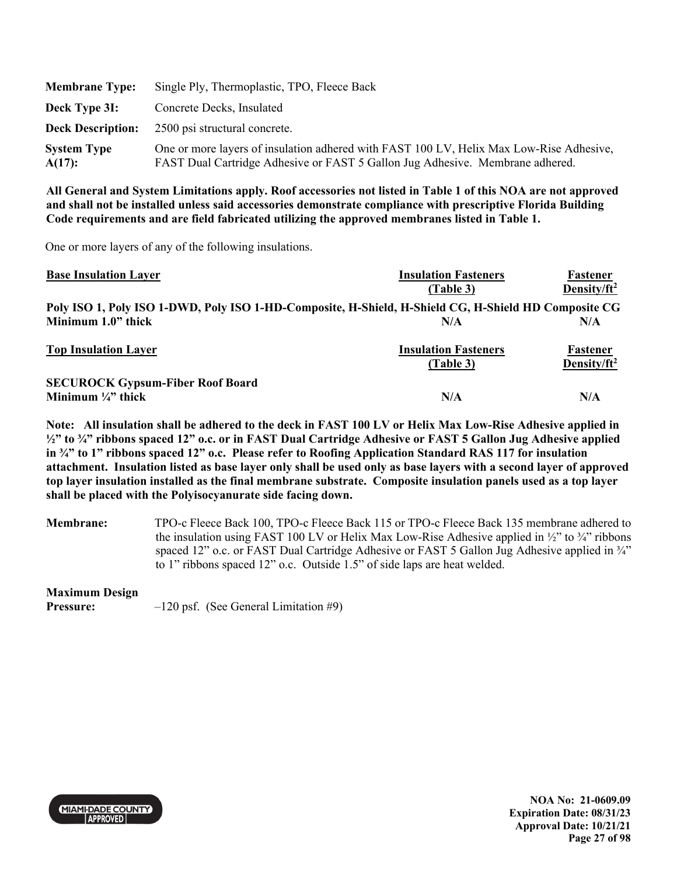| <b>Membrane Type:</b>           | Single Ply, Thermoplastic, TPO, Fleece Back                                                                                                                              |
|---------------------------------|--------------------------------------------------------------------------------------------------------------------------------------------------------------------------|
| Deck Type 3I:                   | Concrete Decks, Insulated                                                                                                                                                |
| <b>Deck Description:</b>        | 2500 psi structural concrete.                                                                                                                                            |
| <b>System Type</b><br>$A(17)$ : | One or more layers of insulation adhered with FAST 100 LV, Helix Max Low-Rise Adhesive,<br>FAST Dual Cartridge Adhesive or FAST 5 Gallon Jug Adhesive. Membrane adhered. |

One or more layers of any of the following insulations.

| <b>Base Insulation Layer</b>                                                                         | <b>Insulation Fasteners</b> | Fastener        |
|------------------------------------------------------------------------------------------------------|-----------------------------|-----------------|
|                                                                                                      | (Table 3)                   | Density/ $ft^2$ |
| Poly ISO 1, Poly ISO 1-DWD, Poly ISO 1-HD-Composite, H-Shield, H-Shield CG, H-Shield HD Composite CG |                             |                 |
| Minimum 1.0" thick                                                                                   | N/A                         | N/A             |
| <b>Top Insulation Layer</b>                                                                          | <b>Insulation Fasteners</b> | Fastener        |
|                                                                                                      | (Table 3)                   | Density/ $ft^2$ |
| <b>SECUROCK Gypsum-Fiber Roof Board</b>                                                              |                             |                 |
| Minimum $\frac{1}{4}$ thick                                                                          | N/A                         | N/A             |

**Note: All insulation shall be adhered to the deck in FAST 100 LV or Helix Max Low-Rise Adhesive applied in ½" to ¾" ribbons spaced 12" o.c. or in FAST Dual Cartridge Adhesive or FAST 5 Gallon Jug Adhesive applied in ¾" to 1" ribbons spaced 12" o.c. Please refer to Roofing Application Standard RAS 117 for insulation attachment. Insulation listed as base layer only shall be used only as base layers with a second layer of approved top layer insulation installed as the final membrane substrate. Composite insulation panels used as a top layer shall be placed with the Polyisocyanurate side facing down.** 

**Membrane:** TPO-c Fleece Back 100, TPO-c Fleece Back 115 or TPO-c Fleece Back 135 membrane adhered to the insulation using FAST 100 LV or Helix Max Low-Rise Adhesive applied in  $\frac{1}{2}$  to  $\frac{3}{4}$  ribbons spaced 12" o.c. or FAST Dual Cartridge Adhesive or FAST 5 Gallon Jug Adhesive applied in  $\frac{3}{4}$ " to 1" ribbons spaced 12" o.c. Outside 1.5" of side laps are heat welded.

## **Maximum Design**

**Pressure:**  $-120 \text{ psf.}$  (See General Limitation #9)

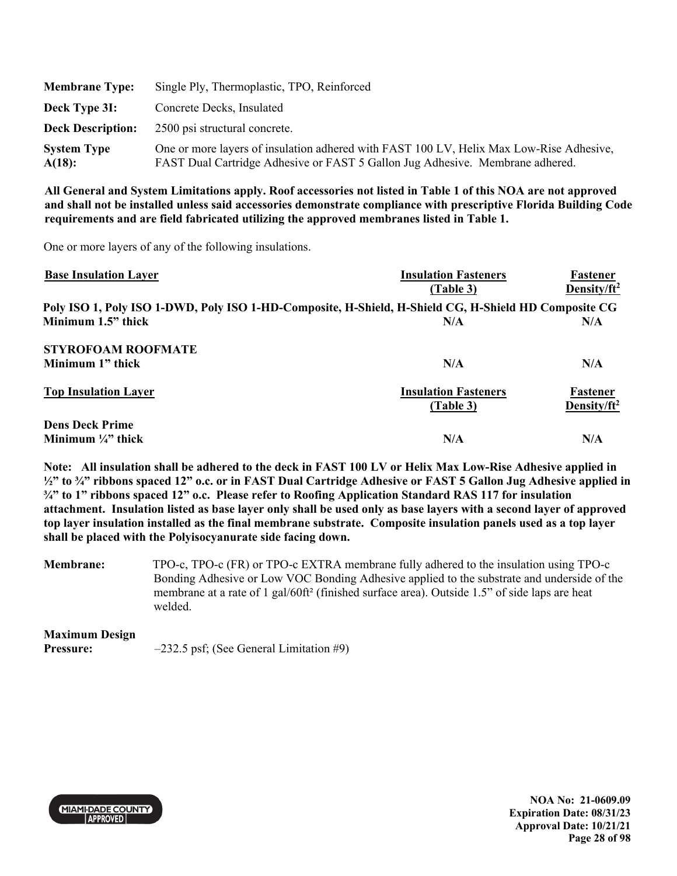| <b>Membrane Type:</b>        | Single Ply, Thermoplastic, TPO, Reinforced                                                                                                                               |
|------------------------------|--------------------------------------------------------------------------------------------------------------------------------------------------------------------------|
| Deck Type 3I:                | Concrete Decks, Insulated                                                                                                                                                |
| <b>Deck Description:</b>     | 2500 psi structural concrete.                                                                                                                                            |
| <b>System Type</b><br>A(18): | One or more layers of insulation adhered with FAST 100 LV, Helix Max Low-Rise Adhesive,<br>FAST Dual Cartridge Adhesive or FAST 5 Gallon Jug Adhesive. Membrane adhered. |

One or more layers of any of the following insulations.

| <b>Base Insulation Layer</b>                                                                         | <b>Insulation Fasteners</b> | Fastener                |
|------------------------------------------------------------------------------------------------------|-----------------------------|-------------------------|
|                                                                                                      | (Table 3)                   | Density/ft <sup>2</sup> |
| Poly ISO 1, Poly ISO 1-DWD, Poly ISO 1-HD-Composite, H-Shield, H-Shield CG, H-Shield HD Composite CG |                             |                         |
| Minimum 1.5" thick                                                                                   | N/A                         | N/A                     |
| <b>STYROFOAM ROOFMATE</b>                                                                            |                             |                         |
| Minimum 1" thick                                                                                     | N/A                         | N/A                     |
| <b>Top Insulation Layer</b>                                                                          | <b>Insulation Fasteners</b> | Fastener                |
|                                                                                                      | (Table 3)                   | Density/ft <sup>2</sup> |
| <b>Dens Deck Prime</b>                                                                               |                             |                         |
| Minimum $\frac{1}{4}$ " thick                                                                        | N/A                         | N/A                     |

**Note: All insulation shall be adhered to the deck in FAST 100 LV or Helix Max Low-Rise Adhesive applied in ½" to ¾" ribbons spaced 12" o.c. or in FAST Dual Cartridge Adhesive or FAST 5 Gallon Jug Adhesive applied in ¾" to 1" ribbons spaced 12" o.c. Please refer to Roofing Application Standard RAS 117 for insulation attachment. Insulation listed as base layer only shall be used only as base layers with a second layer of approved top layer insulation installed as the final membrane substrate. Composite insulation panels used as a top layer shall be placed with the Polyisocyanurate side facing down.** 

**Membrane:** TPO-c, TPO-c (FR) or TPO-c EXTRA membrane fully adhered to the insulation using TPO-c Bonding Adhesive or Low VOC Bonding Adhesive applied to the substrate and underside of the membrane at a rate of 1 gal/60ft² (finished surface area). Outside 1.5" of side laps are heat welded.

# **Maximum Design**

**Pressure:**  $-232.5$  psf; (See General Limitation #9)



**NOA No: 21-0609.09 Expiration Date: 08/31/23 Approval Date: 10/21/21 Page 28 of 98**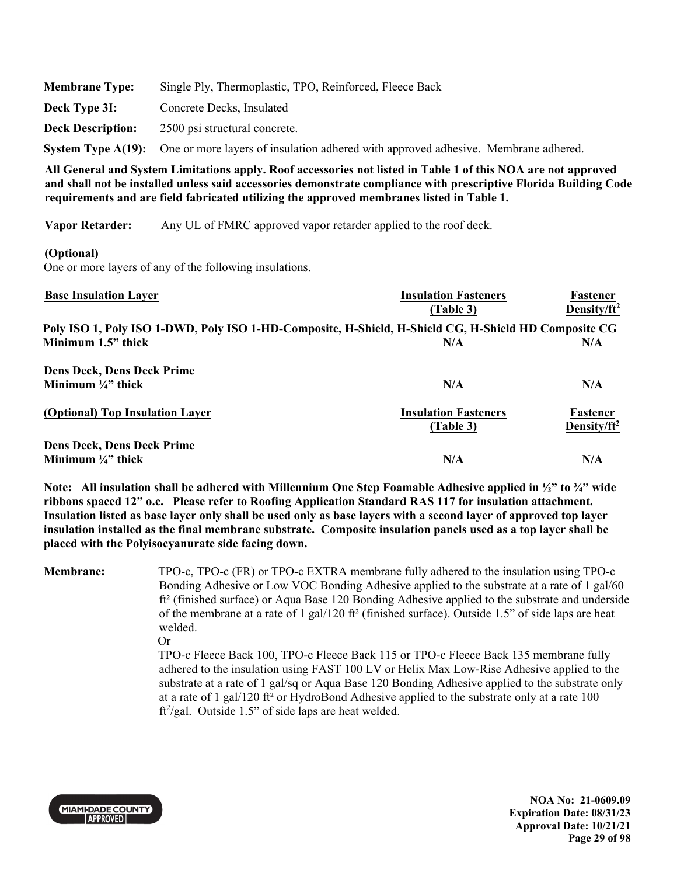| <b>Membrane Type:</b>    | Single Ply, Thermoplastic, TPO, Reinforced, Fleece Back                                               |
|--------------------------|-------------------------------------------------------------------------------------------------------|
| Deck Type 3I:            | Concrete Decks, Insulated                                                                             |
| <b>Deck Description:</b> | 2500 psi structural concrete.                                                                         |
|                          | System Type A(19): One or more layers of insulation adhered with approved adhesive. Membrane adhered. |

**Vapor Retarder:** Any UL of FMRC approved vapor retarder applied to the roof deck.

## **(Optional)**

One or more layers of any of the following insulations.

| <b>Base Insulation Layer</b>                                                                         | <b>Insulation Fasteners</b> | Fastener                |
|------------------------------------------------------------------------------------------------------|-----------------------------|-------------------------|
|                                                                                                      | (Table 3)                   | Density/ $ft^2$         |
| Poly ISO 1, Poly ISO 1-DWD, Poly ISO 1-HD-Composite, H-Shield, H-Shield CG, H-Shield HD Composite CG |                             |                         |
| Minimum 1.5" thick                                                                                   | N/A                         | N/A                     |
| <b>Dens Deck, Dens Deck Prime</b>                                                                    |                             |                         |
| Minimum $\frac{1}{4}$ " thick                                                                        | N/A                         | N/A                     |
| (Optional) Top Insulation Layer                                                                      | <b>Insulation Fasteners</b> | Fastener                |
|                                                                                                      | (Table 3)                   | Density/ft <sup>2</sup> |
| <b>Dens Deck, Dens Deck Prime</b>                                                                    |                             |                         |
| Minimum $\frac{1}{4}$ " thick                                                                        | N/A                         | N/A                     |

**Note: All insulation shall be adhered with Millennium One Step Foamable Adhesive applied in ½" to ¾" wide ribbons spaced 12" o.c. Please refer to Roofing Application Standard RAS 117 for insulation attachment. Insulation listed as base layer only shall be used only as base layers with a second layer of approved top layer insulation installed as the final membrane substrate. Composite insulation panels used as a top layer shall be placed with the Polyisocyanurate side facing down.** 

**Membrane:** TPO-c, TPO-c (FR) or TPO-c EXTRA membrane fully adhered to the insulation using TPO-c Bonding Adhesive or Low VOC Bonding Adhesive applied to the substrate at a rate of 1 gal/60 ft² (finished surface) or Aqua Base 120 Bonding Adhesive applied to the substrate and underside of the membrane at a rate of 1 gal/120 ft<sup>2</sup> (finished surface). Outside 1.5" of side laps are heat welded.

Or

TPO-c Fleece Back 100, TPO-c Fleece Back 115 or TPO-c Fleece Back 135 membrane fully adhered to the insulation using FAST 100 LV or Helix Max Low-Rise Adhesive applied to the substrate at a rate of 1 gal/sq or Aqua Base 120 Bonding Adhesive applied to the substrate only at a rate of 1 gal/120 ft² or HydroBond Adhesive applied to the substrate only at a rate 100  $ft^2/gal$ . Outside 1.5" of side laps are heat welded.



**NOA No: 21-0609.09 Expiration Date: 08/31/23 Approval Date: 10/21/21 Page 29 of 98**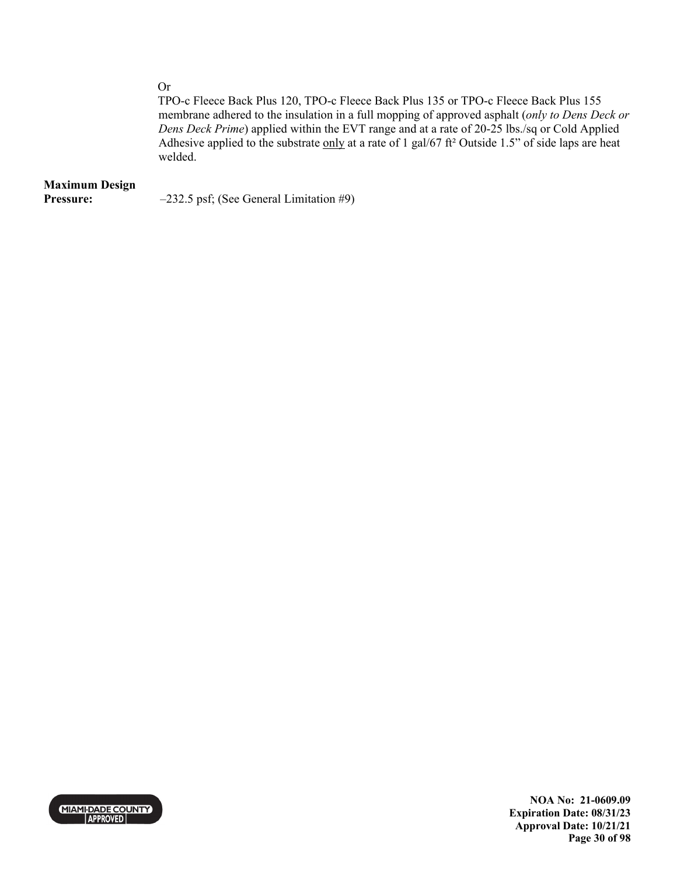Or

TPO-c Fleece Back Plus 120, TPO-c Fleece Back Plus 135 or TPO-c Fleece Back Plus 155 membrane adhered to the insulation in a full mopping of approved asphalt (*only to Dens Deck or Dens Deck Prime*) applied within the EVT range and at a rate of 20-25 lbs./sq or Cold Applied Adhesive applied to the substrate only at a rate of 1 gal/67 ft<sup>2</sup> Outside 1.5" of side laps are heat welded.

# **Maximum Design**

**Pressure:**  $-232.5$  psf; (See General Limitation #9)



**NOA No: 21-0609.09 Expiration Date: 08/31/23 Approval Date: 10/21/21 Page 30 of 98**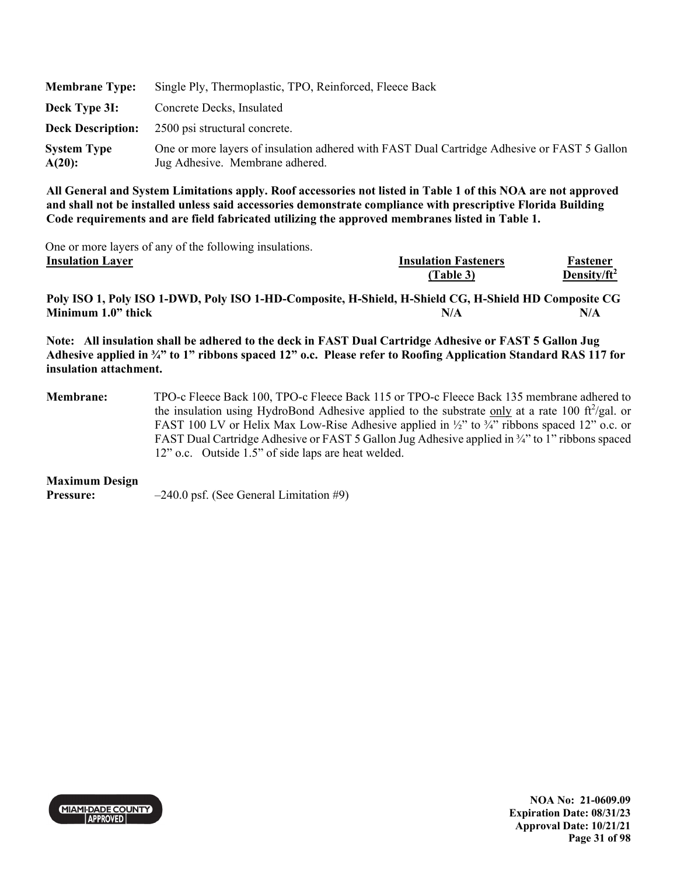| <b>Membrane Type:</b>           | Single Ply, Thermoplastic, TPO, Reinforced, Fleece Back                                                                        |
|---------------------------------|--------------------------------------------------------------------------------------------------------------------------------|
| Deck Type 3I:                   | Concrete Decks, Insulated                                                                                                      |
|                                 | <b>Deck Description:</b> 2500 psi structural concrete.                                                                         |
| <b>System Type</b><br>$A(20)$ : | One or more layers of insulation adhered with FAST Dual Cartridge Adhesive or FAST 5 Gallon<br>Jug Adhesive. Membrane adhered. |

One or more layers of any of the following insulations.<br>Insulation I aver

| Thomation Lavel | THRUIALION PASICIICI S | г аменет        |
|-----------------|------------------------|-----------------|
|                 | Table 3                | Density/ $ft^2$ |
|                 |                        |                 |

**Insulation Layer Insulation Fasteners** 

**Poly ISO 1, Poly ISO 1-DWD, Poly ISO 1-HD-Composite, H-Shield, H-Shield CG, H-Shield HD Composite CG Minimum 1.0" thick N/A 2008 12:00 N/A 2008 12:00 N/A** N/A

**Note: All insulation shall be adhered to the deck in FAST Dual Cartridge Adhesive or FAST 5 Gallon Jug Adhesive applied in ¾" to 1" ribbons spaced 12" o.c. Please refer to Roofing Application Standard RAS 117 for insulation attachment.** 

**Membrane:** TPO-c Fleece Back 100, TPO-c Fleece Back 115 or TPO-c Fleece Back 135 membrane adhered to the insulation using HydroBond Adhesive applied to the substrate  $\frac{only}{}$  at a rate 100 ft<sup>2</sup>/gal. or FAST 100 LV or Helix Max Low-Rise Adhesive applied in  $\frac{1}{2}$ " to  $\frac{3}{4}$ " ribbons spaced 12" o.c. or FAST Dual Cartridge Adhesive or FAST 5 Gallon Jug Adhesive applied in ¾" to 1" ribbons spaced 12" o.c. Outside 1.5" of side laps are heat welded.

#### **Maximum Design**

**Pressure:**  $-240.0 \text{ psf.}$  (See General Limitation #9)



**NOA No: 21-0609.09 Expiration Date: 08/31/23 Approval Date: 10/21/21 Page 31 of 98** 

**Fastener**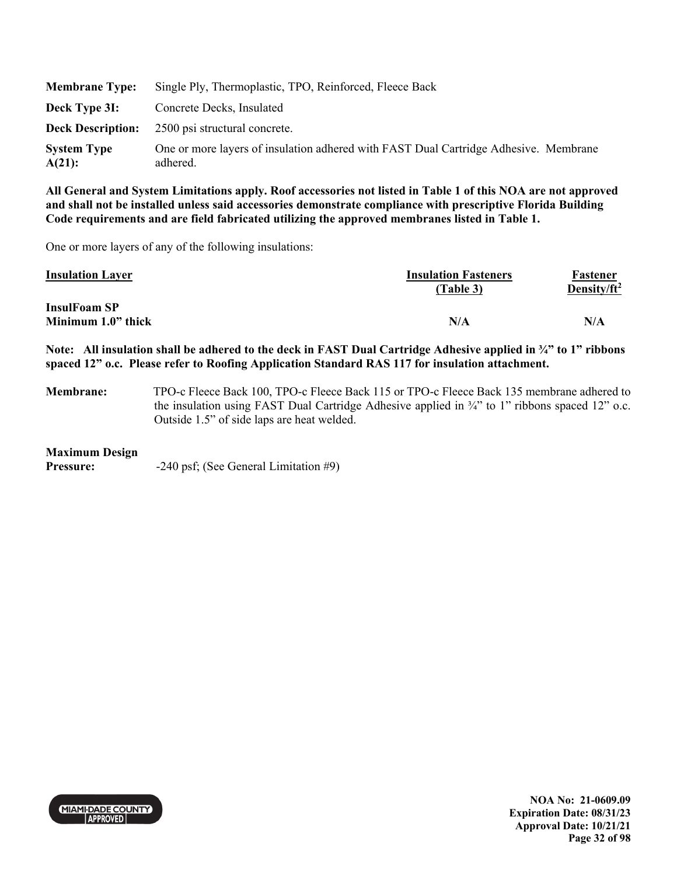| <b>Membrane Type:</b>        | Single Ply, Thermoplastic, TPO, Reinforced, Fleece Back                                          |
|------------------------------|--------------------------------------------------------------------------------------------------|
| Deck Type 3I:                | Concrete Decks, Insulated                                                                        |
| <b>Deck Description:</b>     | 2500 psi structural concrete.                                                                    |
| <b>System Type</b><br>A(21): | One or more layers of insulation adhered with FAST Dual Cartridge Adhesive. Membrane<br>adhered. |

One or more layers of any of the following insulations:

| <b>Insulation Layer</b>                   | <b>Insulation Fasteners</b><br>(Table 3) | Fastener<br>Density/ft <sup>2</sup> |
|-------------------------------------------|------------------------------------------|-------------------------------------|
| <b>InsulFoam SP</b><br>Minimum 1.0" thick | N/A                                      | N/A                                 |

**Note: All insulation shall be adhered to the deck in FAST Dual Cartridge Adhesive applied in ¾" to 1" ribbons spaced 12" o.c. Please refer to Roofing Application Standard RAS 117 for insulation attachment.** 

**Membrane:** TPO-c Fleece Back 100, TPO-c Fleece Back 115 or TPO-c Fleece Back 135 membrane adhered to the insulation using FAST Dual Cartridge Adhesive applied in ¾" to 1" ribbons spaced 12" o.c. Outside 1.5" of side laps are heat welded.

### **Maximum Design**

**Pressure:**  $-240 \text{ psf}$ ; (See General Limitation #9)



**NOA No: 21-0609.09 Expiration Date: 08/31/23 Approval Date: 10/21/21 Page 32 of 98**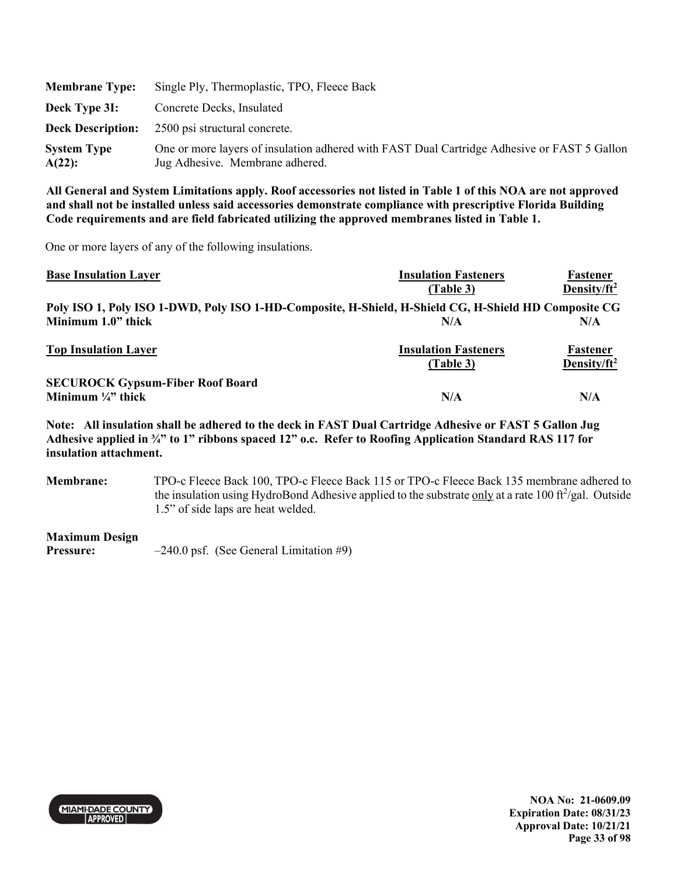| <b>Membrane Type:</b>        | Single Ply, Thermoplastic, TPO, Fleece Back                                                                                    |
|------------------------------|--------------------------------------------------------------------------------------------------------------------------------|
| Deck Type 3I:                | Concrete Decks, Insulated                                                                                                      |
|                              | <b>Deck Description:</b> 2500 psi structural concrete.                                                                         |
| <b>System Type</b><br>A(22): | One or more layers of insulation adhered with FAST Dual Cartridge Adhesive or FAST 5 Gallon<br>Jug Adhesive. Membrane adhered. |

One or more layers of any of the following insulations.

| <b>Base Insulation Layer</b>                                                                         | <b>Insulation Fasteners</b> | Fastener        |
|------------------------------------------------------------------------------------------------------|-----------------------------|-----------------|
|                                                                                                      | (Table 3)                   | Density/ $ft^2$ |
| Poly ISO 1, Poly ISO 1-DWD, Poly ISO 1-HD-Composite, H-Shield, H-Shield CG, H-Shield HD Composite CG |                             |                 |
| Minimum 1.0" thick                                                                                   | N/A                         | N/A             |
| <b>Top Insulation Layer</b>                                                                          | <b>Insulation Fasteners</b> | Fastener        |
|                                                                                                      | (Table 3)                   | Density/ $ft^2$ |
| <b>SECUROCK Gypsum-Fiber Roof Board</b>                                                              |                             |                 |
| Minimum $\frac{1}{4}$ thick                                                                          | N/A                         | N/A             |

**Note: All insulation shall be adhered to the deck in FAST Dual Cartridge Adhesive or FAST 5 Gallon Jug Adhesive applied in ¾" to 1" ribbons spaced 12" o.c. Refer to Roofing Application Standard RAS 117 for insulation attachment.** 

**Membrane:** TPO-c Fleece Back 100, TPO-c Fleece Back 115 or TPO-c Fleece Back 135 membrane adhered to the insulation using HydroBond Adhesive applied to the substrate only at a rate 100 ft<sup>2</sup>/gal. Outside 1.5" of side laps are heat welded.

### **Maximum Design**

**Pressure:**  $-240.0 \text{ psf.}$  (See General Limitation #9)

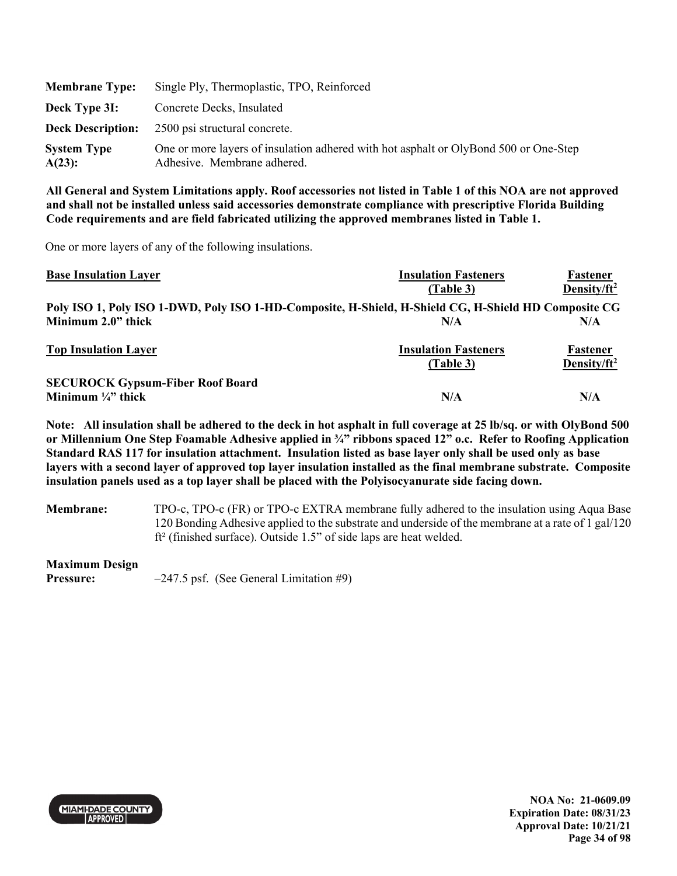| <b>Membrane Type:</b>        | Single Ply, Thermoplastic, TPO, Reinforced                                                                          |
|------------------------------|---------------------------------------------------------------------------------------------------------------------|
| Deck Type 3I:                | Concrete Decks, Insulated                                                                                           |
| <b>Deck Description:</b>     | 2500 psi structural concrete.                                                                                       |
| <b>System Type</b><br>A(23): | One or more layers of insulation adhered with hot asphalt or OlyBond 500 or One-Step<br>Adhesive. Membrane adhered. |

One or more layers of any of the following insulations.

| <b>Base Insulation Layer</b>                                                                         | <b>Insulation Fasteners</b> | Fastener        |
|------------------------------------------------------------------------------------------------------|-----------------------------|-----------------|
|                                                                                                      | (Table 3)                   | Density/ $ft^2$ |
| Poly ISO 1, Poly ISO 1-DWD, Poly ISO 1-HD-Composite, H-Shield, H-Shield CG, H-Shield HD Composite CG |                             |                 |
| Minimum 2.0" thick                                                                                   | N/A                         | N/A             |
| <b>Top Insulation Layer</b>                                                                          | <b>Insulation Fasteners</b> | Fastener        |
|                                                                                                      | (Table 3)                   | Density/ $ft^2$ |
| <b>SECUROCK Gypsum-Fiber Roof Board</b>                                                              |                             |                 |
| Minimum $\frac{1}{4}$ " thick                                                                        | N/A                         | N/A             |

**Note: All insulation shall be adhered to the deck in hot asphalt in full coverage at 25 lb/sq. or with OlyBond 500 or Millennium One Step Foamable Adhesive applied in ¾" ribbons spaced 12" o.c. Refer to Roofing Application Standard RAS 117 for insulation attachment. Insulation listed as base layer only shall be used only as base layers with a second layer of approved top layer insulation installed as the final membrane substrate. Composite insulation panels used as a top layer shall be placed with the Polyisocyanurate side facing down.** 

**Membrane:** TPO-c, TPO-c (FR) or TPO-c EXTRA membrane fully adhered to the insulation using Aqua Base 120 Bonding Adhesive applied to the substrate and underside of the membrane at a rate of 1 gal/120 ft² (finished surface). Outside 1.5" of side laps are heat welded.

### **Maximum Design**

**Pressure:**  $-247.5$  psf. (See General Limitation #9)



**NOA No: 21-0609.09 Expiration Date: 08/31/23 Approval Date: 10/21/21 Page 34 of 98**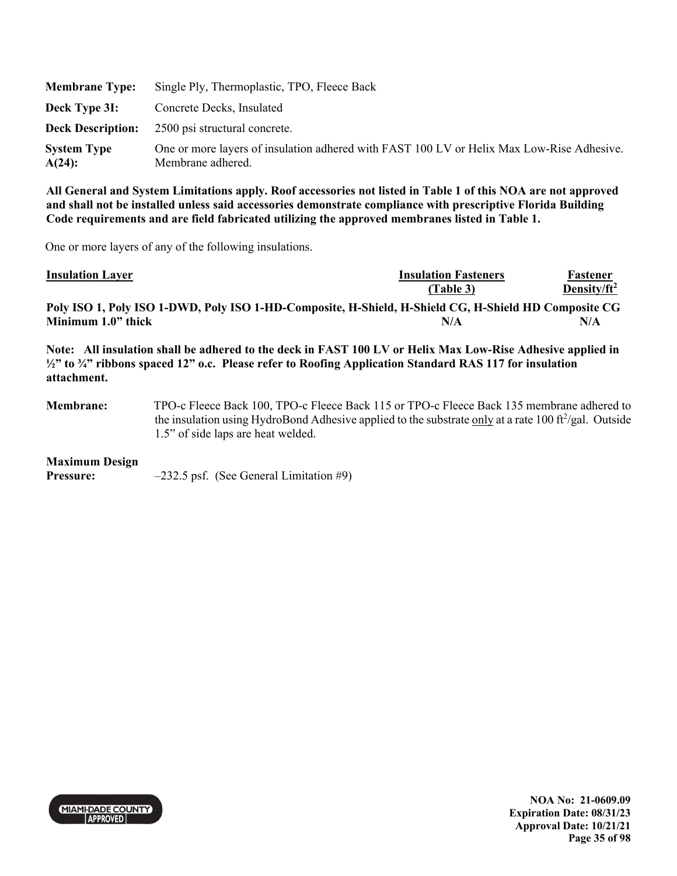| <b>Membrane Type:</b>           | Single Ply, Thermoplastic, TPO, Fleece Back                                                                    |
|---------------------------------|----------------------------------------------------------------------------------------------------------------|
| Deck Type 3I:                   | Concrete Decks, Insulated                                                                                      |
|                                 | <b>Deck Description:</b> 2500 psi structural concrete.                                                         |
| <b>System Type</b><br>$A(24)$ : | One or more layers of insulation adhered with FAST 100 LV or Helix Max Low-Rise Adhesive.<br>Membrane adhered. |

One or more layers of any of the following insulations.

| <b>Insulation Layer</b>                                                                                                                                                                                                                                                           |                                                                                           | <b>Insulation Fasteners</b><br>(Table 3)                                                                    | Fastener<br>Density/ $ft^2$ |  |
|-----------------------------------------------------------------------------------------------------------------------------------------------------------------------------------------------------------------------------------------------------------------------------------|-------------------------------------------------------------------------------------------|-------------------------------------------------------------------------------------------------------------|-----------------------------|--|
|                                                                                                                                                                                                                                                                                   |                                                                                           | Poly ISO 1, Poly ISO 1-DWD, Poly ISO 1-HD-Composite, H-Shield, H-Shield CG, H-Shield HD Composite CG<br>N/A | N/A                         |  |
| Minimum 1.0" thick<br>Note: All insulation shall be adhered to the deck in FAST 100 LV or Helix Max Low-Rise Adhesive applied in<br>$\frac{1}{2}$ " to $\frac{3}{4}$ " ribbons spaced 12" o.c. Please refer to Roofing Application Standard RAS 117 for insulation<br>attachment. |                                                                                           |                                                                                                             |                             |  |
| Membrane:                                                                                                                                                                                                                                                                         | TPO-c Fleece Back 100. TPO-c Fleece Back 115 or TPO-c Fleece Back 135 membrane adhered to |                                                                                                             |                             |  |

**Membrane:** TPO-c Fleece Back 100, TPO-c Fleece Back 115 or TPO-c Fleece Back 135 membrane adhered to the insulation using HydroBond Adhesive applied to the substrate only at a rate 100 ft<sup>2</sup>/gal. Outside 1.5" of side laps are heat welded.

### **Maximum Design**

**Pressure:**  $-232.5$  psf. (See General Limitation #9)

MIAMI-DADE COUNTY

**NOA No: 21-0609.09 Expiration Date: 08/31/23 Approval Date: 10/21/21 Page 35 of 98**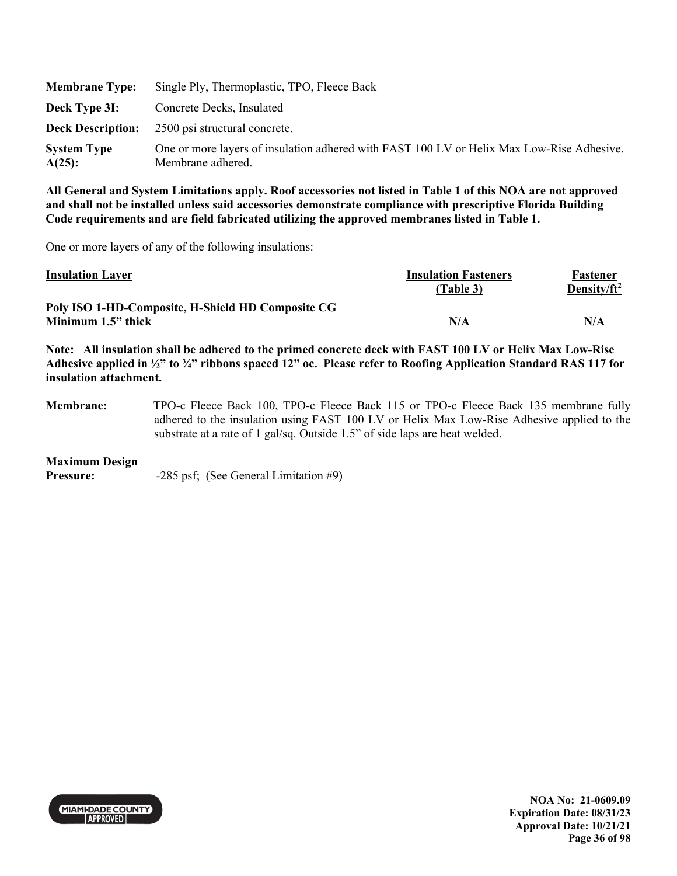| <b>Membrane Type:</b>           | Single Ply, Thermoplastic, TPO, Fleece Back                                                                    |
|---------------------------------|----------------------------------------------------------------------------------------------------------------|
| Deck Type 3I:                   | Concrete Decks, Insulated                                                                                      |
|                                 | <b>Deck Description:</b> 2500 psi structural concrete.                                                         |
| <b>System Type</b><br>$A(25)$ : | One or more layers of insulation adhered with FAST 100 LV or Helix Max Low-Rise Adhesive.<br>Membrane adhered. |

One or more layers of any of the following insulations:

| <b>Insulation Layer</b>                           | <b>Insulation Fasteners</b><br>(Table 3) | Fastener<br>Density/ft <sup>2</sup> |
|---------------------------------------------------|------------------------------------------|-------------------------------------|
| Poly ISO 1-HD-Composite, H-Shield HD Composite CG |                                          |                                     |
| Minimum 1.5" thick                                | N/A                                      | N/A                                 |

**Note: All insulation shall be adhered to the primed concrete deck with FAST 100 LV or Helix Max Low-Rise Adhesive applied in ½" to ¾" ribbons spaced 12" oc. Please refer to Roofing Application Standard RAS 117 for insulation attachment.** 

**Membrane:** TPO-c Fleece Back 100, TPO-c Fleece Back 115 or TPO-c Fleece Back 135 membrane fully adhered to the insulation using FAST 100 LV or Helix Max Low-Rise Adhesive applied to the substrate at a rate of 1 gal/sq. Outside 1.5" of side laps are heat welded.

### **Maximum Design**

**Pressure:**  $-285 \text{ psf}$ ; (See General Limitation #9)



**NOA No: 21-0609.09 Expiration Date: 08/31/23 Approval Date: 10/21/21 Page 36 of 98**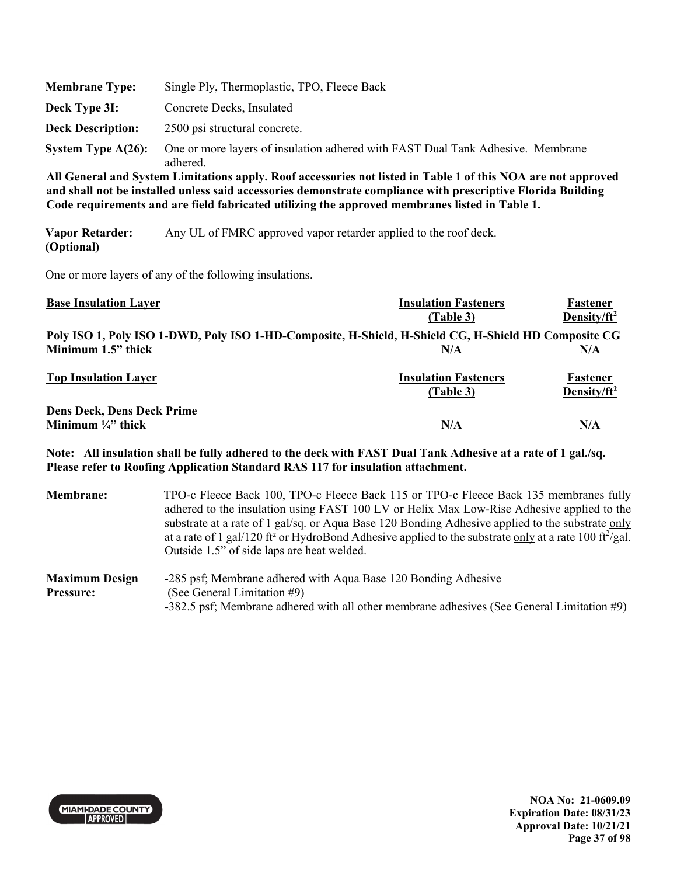| <b>Membrane Type:</b>    | Single Ply, Thermoplastic, TPO, Fleece Back                                                 |
|--------------------------|---------------------------------------------------------------------------------------------|
| Deck Type 3I:            | Concrete Decks, Insulated                                                                   |
| <b>Deck Description:</b> | 2500 psi structural concrete.                                                               |
| System Type $A(26)$ :    | One or more layers of insulation adhered with FAST Dual Tank Adhesive. Membrane<br>adhered. |

**Vapor Retarder: (Optional)**  Any UL of FMRC approved vapor retarder applied to the roof deck.

One or more layers of any of the following insulations.

| <b>Base Insulation Layer</b>                                                                         | <b>Insulation Fasteners</b> | <b>Fastener</b>         |
|------------------------------------------------------------------------------------------------------|-----------------------------|-------------------------|
|                                                                                                      | (Table 3)                   | Density/ft <sup>2</sup> |
| Poly ISO 1, Poly ISO 1-DWD, Poly ISO 1-HD-Composite, H-Shield, H-Shield CG, H-Shield HD Composite CG |                             |                         |
| Minimum 1.5" thick                                                                                   | N/A                         | N/A                     |
| <b>Top Insulation Layer</b>                                                                          | <b>Insulation Fasteners</b> | Fastener                |
|                                                                                                      | (Table 3)                   | Density/ft <sup>2</sup> |
| <b>Dens Deck, Dens Deck Prime</b>                                                                    |                             |                         |
| Minimum $\frac{1}{4}$ thick                                                                          | N/A                         | N/A                     |

**Note: All insulation shall be fully adhered to the deck with FAST Dual Tank Adhesive at a rate of 1 gal./sq. Please refer to Roofing Application Standard RAS 117 for insulation attachment.** 

**Membrane:** TPO-c Fleece Back 100, TPO-c Fleece Back 115 or TPO-c Fleece Back 135 membranes fully adhered to the insulation using FAST 100 LV or Helix Max Low-Rise Adhesive applied to the substrate at a rate of 1 gal/sq. or Aqua Base 120 Bonding Adhesive applied to the substrate only at a rate of 1 gal/120 ft<sup>2</sup> or HydroBond Adhesive applied to the substrate only at a rate 100 ft $^2$ /gal. Outside 1.5" of side laps are heat welded. **Maximum Design**  -285 psf; Membrane adhered with Aqua Base 120 Bonding Adhesive

#### **Pressure:**  (See General Limitation #9) -382.5 psf; Membrane adhered with all other membrane adhesives (See General Limitation #9)

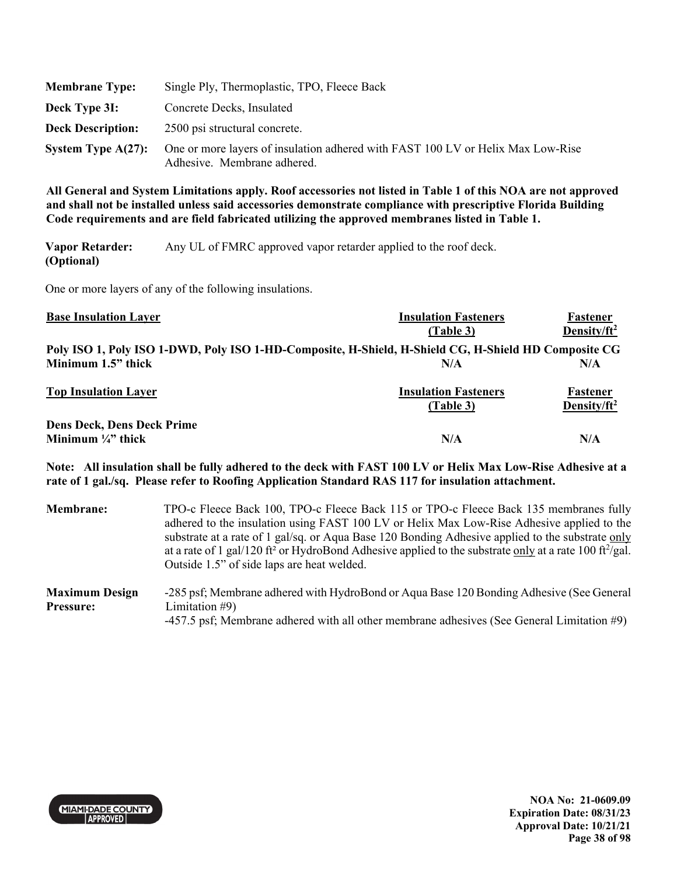| <b>Membrane Type:</b>    | Single Ply, Thermoplastic, TPO, Fleece Back                                                                    |
|--------------------------|----------------------------------------------------------------------------------------------------------------|
| Deck Type 3I:            | Concrete Decks, Insulated                                                                                      |
| <b>Deck Description:</b> | 2500 psi structural concrete.                                                                                  |
| System Type $A(27)$ :    | One or more layers of insulation adhered with FAST 100 LV or Helix Max Low-Rise<br>Adhesive. Membrane adhered. |

**Vapor Retarder: (Optional)**  Any UL of FMRC approved vapor retarder applied to the roof deck.

One or more layers of any of the following insulations.

| <b>Base Insulation Layer</b>                                                                         | <b>Insulation Fasteners</b> | Fastener                |
|------------------------------------------------------------------------------------------------------|-----------------------------|-------------------------|
|                                                                                                      | (Table 3)                   | Density/ $ft^2$         |
| Poly ISO 1, Poly ISO 1-DWD, Poly ISO 1-HD-Composite, H-Shield, H-Shield CG, H-Shield HD Composite CG |                             |                         |
| Minimum 1.5" thick                                                                                   | N/A                         | N/A                     |
| <b>Top Insulation Layer</b>                                                                          | <b>Insulation Fasteners</b> | Fastener                |
|                                                                                                      | (Table 3)                   | Density/ft <sup>2</sup> |
| <b>Dens Deck, Dens Deck Prime</b>                                                                    |                             |                         |
| Minimum $\frac{1}{4}$ " thick                                                                        | N/A                         | N/A                     |

**Note: All insulation shall be fully adhered to the deck with FAST 100 LV or Helix Max Low-Rise Adhesive at a rate of 1 gal./sq. Please refer to Roofing Application Standard RAS 117 for insulation attachment.** 

| <b>Membrane:</b>                          | TPO-c Fleece Back 100, TPO-c Fleece Back 115 or TPO-c Fleece Back 135 membranes fully<br>adhered to the insulation using FAST 100 LV or Helix Max Low-Rise Adhesive applied to the<br>substrate at a rate of 1 gal/sq. or Aqua Base 120 Bonding Adhesive applied to the substrate only<br>at a rate of 1 gal/120 ft <sup>2</sup> or HydroBond Adhesive applied to the substrate only at a rate 100 ft <sup>2</sup> /gal.<br>Outside 1.5" of side laps are heat welded. |
|-------------------------------------------|------------------------------------------------------------------------------------------------------------------------------------------------------------------------------------------------------------------------------------------------------------------------------------------------------------------------------------------------------------------------------------------------------------------------------------------------------------------------|
| <b>Maximum Design</b><br><b>Pressure:</b> | -285 psf; Membrane adhered with HydroBond or Aqua Base 120 Bonding Adhesive (See General<br>Limitation $#9$ )<br>-457.5 psf; Membrane adhered with all other membrane adhesives (See General Limitation #9)                                                                                                                                                                                                                                                            |



**NOA No: 21-0609.09 Expiration Date: 08/31/23 Approval Date: 10/21/21 Page 38 of 98**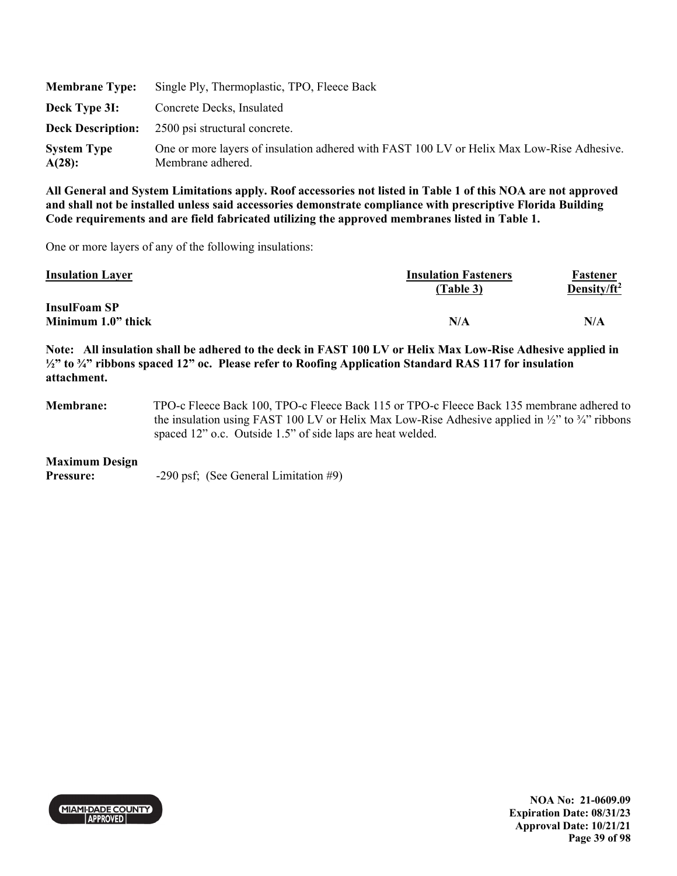| <b>Membrane Type:</b>        | Single Ply, Thermoplastic, TPO, Fleece Back                                                                    |
|------------------------------|----------------------------------------------------------------------------------------------------------------|
| Deck Type 3I:                | Concrete Decks, Insulated                                                                                      |
|                              | <b>Deck Description:</b> 2500 psi structural concrete.                                                         |
| <b>System Type</b><br>A(28): | One or more layers of insulation adhered with FAST 100 LV or Helix Max Low-Rise Adhesive.<br>Membrane adhered. |

One or more layers of any of the following insulations:

| <b>Insulation Layer</b>                   | <b>Insulation Fasteners</b><br>(Table 3) | Fastener<br>Density/ft <sup>2</sup> |
|-------------------------------------------|------------------------------------------|-------------------------------------|
| <b>InsulFoam SP</b><br>Minimum 1.0" thick | N/A                                      | N/A                                 |

**Note: All insulation shall be adhered to the deck in FAST 100 LV or Helix Max Low-Rise Adhesive applied in ½" to ¾" ribbons spaced 12" oc. Please refer to Roofing Application Standard RAS 117 for insulation attachment.** 

**Membrane:** TPO-c Fleece Back 100, TPO-c Fleece Back 115 or TPO-c Fleece Back 135 membrane adhered to the insulation using FAST 100 LV or Helix Max Low-Rise Adhesive applied in  $\frac{1}{2}$  to  $\frac{3}{4}$  ribbons spaced 12" o.c. Outside 1.5" of side laps are heat welded.

### **Maximum Design**

**Pressure:**  $-290 \text{ psf}$ ; (See General Limitation #9)



**NOA No: 21-0609.09 Expiration Date: 08/31/23 Approval Date: 10/21/21 Page 39 of 98**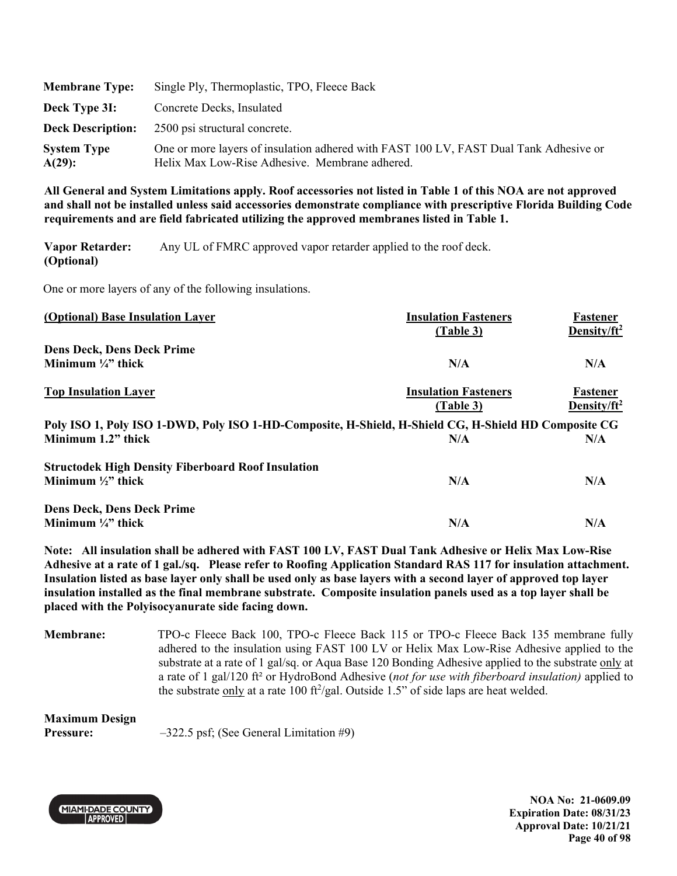| <b>Membrane Type:</b>           | Single Ply, Thermoplastic, TPO, Fleece Back                                                                                             |
|---------------------------------|-----------------------------------------------------------------------------------------------------------------------------------------|
| Deck Type 3I:                   | Concrete Decks, Insulated                                                                                                               |
| <b>Deck Description:</b>        | 2500 psi structural concrete.                                                                                                           |
| <b>System Type</b><br>$A(29)$ : | One or more layers of insulation adhered with FAST 100 LV, FAST Dual Tank Adhesive or<br>Helix Max Low-Rise Adhesive. Membrane adhered. |

**Vapor Retarder: (Optional)**  Any UL of FMRC approved vapor retarder applied to the roof deck.

One or more layers of any of the following insulations.

| (Optional) Base Insulation Layer                                                                     | <b>Insulation Fasteners</b> | Fastener                |
|------------------------------------------------------------------------------------------------------|-----------------------------|-------------------------|
|                                                                                                      | (Table 3)                   | Density/ $ft^2$         |
| <b>Dens Deck, Dens Deck Prime</b>                                                                    |                             |                         |
| Minimum $\frac{1}{4}$ " thick                                                                        | N/A                         | N/A                     |
| <b>Top Insulation Layer</b>                                                                          | <b>Insulation Fasteners</b> | Fastener                |
|                                                                                                      | (Table 3)                   | Density/ft <sup>2</sup> |
| Poly ISO 1, Poly ISO 1-DWD, Poly ISO 1-HD-Composite, H-Shield, H-Shield CG, H-Shield HD Composite CG |                             |                         |
| Minimum 1.2" thick                                                                                   | N/A                         | N/A                     |
| <b>Structodek High Density Fiberboard Roof Insulation</b>                                            |                             |                         |
| Minimum $\frac{1}{2}$ " thick                                                                        | N/A                         | N/A                     |
| <b>Dens Deck, Dens Deck Prime</b>                                                                    |                             |                         |
| Minimum $\frac{1}{4}$ " thick                                                                        | N/A                         | N/A                     |

**Note: All insulation shall be adhered with FAST 100 LV, FAST Dual Tank Adhesive or Helix Max Low-Rise Adhesive at a rate of 1 gal./sq. Please refer to Roofing Application Standard RAS 117 for insulation attachment. Insulation listed as base layer only shall be used only as base layers with a second layer of approved top layer insulation installed as the final membrane substrate. Composite insulation panels used as a top layer shall be placed with the Polyisocyanurate side facing down.** 

**Membrane:** TPO-c Fleece Back 100, TPO-c Fleece Back 115 or TPO-c Fleece Back 135 membrane fully adhered to the insulation using FAST 100 LV or Helix Max Low-Rise Adhesive applied to the substrate at a rate of 1 gal/sq. or Aqua Base 120 Bonding Adhesive applied to the substrate only at a rate of 1 gal/120 ft² or HydroBond Adhesive (*not for use with fiberboard insulation)* applied to the substrate only at a rate 100  $\frac{\text{ft}^2}{\text{gal}}$ . Outside 1.5" of side laps are heat welded.

| <b>Maximum Design</b> |                                           |
|-----------------------|-------------------------------------------|
| <b>Pressure:</b>      | $-322.5$ psf; (See General Limitation #9) |



**NOA No: 21-0609.09 Expiration Date: 08/31/23 Approval Date: 10/21/21 Page 40 of 98**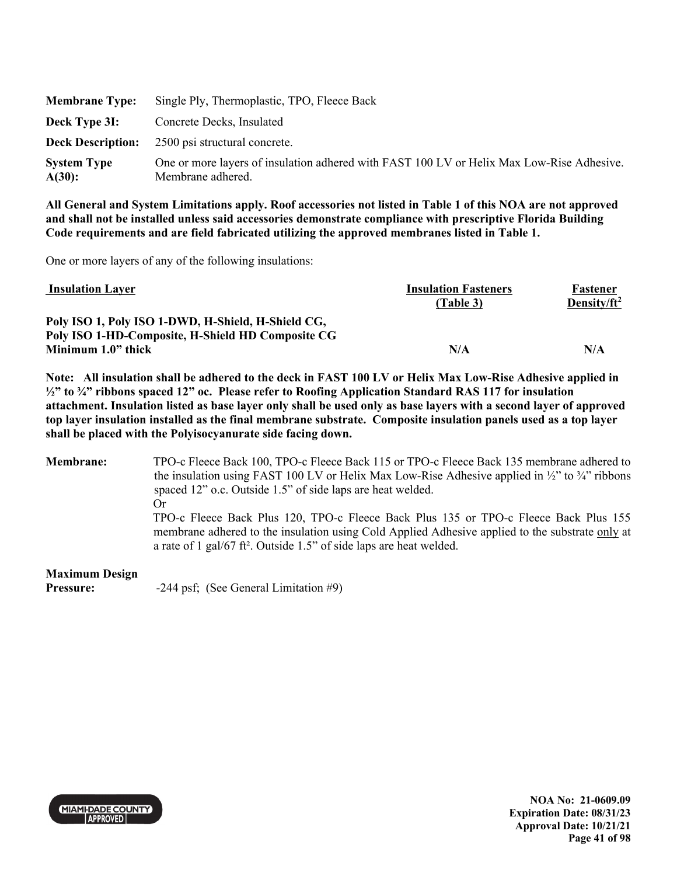| <b>Membrane Type:</b>        | Single Ply, Thermoplastic, TPO, Fleece Back                                                                    |
|------------------------------|----------------------------------------------------------------------------------------------------------------|
| Deck Type 3I:                | Concrete Decks, Insulated                                                                                      |
|                              | <b>Deck Description:</b> 2500 psi structural concrete.                                                         |
| <b>System Type</b><br>A(30): | One or more layers of insulation adhered with FAST 100 LV or Helix Max Low-Rise Adhesive.<br>Membrane adhered. |

One or more layers of any of the following insulations:

| <b>Insulation Layer</b>                            | <b>Insulation Fasteners</b> | Fastener        |
|----------------------------------------------------|-----------------------------|-----------------|
|                                                    | (Table 3)                   | Density/ $ft^2$ |
| Poly ISO 1, Poly ISO 1-DWD, H-Shield, H-Shield CG, |                             |                 |
| Poly ISO 1-HD-Composite, H-Shield HD Composite CG  |                             |                 |
| Minimum 1.0" thick                                 | N/A                         | N/A             |

**Note: All insulation shall be adhered to the deck in FAST 100 LV or Helix Max Low-Rise Adhesive applied in ½" to ¾" ribbons spaced 12" oc. Please refer to Roofing Application Standard RAS 117 for insulation attachment. Insulation listed as base layer only shall be used only as base layers with a second layer of approved top layer insulation installed as the final membrane substrate. Composite insulation panels used as a top layer shall be placed with the Polyisocyanurate side facing down.** 

**Membrane:** TPO-c Fleece Back 100, TPO-c Fleece Back 115 or TPO-c Fleece Back 135 membrane adhered to the insulation using FAST 100 LV or Helix Max Low-Rise Adhesive applied in  $\frac{1}{2}$  to  $\frac{3}{4}$  ribbons spaced 12" o.c. Outside 1.5" of side laps are heat welded. Or TPO-c Fleece Back Plus 120, TPO-c Fleece Back Plus 135 or TPO-c Fleece Back Plus 155 membrane adhered to the insulation using Cold Applied Adhesive applied to the substrate only at a rate of 1 gal/67 ft². Outside 1.5" of side laps are heat welded.

**Maximum Design Pressure:**  $-244 \text{ psf}$ ; (See General Limitation #9)



**NOA No: 21-0609.09 Expiration Date: 08/31/23 Approval Date: 10/21/21 Page 41 of 98**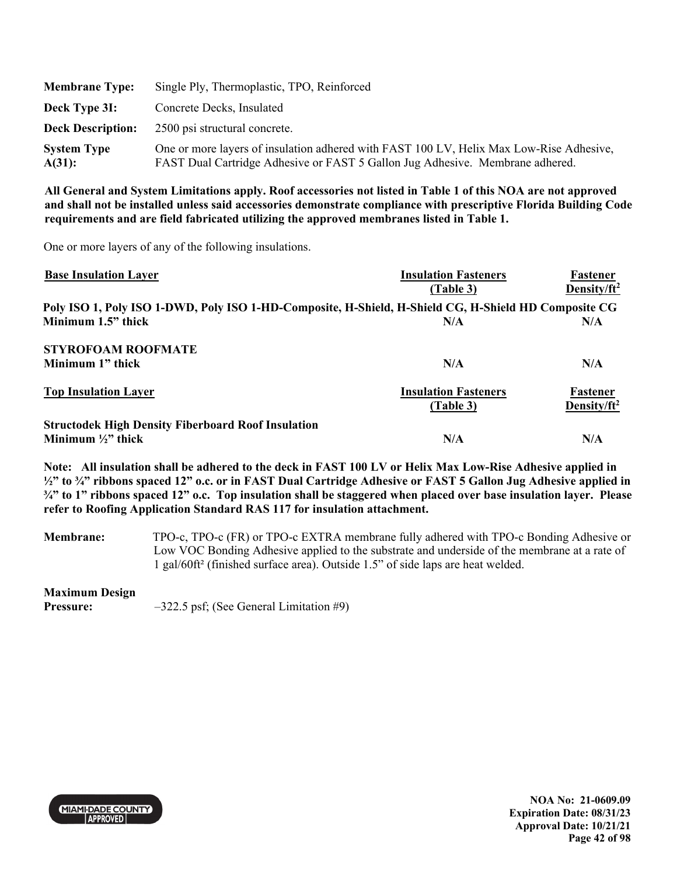| <b>Membrane Type:</b>        | Single Ply, Thermoplastic, TPO, Reinforced                                                                                                                               |
|------------------------------|--------------------------------------------------------------------------------------------------------------------------------------------------------------------------|
| Deck Type 3I:                | Concrete Decks, Insulated                                                                                                                                                |
| <b>Deck Description:</b>     | 2500 psi structural concrete.                                                                                                                                            |
| <b>System Type</b><br>A(31): | One or more layers of insulation adhered with FAST 100 LV, Helix Max Low-Rise Adhesive,<br>FAST Dual Cartridge Adhesive or FAST 5 Gallon Jug Adhesive. Membrane adhered. |

One or more layers of any of the following insulations.

| <b>Base Insulation Layer</b>                                                                         | <b>Insulation Fasteners</b> | Fastener                |
|------------------------------------------------------------------------------------------------------|-----------------------------|-------------------------|
|                                                                                                      | (Table 3)                   | Density/ft <sup>2</sup> |
| Poly ISO 1, Poly ISO 1-DWD, Poly ISO 1-HD-Composite, H-Shield, H-Shield CG, H-Shield HD Composite CG |                             |                         |
| Minimum 1.5" thick                                                                                   | N/A                         | N/A                     |
| <b>STYROFOAM ROOFMATE</b>                                                                            |                             |                         |
| Minimum 1" thick                                                                                     | N/A                         | N/A                     |
| <b>Top Insulation Layer</b>                                                                          | <b>Insulation Fasteners</b> | Fastener                |
|                                                                                                      | (Table 3)                   | Density/ft <sup>2</sup> |
| <b>Structodek High Density Fiberboard Roof Insulation</b>                                            |                             |                         |
| Minimum $\frac{1}{2}$ " thick                                                                        | N/A                         | N/A                     |

**Note: All insulation shall be adhered to the deck in FAST 100 LV or Helix Max Low-Rise Adhesive applied in ½" to ¾" ribbons spaced 12" o.c. or in FAST Dual Cartridge Adhesive or FAST 5 Gallon Jug Adhesive applied in ¾" to 1" ribbons spaced 12" o.c. Top insulation shall be staggered when placed over base insulation layer. Please refer to Roofing Application Standard RAS 117 for insulation attachment.** 

**Membrane:** TPO-c, TPO-c (FR) or TPO-c EXTRA membrane fully adhered with TPO-c Bonding Adhesive or Low VOC Bonding Adhesive applied to the substrate and underside of the membrane at a rate of 1 gal/60ft² (finished surface area). Outside 1.5" of side laps are heat welded.

### **Maximum Design**

**Pressure:**  $-322.5$  psf; (See General Limitation #9)

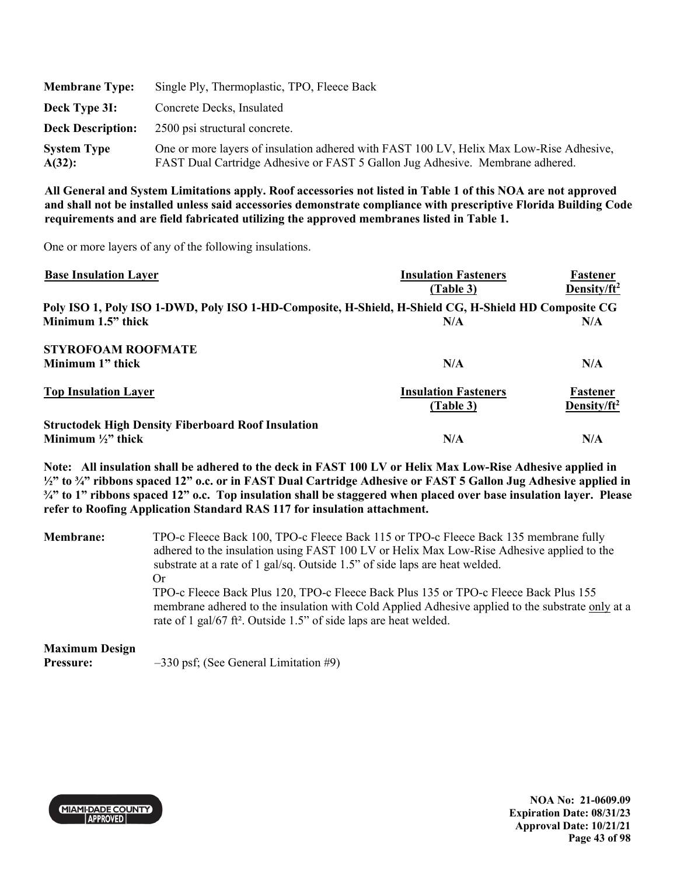| <b>Membrane Type:</b>           | Single Ply, Thermoplastic, TPO, Fleece Back                                                                                                                              |
|---------------------------------|--------------------------------------------------------------------------------------------------------------------------------------------------------------------------|
| Deck Type 3I:                   | Concrete Decks, Insulated                                                                                                                                                |
| <b>Deck Description:</b>        | 2500 psi structural concrete.                                                                                                                                            |
| <b>System Type</b><br>$A(32)$ : | One or more layers of insulation adhered with FAST 100 LV, Helix Max Low-Rise Adhesive,<br>FAST Dual Cartridge Adhesive or FAST 5 Gallon Jug Adhesive. Membrane adhered. |

One or more layers of any of the following insulations.

| <b>Base Insulation Layer</b>                                                                         | <b>Insulation Fasteners</b> | Fastener                |
|------------------------------------------------------------------------------------------------------|-----------------------------|-------------------------|
|                                                                                                      | (Table 3)                   | Density/ft <sup>2</sup> |
| Poly ISO 1, Poly ISO 1-DWD, Poly ISO 1-HD-Composite, H-Shield, H-Shield CG, H-Shield HD Composite CG |                             |                         |
| Minimum 1.5" thick                                                                                   | N/A                         | N/A                     |
| <b>STYROFOAM ROOFMATE</b>                                                                            |                             |                         |
| Minimum 1" thick                                                                                     | N/A                         | N/A                     |
| <b>Top Insulation Layer</b>                                                                          | <b>Insulation Fasteners</b> | Fastener                |
|                                                                                                      | (Table 3)                   | Density/ft <sup>2</sup> |
| <b>Structodek High Density Fiberboard Roof Insulation</b>                                            |                             |                         |
| Minimum $\frac{1}{2}$ " thick                                                                        | N/A                         | N/A                     |

**Note: All insulation shall be adhered to the deck in FAST 100 LV or Helix Max Low-Rise Adhesive applied in ½" to ¾" ribbons spaced 12" o.c. or in FAST Dual Cartridge Adhesive or FAST 5 Gallon Jug Adhesive applied in ¾" to 1" ribbons spaced 12" o.c. Top insulation shall be staggered when placed over base insulation layer. Please refer to Roofing Application Standard RAS 117 for insulation attachment.** 

| Membrane:             | TPO-c Fleece Back 100, TPO-c Fleece Back 115 or TPO-c Fleece Back 135 membrane fully<br>adhered to the insulation using FAST 100 LV or Helix Max Low-Rise Adhesive applied to the<br>substrate at a rate of 1 gal/sq. Outside 1.5" of side laps are heat welded.<br>Or<br>TPO-c Fleece Back Plus 120, TPO-c Fleece Back Plus 135 or TPO-c Fleece Back Plus 155<br>membrane adhered to the insulation with Cold Applied Adhesive applied to the substrate only at a<br>rate of 1 gal/67 ft <sup>2</sup> . Outside 1.5" of side laps are heat welded. |
|-----------------------|-----------------------------------------------------------------------------------------------------------------------------------------------------------------------------------------------------------------------------------------------------------------------------------------------------------------------------------------------------------------------------------------------------------------------------------------------------------------------------------------------------------------------------------------------------|
| <b>Maximum Design</b> |                                                                                                                                                                                                                                                                                                                                                                                                                                                                                                                                                     |

**Pressure:**  $-330 \text{ psf}$ ; (See General Limitation #9)



**NOA No: 21-0609.09 Expiration Date: 08/31/23 Approval Date: 10/21/21 Page 43 of 98**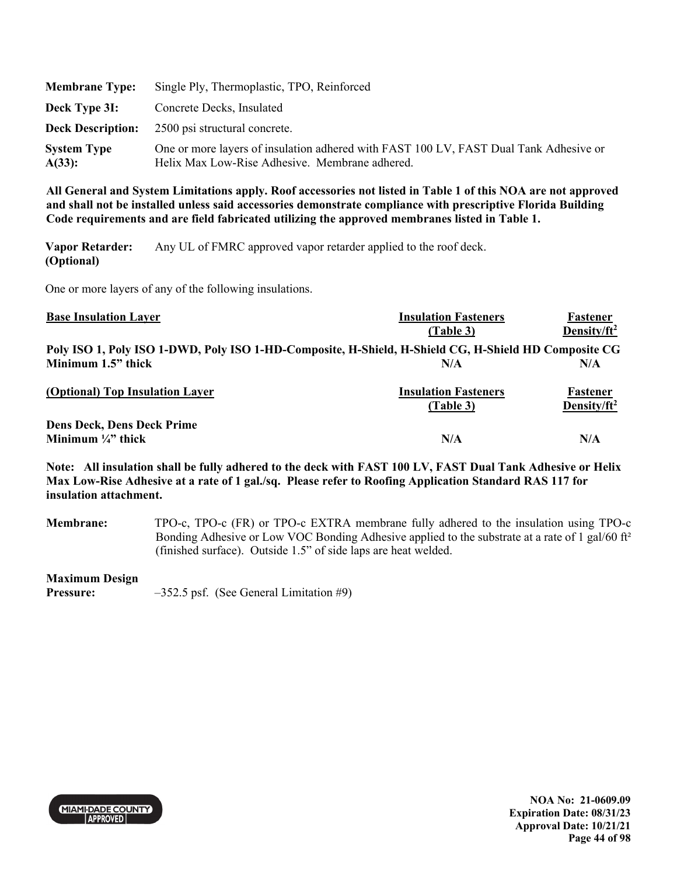| <b>Membrane Type:</b>        | Single Ply, Thermoplastic, TPO, Reinforced                                                                                              |
|------------------------------|-----------------------------------------------------------------------------------------------------------------------------------------|
| Deck Type 3I:                | Concrete Decks, Insulated                                                                                                               |
|                              | <b>Deck Description:</b> 2500 psi structural concrete.                                                                                  |
| <b>System Type</b><br>A(33): | One or more layers of insulation adhered with FAST 100 LV, FAST Dual Tank Adhesive or<br>Helix Max Low-Rise Adhesive. Membrane adhered. |

**Vapor Retarder: (Optional)**  Any UL of FMRC approved vapor retarder applied to the roof deck.

One or more layers of any of the following insulations.

| <b>Base Insulation Layer</b>                                                                         | <b>Insulation Fasteners</b> | Fastener                |
|------------------------------------------------------------------------------------------------------|-----------------------------|-------------------------|
|                                                                                                      | (Table 3)                   | Density/ft <sup>2</sup> |
| Poly ISO 1, Poly ISO 1-DWD, Poly ISO 1-HD-Composite, H-Shield, H-Shield CG, H-Shield HD Composite CG |                             |                         |
| Minimum 1.5" thick                                                                                   | N/A                         | N/A                     |
| (Optional) Top Insulation Layer                                                                      | <b>Insulation Fasteners</b> | Fastener                |
|                                                                                                      | (Table 3)                   | Density/ft <sup>2</sup> |
| <b>Dens Deck, Dens Deck Prime</b>                                                                    |                             |                         |
| Minimum $\frac{1}{4}$ " thick                                                                        | N/A                         | N/A                     |

**Note: All insulation shall be fully adhered to the deck with FAST 100 LV, FAST Dual Tank Adhesive or Helix Max Low-Rise Adhesive at a rate of 1 gal./sq. Please refer to Roofing Application Standard RAS 117 for insulation attachment.** 

**Membrane:** TPO-c, TPO-c (FR) or TPO-c EXTRA membrane fully adhered to the insulation using TPO-c Bonding Adhesive or Low VOC Bonding Adhesive applied to the substrate at a rate of 1 gal/60 ft<sup>2</sup> (finished surface). Outside 1.5" of side laps are heat welded.

### **Maximum Design**

**Pressure:**  $-352.5$  psf. (See General Limitation #9)

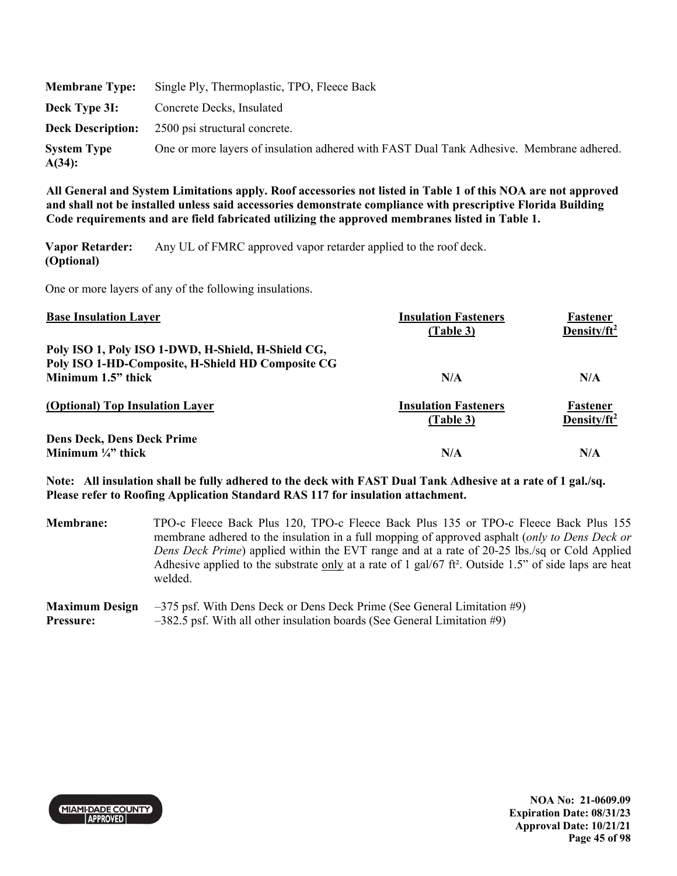| <b>Membrane Type:</b>        | Single Ply, Thermoplastic, TPO, Fleece Back                                              |
|------------------------------|------------------------------------------------------------------------------------------|
| Deck Type 3I:                | Concrete Decks, Insulated                                                                |
|                              | <b>Deck Description:</b> 2500 psi structural concrete.                                   |
| <b>System Type</b><br>A(34): | One or more layers of insulation adhered with FAST Dual Tank Adhesive. Membrane adhered. |

**Vapor Retarder: (Optional)**  Any UL of FMRC approved vapor retarder applied to the roof deck.

One or more layers of any of the following insulations.

| <b>Base Insulation Layer</b>                       | <b>Insulation Fasteners</b><br>(Table 3) | Fastener<br>Density/ft <sup>2</sup> |
|----------------------------------------------------|------------------------------------------|-------------------------------------|
| Poly ISO 1, Poly ISO 1-DWD, H-Shield, H-Shield CG, |                                          |                                     |
| Poly ISO 1-HD-Composite, H-Shield HD Composite CG  |                                          |                                     |
| Minimum 1.5" thick                                 | N/A                                      | N/A                                 |
| (Optional) Top Insulation Layer                    | <b>Insulation Fasteners</b><br>(Table 3) | Fastener<br>Density/ft <sup>2</sup> |
| <b>Dens Deck, Dens Deck Prime</b>                  |                                          |                                     |
| Minimum $\frac{1}{4}$ thick                        | N/A                                      | N/A                                 |

**Note: All insulation shall be fully adhered to the deck with FAST Dual Tank Adhesive at a rate of 1 gal./sq. Please refer to Roofing Application Standard RAS 117 for insulation attachment.** 

**Membrane:** TPO-c Fleece Back Plus 120, TPO-c Fleece Back Plus 135 or TPO-c Fleece Back Plus 155 membrane adhered to the insulation in a full mopping of approved asphalt (*only to Dens Deck or Dens Deck Prime*) applied within the EVT range and at a rate of 20-25 lbs./sq or Cold Applied Adhesive applied to the substrate only at a rate of 1 gal/67 ft<sup>2</sup>. Outside 1.5" of side laps are heat welded.

#### **Maximum Design Pressure:**  –375 psf. With Dens Deck or Dens Deck Prime (See General Limitation #9) –382.5 psf. With all other insulation boards (See General Limitation #9)



**NOA No: 21-0609.09 Expiration Date: 08/31/23 Approval Date: 10/21/21 Page 45 of 98**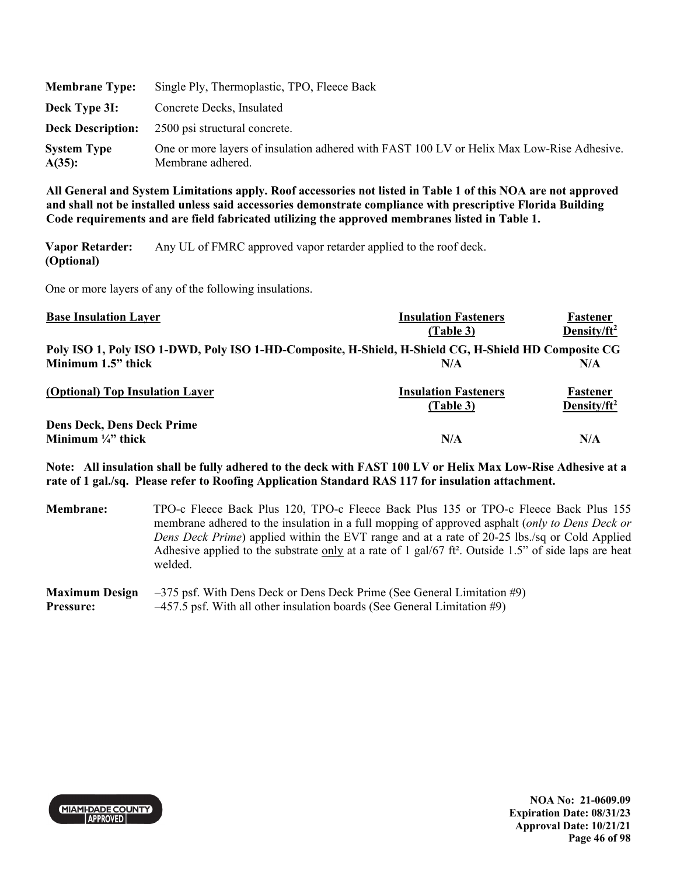| <b>Membrane Type:</b>           | Single Ply, Thermoplastic, TPO, Fleece Back                                                                    |
|---------------------------------|----------------------------------------------------------------------------------------------------------------|
| Deck Type 3I:                   | Concrete Decks, Insulated                                                                                      |
|                                 | <b>Deck Description:</b> 2500 psi structural concrete.                                                         |
| <b>System Type</b><br>$A(35)$ : | One or more layers of insulation adhered with FAST 100 LV or Helix Max Low-Rise Adhesive.<br>Membrane adhered. |

**Vapor Retarder: (Optional)**  Any UL of FMRC approved vapor retarder applied to the roof deck.

One or more layers of any of the following insulations.

| <b>Base Insulation Layer</b>                                                                         | <b>Insulation Fasteners</b> | Fastener                |
|------------------------------------------------------------------------------------------------------|-----------------------------|-------------------------|
|                                                                                                      | (Table 3)                   | Density/ft <sup>2</sup> |
| Poly ISO 1, Poly ISO 1-DWD, Poly ISO 1-HD-Composite, H-Shield, H-Shield CG, H-Shield HD Composite CG |                             |                         |
| Minimum 1.5" thick                                                                                   | N/A                         | N/A                     |
| (Optional) Top Insulation Layer                                                                      | <b>Insulation Fasteners</b> | Fastener                |
|                                                                                                      | (Table 3)                   | Density/ft <sup>2</sup> |
| <b>Dens Deck, Dens Deck Prime</b>                                                                    |                             |                         |
| Minimum $\frac{1}{4}$ thick                                                                          | N/A                         | N/A                     |

**Note: All insulation shall be fully adhered to the deck with FAST 100 LV or Helix Max Low-Rise Adhesive at a rate of 1 gal./sq. Please refer to Roofing Application Standard RAS 117 for insulation attachment.** 

**Membrane:** TPO-c Fleece Back Plus 120, TPO-c Fleece Back Plus 135 or TPO-c Fleece Back Plus 155 membrane adhered to the insulation in a full mopping of approved asphalt (*only to Dens Deck or Dens Deck Prime*) applied within the EVT range and at a rate of 20-25 lbs./sq or Cold Applied Adhesive applied to the substrate only at a rate of 1 gal/67 ft². Outside 1.5" of side laps are heat welded.

#### **Maximum Design Pressure:**  –375 psf. With Dens Deck or Dens Deck Prime (See General Limitation #9) –457.5 psf. With all other insulation boards (See General Limitation #9)



**NOA No: 21-0609.09 Expiration Date: 08/31/23 Approval Date: 10/21/21 Page 46 of 98**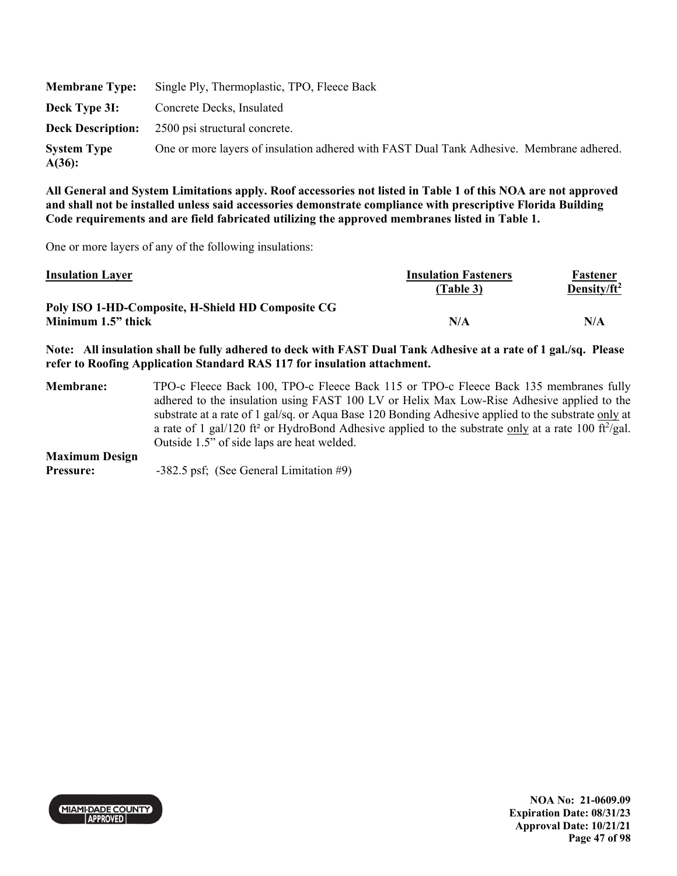| <b>Membrane Type:</b>           | Single Ply, Thermoplastic, TPO, Fleece Back                                              |
|---------------------------------|------------------------------------------------------------------------------------------|
| Deck Type 3I:                   | Concrete Decks, Insulated                                                                |
|                                 | <b>Deck Description:</b> 2500 psi structural concrete.                                   |
| <b>System Type</b><br>$A(36)$ : | One or more layers of insulation adhered with FAST Dual Tank Adhesive. Membrane adhered. |

One or more layers of any of the following insulations:

| <b>Insulation Layer</b>                                                 | <b>Insulation Fasteners</b><br>(Table 3) | Fastener<br>Density/ft <sup>2</sup> |
|-------------------------------------------------------------------------|------------------------------------------|-------------------------------------|
| Poly ISO 1-HD-Composite, H-Shield HD Composite CG<br>Minimum 1.5" thick | N/A                                      | N/A                                 |

**Note: All insulation shall be fully adhered to deck with FAST Dual Tank Adhesive at a rate of 1 gal./sq. Please refer to Roofing Application Standard RAS 117 for insulation attachment.** 

**Membrane:** TPO-c Fleece Back 100, TPO-c Fleece Back 115 or TPO-c Fleece Back 135 membranes fully adhered to the insulation using FAST 100 LV or Helix Max Low-Rise Adhesive applied to the substrate at a rate of 1 gal/sq. or Aqua Base 120 Bonding Adhesive applied to the substrate only at a rate of 1 gal/120 ft<sup>2</sup> or HydroBond Adhesive applied to the substrate only at a rate 100 ft $^2$ /gal. Outside 1.5" of side laps are heat welded. **Maximum Design** 

**Pressure:**  $-382.5 \text{ psf}$ ; (See General Limitation #9)

**MIAMI-DADE COUNTY** APPROVED

**NOA No: 21-0609.09 Expiration Date: 08/31/23 Approval Date: 10/21/21 Page 47 of 98**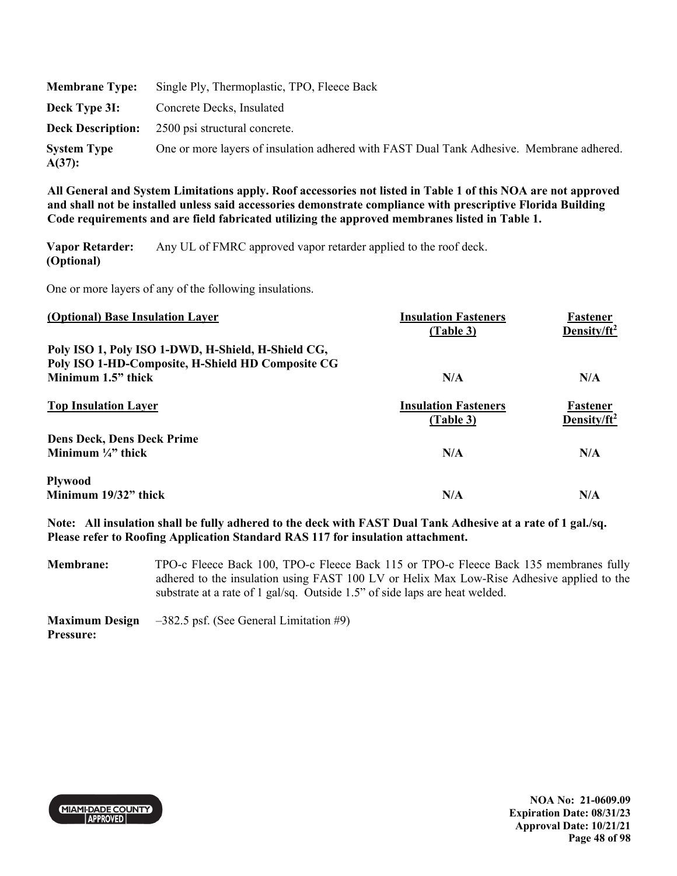|                              | <b>Membrane Type:</b> Single Ply, Thermoplastic, TPO, Fleece Back                        |
|------------------------------|------------------------------------------------------------------------------------------|
| Deck Type 3I:                | Concrete Decks, Insulated                                                                |
|                              | <b>Deck Description:</b> 2500 psi structural concrete.                                   |
| <b>System Type</b><br>A(37): | One or more layers of insulation adhered with FAST Dual Tank Adhesive. Membrane adhered. |

**Vapor Retarder: (Optional)**  Any UL of FMRC approved vapor retarder applied to the roof deck.

One or more layers of any of the following insulations.

| (Optional) Base Insulation Layer                                        | <b>Insulation Fasteners</b><br>(Table 3) | Fastener<br>Density/ $ft^2$ |
|-------------------------------------------------------------------------|------------------------------------------|-----------------------------|
| Poly ISO 1, Poly ISO 1-DWD, H-Shield, H-Shield CG,                      |                                          |                             |
| Poly ISO 1-HD-Composite, H-Shield HD Composite CG<br>Minimum 1.5" thick | N/A                                      | N/A                         |
| <b>Top Insulation Layer</b>                                             | <b>Insulation Fasteners</b><br>(Table 3) | Fastener<br>Density/ $ft^2$ |
| <b>Dens Deck, Dens Deck Prime</b>                                       |                                          |                             |
| Minimum $\frac{1}{4}$ thick                                             | N/A                                      | N/A                         |
| <b>Plywood</b>                                                          |                                          |                             |
| Minimum 19/32" thick                                                    | N/A                                      | N/A                         |

**Note: All insulation shall be fully adhered to the deck with FAST Dual Tank Adhesive at a rate of 1 gal./sq. Please refer to Roofing Application Standard RAS 117 for insulation attachment.** 

**Membrane:** TPO-c Fleece Back 100, TPO-c Fleece Back 115 or TPO-c Fleece Back 135 membranes fully adhered to the insulation using FAST 100 LV or Helix Max Low-Rise Adhesive applied to the substrate at a rate of 1 gal/sq. Outside 1.5" of side laps are heat welded.

**Maximum Design Pressure:**  –382.5 psf. (See General Limitation #9)



**NOA No: 21-0609.09 Expiration Date: 08/31/23 Approval Date: 10/21/21 Page 48 of 98**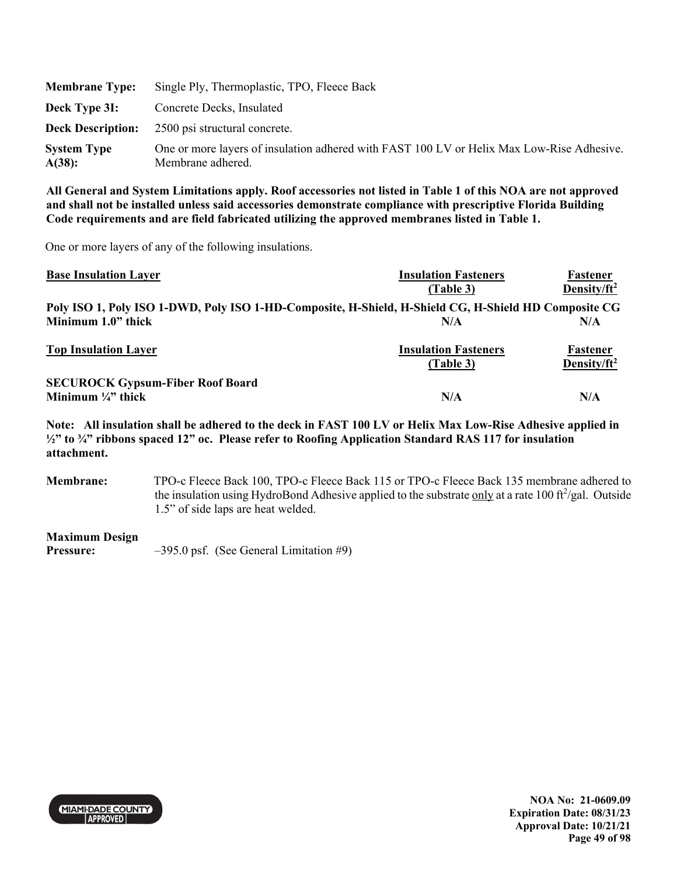| <b>Membrane Type:</b>        | Single Ply, Thermoplastic, TPO, Fleece Back                                                                    |
|------------------------------|----------------------------------------------------------------------------------------------------------------|
| Deck Type 3I:                | Concrete Decks, Insulated                                                                                      |
|                              | <b>Deck Description:</b> 2500 psi structural concrete.                                                         |
| <b>System Type</b><br>A(38): | One or more layers of insulation adhered with FAST 100 LV or Helix Max Low-Rise Adhesive.<br>Membrane adhered. |

One or more layers of any of the following insulations.

| <b>Base Insulation Layer</b>                                                                         | <b>Insulation Fasteners</b> | Fastener                |
|------------------------------------------------------------------------------------------------------|-----------------------------|-------------------------|
|                                                                                                      | (Table 3)                   | Density/ft <sup>2</sup> |
| Poly ISO 1, Poly ISO 1-DWD, Poly ISO 1-HD-Composite, H-Shield, H-Shield CG, H-Shield HD Composite CG |                             |                         |
| Minimum 1.0" thick                                                                                   | N/A                         | N/A                     |
| <b>Top Insulation Layer</b>                                                                          | <b>Insulation Fasteners</b> | Fastener                |
|                                                                                                      | (Table 3)                   | Density/ft <sup>2</sup> |
| <b>SECUROCK Gypsum-Fiber Roof Board</b>                                                              |                             |                         |
| Minimum $\frac{1}{4}$ thick                                                                          | N/A                         | N/A                     |

**Note: All insulation shall be adhered to the deck in FAST 100 LV or Helix Max Low-Rise Adhesive applied in ½" to ¾" ribbons spaced 12" oc. Please refer to Roofing Application Standard RAS 117 for insulation attachment.** 

**Membrane:** TPO-c Fleece Back 100, TPO-c Fleece Back 115 or TPO-c Fleece Back 135 membrane adhered to the insulation using HydroBond Adhesive applied to the substrate only at a rate 100 ft<sup>2</sup>/gal. Outside 1.5" of side laps are heat welded.

### **Maximum Design**

**Pressure:**  $-395.0 \text{ psf.}$  (See General Limitation #9)

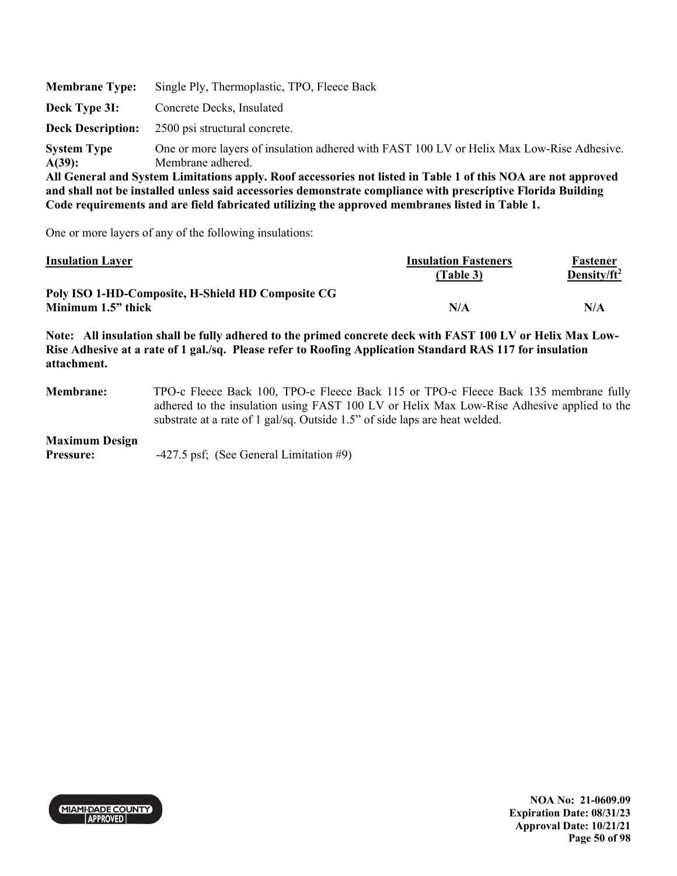| <b>Membrane Type:</b>    | Single Ply, Thermoplastic, TPO, Fleece Back                                                                   |
|--------------------------|---------------------------------------------------------------------------------------------------------------|
| Deck Type 3I:            | Concrete Decks, Insulated                                                                                     |
| <b>Deck Description:</b> | 2500 psi structural concrete.                                                                                 |
| <b>System Type</b>       | One or more layers of insulation adhered with FAST 100 LV or Helix Max Low-Rise Adhesive.                     |
| $A(39)$ :                | Membrane adhered.                                                                                             |
|                          | All General and System Limitations annly. Roof accessories not listed in Table 1 of this NOA are not annroved |

One or more layers of any of the following insulations:

| <b>Insulation Layer</b>                           | <b>Insulation Fasteners</b> | Fastener                |
|---------------------------------------------------|-----------------------------|-------------------------|
|                                                   | (Table 3)                   | Density/ft <sup>2</sup> |
| Poly ISO 1-HD-Composite, H-Shield HD Composite CG |                             |                         |
| Minimum 1.5" thick                                | N/A                         | N/A                     |

**Note: All insulation shall be fully adhered to the primed concrete deck with FAST 100 LV or Helix Max Low-Rise Adhesive at a rate of 1 gal./sq. Please refer to Roofing Application Standard RAS 117 for insulation attachment.** 

**Membrane:** TPO-c Fleece Back 100, TPO-c Fleece Back 115 or TPO-c Fleece Back 135 membrane fully adhered to the insulation using FAST 100 LV or Helix Max Low-Rise Adhesive applied to the substrate at a rate of 1 gal/sq. Outside 1.5" of side laps are heat welded.

#### **Maximum Design**

**Pressure:**  $-427.5$  psf; (See General Limitation #9)

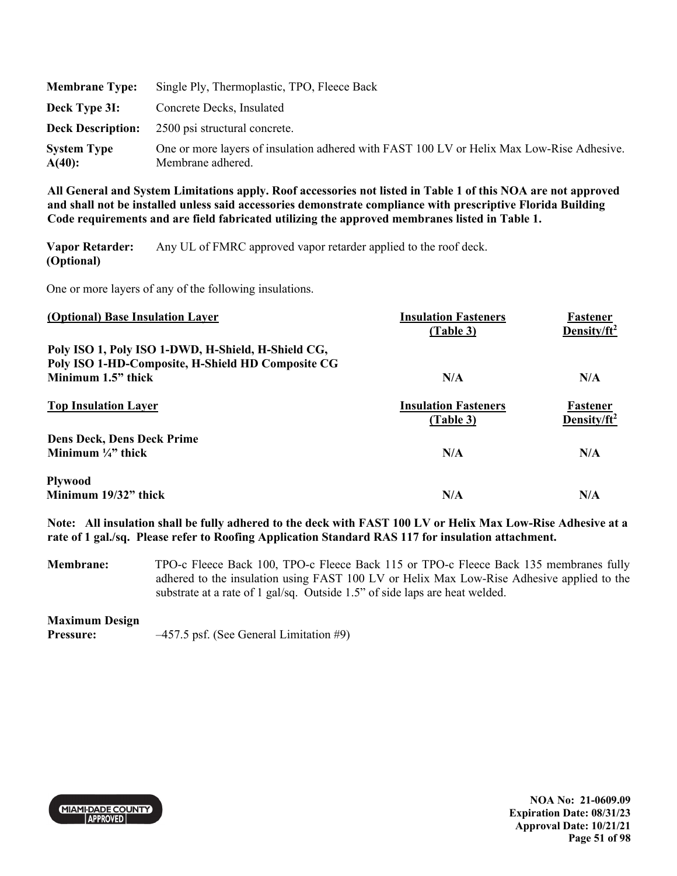| <b>Membrane Type:</b>        | Single Ply, Thermoplastic, TPO, Fleece Back                                                                    |
|------------------------------|----------------------------------------------------------------------------------------------------------------|
| Deck Type 3I:                | Concrete Decks, Insulated                                                                                      |
|                              | <b>Deck Description:</b> 2500 psi structural concrete.                                                         |
| <b>System Type</b><br>A(40): | One or more layers of insulation adhered with FAST 100 LV or Helix Max Low-Rise Adhesive.<br>Membrane adhered. |

**Vapor Retarder: (Optional)**  Any UL of FMRC approved vapor retarder applied to the roof deck.

One or more layers of any of the following insulations.

| (Optional) Base Insulation Layer                                                                        | <b>Insulation Fasteners</b><br>(Table 3) | Fastener<br>Density/ $ft^2$ |
|---------------------------------------------------------------------------------------------------------|------------------------------------------|-----------------------------|
| Poly ISO 1, Poly ISO 1-DWD, H-Shield, H-Shield CG,<br>Poly ISO 1-HD-Composite, H-Shield HD Composite CG |                                          |                             |
| Minimum 1.5" thick                                                                                      | N/A                                      | N/A                         |
| <b>Top Insulation Layer</b>                                                                             | <b>Insulation Fasteners</b><br>(Table 3) | Fastener<br>Density/ $ft^2$ |
| <b>Dens Deck, Dens Deck Prime</b>                                                                       |                                          |                             |
| Minimum $\frac{1}{4}$ " thick                                                                           | N/A                                      | N/A                         |
| <b>Plywood</b>                                                                                          |                                          |                             |
| Minimum 19/32" thick                                                                                    | N/A                                      | N/A                         |

**Note: All insulation shall be fully adhered to the deck with FAST 100 LV or Helix Max Low-Rise Adhesive at a rate of 1 gal./sq. Please refer to Roofing Application Standard RAS 117 for insulation attachment.** 

**Membrane:** TPO-c Fleece Back 100, TPO-c Fleece Back 115 or TPO-c Fleece Back 135 membranes fully adhered to the insulation using FAST 100 LV or Helix Max Low-Rise Adhesive applied to the substrate at a rate of 1 gal/sq. Outside 1.5" of side laps are heat welded.

### **Maximum Design**

**Pressure:**  $-457.5$  psf. (See General Limitation #9)



**NOA No: 21-0609.09 Expiration Date: 08/31/23 Approval Date: 10/21/21 Page 51 of 98**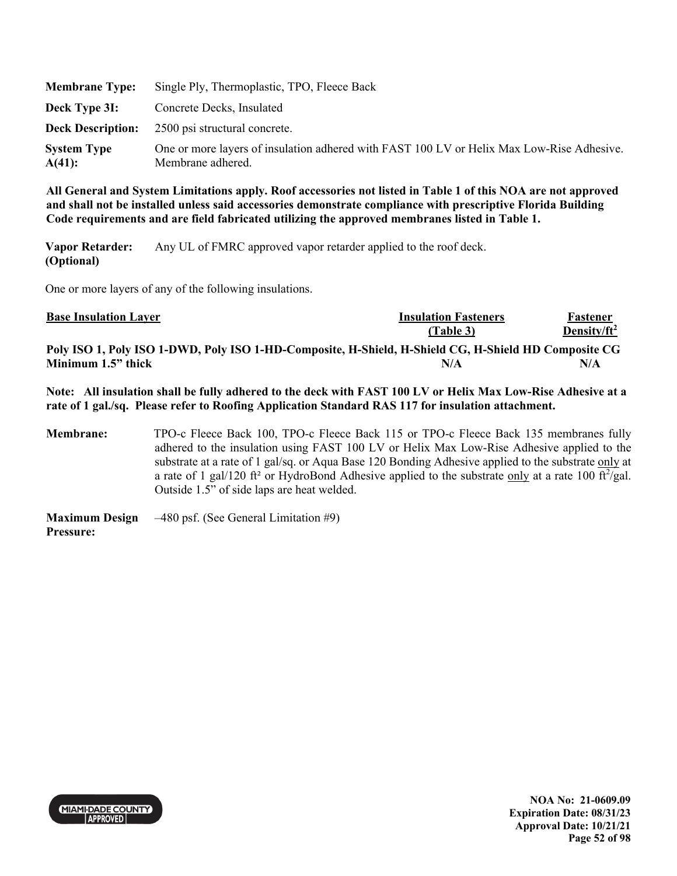| <b>Membrane Type:</b>        | Single Ply, Thermoplastic, TPO, Fleece Back                                                                    |
|------------------------------|----------------------------------------------------------------------------------------------------------------|
| Deck Type 3I:                | Concrete Decks, Insulated                                                                                      |
|                              | <b>Deck Description:</b> 2500 psi structural concrete.                                                         |
| <b>System Type</b><br>A(41): | One or more layers of insulation adhered with FAST 100 LV or Helix Max Low-Rise Adhesive.<br>Membrane adhered. |

**Vapor Retarder: (Optional)**  Any UL of FMRC approved vapor retarder applied to the roof deck.

One or more layers of any of the following insulations.

| <b>Base Insulation Layer</b>                                                                         | <b>Insulation Fasteners</b> | Fastener        |
|------------------------------------------------------------------------------------------------------|-----------------------------|-----------------|
|                                                                                                      | (Table 3)                   | Density/ $ft^2$ |
| Poly ISO 1, Poly ISO 1-DWD, Poly ISO 1-HD-Composite, H-Shield, H-Shield CG, H-Shield HD Composite CG |                             |                 |
| Minimum 1.5" thick                                                                                   | N/A                         | N/A             |

**Note: All insulation shall be fully adhered to the deck with FAST 100 LV or Helix Max Low-Rise Adhesive at a rate of 1 gal./sq. Please refer to Roofing Application Standard RAS 117 for insulation attachment.** 

**Membrane:** TPO-c Fleece Back 100, TPO-c Fleece Back 115 or TPO-c Fleece Back 135 membranes fully adhered to the insulation using FAST 100 LV or Helix Max Low-Rise Adhesive applied to the substrate at a rate of 1 gal/sq. or Aqua Base 120 Bonding Adhesive applied to the substrate only at a rate of 1 gal/120 ft<sup>2</sup> or HydroBond Adhesive applied to the substrate only at a rate 100 ft $^2$ /gal. Outside 1.5" of side laps are heat welded.

**Maximum Design Pressure:**  –480 psf. (See General Limitation #9)



**NOA No: 21-0609.09 Expiration Date: 08/31/23 Approval Date: 10/21/21 Page 52 of 98**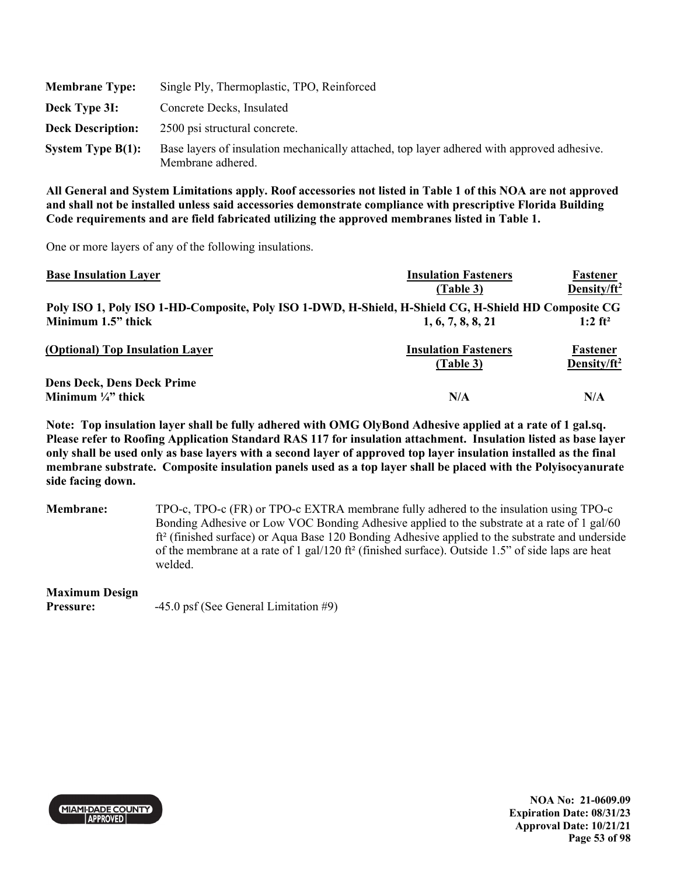| <b>Membrane Type:</b>    | Single Ply, Thermoplastic, TPO, Reinforced                                                                      |
|--------------------------|-----------------------------------------------------------------------------------------------------------------|
| Deck Type 3I:            | Concrete Decks, Insulated                                                                                       |
| <b>Deck Description:</b> | 2500 psi structural concrete.                                                                                   |
| System Type $B(1)$ :     | Base layers of insulation mechanically attached, top layer adhered with approved adhesive.<br>Membrane adhered. |

One or more layers of any of the following insulations.

| <b>Base Insulation Layer</b>                                                                         | <b>Insulation Fasteners</b> | Fastener                |
|------------------------------------------------------------------------------------------------------|-----------------------------|-------------------------|
|                                                                                                      | (Table 3)                   | Density/ft <sup>2</sup> |
| Poly ISO 1, Poly ISO 1-HD-Composite, Poly ISO 1-DWD, H-Shield, H-Shield CG, H-Shield HD Composite CG |                             |                         |
| Minimum 1.5" thick                                                                                   | 1, 6, 7, 8, 8, 21           | $1:2$ ft <sup>2</sup>   |
| (Optional) Top Insulation Layer                                                                      | <b>Insulation Fasteners</b> | <b>Fastener</b>         |
|                                                                                                      | (Table 3)                   | Density/ft <sup>2</sup> |
| <b>Dens Deck, Dens Deck Prime</b>                                                                    |                             |                         |
| Minimum $\frac{1}{4}$ " thick                                                                        | N/A                         | N/A                     |

**Note: Top insulation layer shall be fully adhered with OMG OlyBond Adhesive applied at a rate of 1 gal.sq. Please refer to Roofing Application Standard RAS 117 for insulation attachment. Insulation listed as base layer only shall be used only as base layers with a second layer of approved top layer insulation installed as the final membrane substrate. Composite insulation panels used as a top layer shall be placed with the Polyisocyanurate side facing down.** 

**Membrane:** TPO-c, TPO-c (FR) or TPO-c EXTRA membrane fully adhered to the insulation using TPO-c Bonding Adhesive or Low VOC Bonding Adhesive applied to the substrate at a rate of 1 gal/60 ft² (finished surface) or Aqua Base 120 Bonding Adhesive applied to the substrate and underside of the membrane at a rate of 1 gal/120 ft<sup>2</sup> (finished surface). Outside 1.5" of side laps are heat welded.

### **Maximum Design**

**Pressure:**  $-45.0 \text{ psf}$  (See General Limitation #9)



**NOA No: 21-0609.09 Expiration Date: 08/31/23 Approval Date: 10/21/21 Page 53 of 98**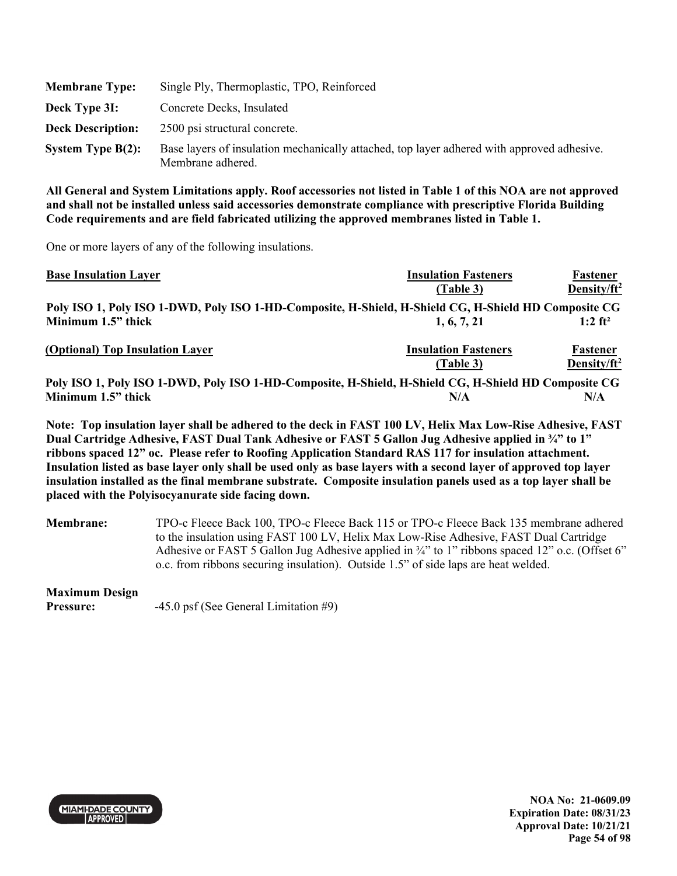| <b>Membrane Type:</b>    | Single Ply, Thermoplastic, TPO, Reinforced                                                                      |
|--------------------------|-----------------------------------------------------------------------------------------------------------------|
| Deck Type 3I:            | Concrete Decks, Insulated                                                                                       |
| <b>Deck Description:</b> | 2500 psi structural concrete.                                                                                   |
| System Type $B(2)$ :     | Base layers of insulation mechanically attached, top layer adhered with approved adhesive.<br>Membrane adhered. |

One or more layers of any of the following insulations.

| <b>Base Insulation Layer</b>                                                                         | <b>Insulation Fasteners</b> | Fastener                |
|------------------------------------------------------------------------------------------------------|-----------------------------|-------------------------|
|                                                                                                      | (Table 3)                   | Density/ft <sup>2</sup> |
| Poly ISO 1, Poly ISO 1-DWD, Poly ISO 1-HD-Composite, H-Shield, H-Shield CG, H-Shield HD Composite CG |                             |                         |
| Minimum 1.5" thick                                                                                   | 1, 6, 7, 21                 | $1:2$ ft <sup>2</sup>   |
| (Optional) Top Insulation Layer                                                                      | <b>Insulation Fasteners</b> | <b>Fastener</b>         |
|                                                                                                      | (Table 3)                   | Density/ft <sup>2</sup> |
| Poly ISO 1, Poly ISO 1-DWD, Poly ISO 1-HD-Composite, H-Shield, H-Shield CG, H-Shield HD Composite CG |                             |                         |
| Minimum 1.5" thick                                                                                   | N/A                         | N/A                     |

**Note: Top insulation layer shall be adhered to the deck in FAST 100 LV, Helix Max Low-Rise Adhesive, FAST Dual Cartridge Adhesive, FAST Dual Tank Adhesive or FAST 5 Gallon Jug Adhesive applied in ¾" to 1" ribbons spaced 12" oc. Please refer to Roofing Application Standard RAS 117 for insulation attachment. Insulation listed as base layer only shall be used only as base layers with a second layer of approved top layer insulation installed as the final membrane substrate. Composite insulation panels used as a top layer shall be placed with the Polyisocyanurate side facing down.** 

**Membrane:** TPO-c Fleece Back 100, TPO-c Fleece Back 115 or TPO-c Fleece Back 135 membrane adhered to the insulation using FAST 100 LV, Helix Max Low-Rise Adhesive, FAST Dual Cartridge Adhesive or FAST 5 Gallon Jug Adhesive applied in  $\frac{3}{4}$ " to 1" ribbons spaced 12" o.c. (Offset 6" o.c. from ribbons securing insulation). Outside 1.5" of side laps are heat welded.

### **Maximum Design**

**Pressure:**  $-45.0 \text{ psf}$  (See General Limitation #9)



**NOA No: 21-0609.09 Expiration Date: 08/31/23 Approval Date: 10/21/21 Page 54 of 98**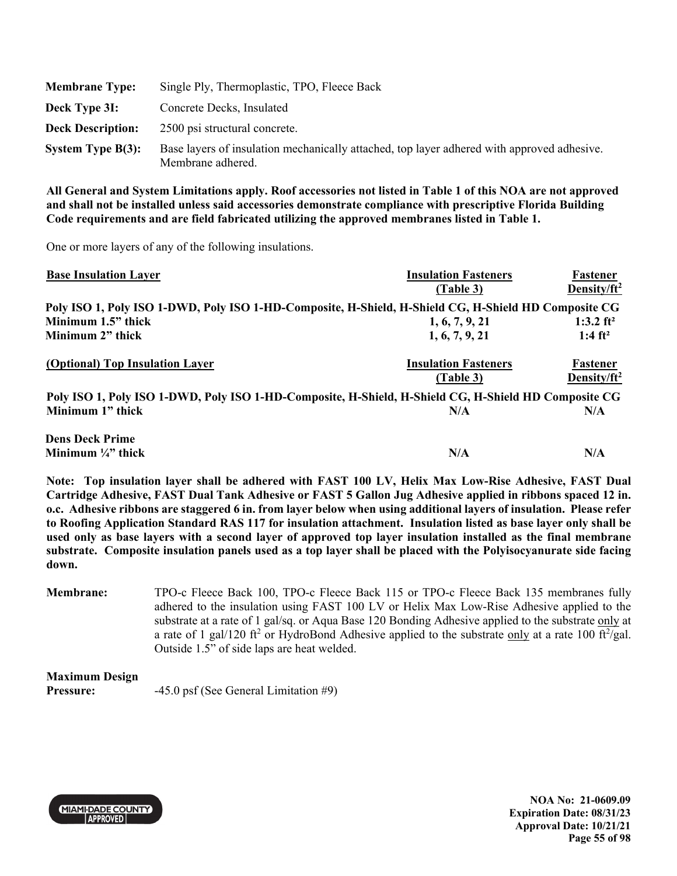| <b>Membrane Type:</b>    | Single Ply, Thermoplastic, TPO, Fleece Back                                                                     |
|--------------------------|-----------------------------------------------------------------------------------------------------------------|
| Deck Type 3I:            | Concrete Decks, Insulated                                                                                       |
| <b>Deck Description:</b> | 2500 psi structural concrete.                                                                                   |
| System Type $B(3)$ :     | Base layers of insulation mechanically attached, top layer adhered with approved adhesive.<br>Membrane adhered. |

One or more layers of any of the following insulations.

| <b>Base Insulation Layer</b>                                                                         | <b>Insulation Fasteners</b><br>(Table 3) | Fastener<br>Density/ft <sup>2</sup> |
|------------------------------------------------------------------------------------------------------|------------------------------------------|-------------------------------------|
|                                                                                                      |                                          |                                     |
| Poly ISO 1, Poly ISO 1-DWD, Poly ISO 1-HD-Composite, H-Shield, H-Shield CG, H-Shield HD Composite CG |                                          |                                     |
| Minimum 1.5" thick                                                                                   | 1, 6, 7, 9, 21                           | 1:3.2 $ft^2$                        |
| Minimum 2" thick                                                                                     | 1, 6, 7, 9, 21                           | 1:4 $ft^2$                          |
| (Optional) Top Insulation Layer                                                                      | <b>Insulation Fasteners</b><br>(Table 3) | Fastener<br>Density/ft <sup>2</sup> |
| Poly ISO 1, Poly ISO 1-DWD, Poly ISO 1-HD-Composite, H-Shield, H-Shield CG, H-Shield HD Composite CG |                                          |                                     |
| Minimum 1" thick                                                                                     | N/A                                      | N/A                                 |
| <b>Dens Deck Prime</b>                                                                               |                                          |                                     |
| Minimum $\frac{1}{4}$ " thick                                                                        | N/A                                      | N/A                                 |

**Note: Top insulation layer shall be adhered with FAST 100 LV, Helix Max Low-Rise Adhesive, FAST Dual Cartridge Adhesive, FAST Dual Tank Adhesive or FAST 5 Gallon Jug Adhesive applied in ribbons spaced 12 in. o.c. Adhesive ribbons are staggered 6 in. from layer below when using additional layers of insulation. Please refer to Roofing Application Standard RAS 117 for insulation attachment. Insulation listed as base layer only shall be used only as base layers with a second layer of approved top layer insulation installed as the final membrane substrate. Composite insulation panels used as a top layer shall be placed with the Polyisocyanurate side facing down.** 

**Membrane:** TPO-c Fleece Back 100, TPO-c Fleece Back 115 or TPO-c Fleece Back 135 membranes fully adhered to the insulation using FAST 100 LV or Helix Max Low-Rise Adhesive applied to the substrate at a rate of 1 gal/sq. or Aqua Base 120 Bonding Adhesive applied to the substrate only at a rate of 1 gal/120 ft<sup>2</sup> or HydroBond Adhesive applied to the substrate only at a rate 100 ft $^2$ /gal. Outside 1.5" of side laps are heat welded.

**Maximum Design** 

**Pressure:**  $-45.0 \text{ psf}$  (See General Limitation #9)



**NOA No: 21-0609.09 Expiration Date: 08/31/23 Approval Date: 10/21/21 Page 55 of 98**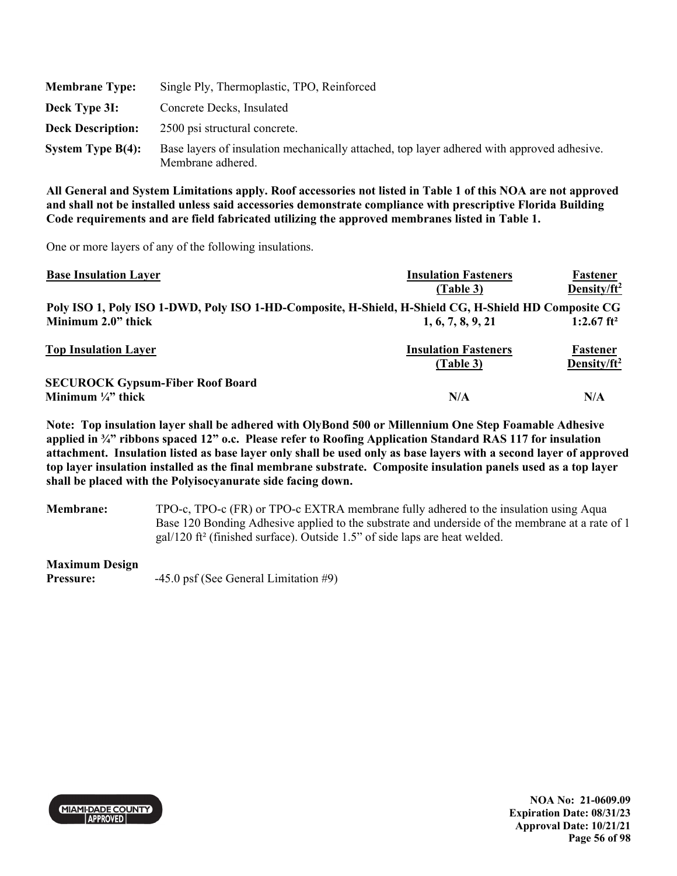| <b>Membrane Type:</b>    | Single Ply, Thermoplastic, TPO, Reinforced                                                                      |
|--------------------------|-----------------------------------------------------------------------------------------------------------------|
| Deck Type 3I:            | Concrete Decks, Insulated                                                                                       |
| <b>Deck Description:</b> | 2500 psi structural concrete.                                                                                   |
| System Type $B(4)$ :     | Base layers of insulation mechanically attached, top layer adhered with approved adhesive.<br>Membrane adhered. |

One or more layers of any of the following insulations.

| <b>Base Insulation Layer</b>                                                                         | <b>Insulation Fasteners</b> | <b>Fastener</b>        |
|------------------------------------------------------------------------------------------------------|-----------------------------|------------------------|
|                                                                                                      | (Table 3)                   | Density/ $ft^2$        |
| Poly ISO 1, Poly ISO 1-DWD, Poly ISO 1-HD-Composite, H-Shield, H-Shield CG, H-Shield HD Composite CG |                             |                        |
| Minimum 2.0" thick                                                                                   | 1, 6, 7, 8, 9, 21           | 1:2.67 ft <sup>2</sup> |
| <b>Top Insulation Layer</b>                                                                          | <b>Insulation Fasteners</b> | <b>Fastener</b>        |
|                                                                                                      | (Table 3)                   | Density/ $ft^2$        |
| <b>SECUROCK Gypsum-Fiber Roof Board</b>                                                              |                             |                        |
| Minimum $\frac{1}{4}$ " thick                                                                        | N/A                         | N/A                    |

**Note: Top insulation layer shall be adhered with OlyBond 500 or Millennium One Step Foamable Adhesive applied in ¾" ribbons spaced 12" o.c. Please refer to Roofing Application Standard RAS 117 for insulation attachment. Insulation listed as base layer only shall be used only as base layers with a second layer of approved top layer insulation installed as the final membrane substrate. Composite insulation panels used as a top layer shall be placed with the Polyisocyanurate side facing down.** 

**Membrane:** TPO-c, TPO-c (FR) or TPO-c EXTRA membrane fully adhered to the insulation using Aqua Base 120 Bonding Adhesive applied to the substrate and underside of the membrane at a rate of 1 gal/120 ft² (finished surface). Outside 1.5" of side laps are heat welded.

**Maximum Design** 

Pressure:  $-45.0 \text{ psf}$  (See General Limitation #9)



**NOA No: 21-0609.09 Expiration Date: 08/31/23 Approval Date: 10/21/21 Page 56 of 98**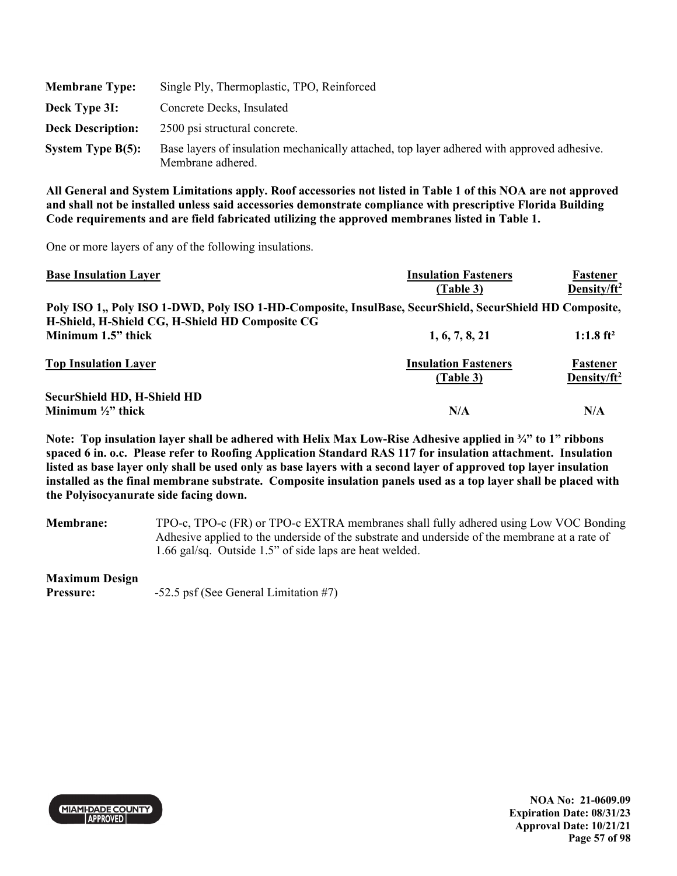| <b>Membrane Type:</b>    | Single Ply, Thermoplastic, TPO, Reinforced                                                                      |
|--------------------------|-----------------------------------------------------------------------------------------------------------------|
| Deck Type 3I:            | Concrete Decks, Insulated                                                                                       |
| <b>Deck Description:</b> | 2500 psi structural concrete.                                                                                   |
| System Type $B(5)$ :     | Base layers of insulation mechanically attached, top layer adhered with approved adhesive.<br>Membrane adhered. |

One or more layers of any of the following insulations.

| <b>Base Insulation Layer</b>                                                                            | <b>Insulation Fasteners</b>              | Fastener                            |
|---------------------------------------------------------------------------------------------------------|------------------------------------------|-------------------------------------|
|                                                                                                         | (Table 3)                                | Density/ft <sup>2</sup>             |
| Poly ISO 1., Poly ISO 1-DWD, Poly ISO 1-HD-Composite, InsulBase, SecurShield, SecurShield HD Composite, |                                          |                                     |
| H-Shield, H-Shield CG, H-Shield HD Composite CG                                                         |                                          |                                     |
| Minimum 1.5" thick                                                                                      | 1, 6, 7, 8, 21                           | $1:1.8$ ft <sup>2</sup>             |
| <b>Top Insulation Layer</b>                                                                             | <b>Insulation Fasteners</b><br>(Table 3) | Fastener<br>Density/ft <sup>2</sup> |
| <b>SecurShield HD, H-Shield HD</b>                                                                      |                                          |                                     |
| Minimum $\frac{1}{2}$ " thick                                                                           | N/A                                      | N/A                                 |

**Note: Top insulation layer shall be adhered with Helix Max Low-Rise Adhesive applied in ¾" to 1" ribbons spaced 6 in. o.c. Please refer to Roofing Application Standard RAS 117 for insulation attachment. Insulation listed as base layer only shall be used only as base layers with a second layer of approved top layer insulation installed as the final membrane substrate. Composite insulation panels used as a top layer shall be placed with the Polyisocyanurate side facing down.** 

**Membrane:** TPO-c, TPO-c (FR) or TPO-c EXTRA membranes shall fully adhered using Low VOC Bonding Adhesive applied to the underside of the substrate and underside of the membrane at a rate of 1.66 gal/sq. Outside 1.5" of side laps are heat welded.

**Maximum Design** 

**Pressure:**  $-52.5$  psf (See General Limitation #7)



**NOA No: 21-0609.09 Expiration Date: 08/31/23 Approval Date: 10/21/21 Page 57 of 98**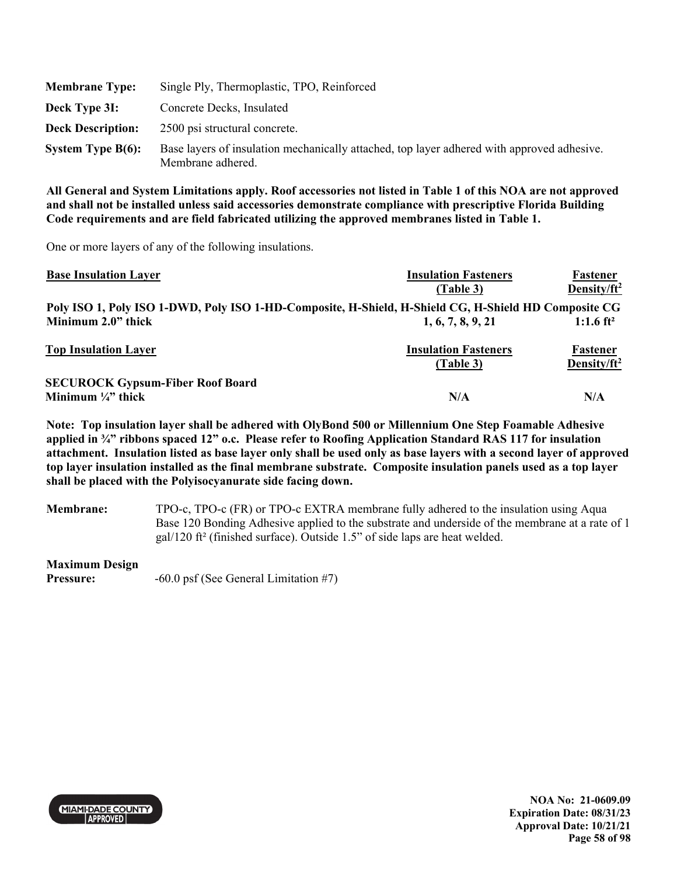| <b>Membrane Type:</b>    | Single Ply, Thermoplastic, TPO, Reinforced                                                                      |
|--------------------------|-----------------------------------------------------------------------------------------------------------------|
| Deck Type 3I:            | Concrete Decks, Insulated                                                                                       |
| <b>Deck Description:</b> | 2500 psi structural concrete.                                                                                   |
| System Type $B(6)$ :     | Base layers of insulation mechanically attached, top layer adhered with approved adhesive.<br>Membrane adhered. |

One or more layers of any of the following insulations.

| <b>Base Insulation Layer</b>                                                                         | <b>Insulation Fasteners</b> | Fastener                |
|------------------------------------------------------------------------------------------------------|-----------------------------|-------------------------|
|                                                                                                      | (Table 3)                   | Density/ft <sup>2</sup> |
| Poly ISO 1, Poly ISO 1-DWD, Poly ISO 1-HD-Composite, H-Shield, H-Shield CG, H-Shield HD Composite CG |                             |                         |
| Minimum 2.0" thick                                                                                   | 1, 6, 7, 8, 9, 21           | 1:1.6 $ft^2$            |
| <b>Top Insulation Layer</b>                                                                          | <b>Insulation Fasteners</b> | <b>Fastener</b>         |
|                                                                                                      | (Table 3)                   | Density/ $ft^2$         |
| <b>SECUROCK Gypsum-Fiber Roof Board</b>                                                              |                             |                         |
| Minimum $\frac{1}{4}$ " thick                                                                        | N/A                         | N/A                     |

**Note: Top insulation layer shall be adhered with OlyBond 500 or Millennium One Step Foamable Adhesive applied in ¾" ribbons spaced 12" o.c. Please refer to Roofing Application Standard RAS 117 for insulation attachment. Insulation listed as base layer only shall be used only as base layers with a second layer of approved top layer insulation installed as the final membrane substrate. Composite insulation panels used as a top layer shall be placed with the Polyisocyanurate side facing down.** 

**Membrane:** TPO-c, TPO-c (FR) or TPO-c EXTRA membrane fully adhered to the insulation using Aqua Base 120 Bonding Adhesive applied to the substrate and underside of the membrane at a rate of 1 gal/120 ft² (finished surface). Outside 1.5" of side laps are heat welded.

**Maximum Design** 

**Pressure:**  $-60.0 \text{ psf}$  (See General Limitation #7)



**NOA No: 21-0609.09 Expiration Date: 08/31/23 Approval Date: 10/21/21 Page 58 of 98**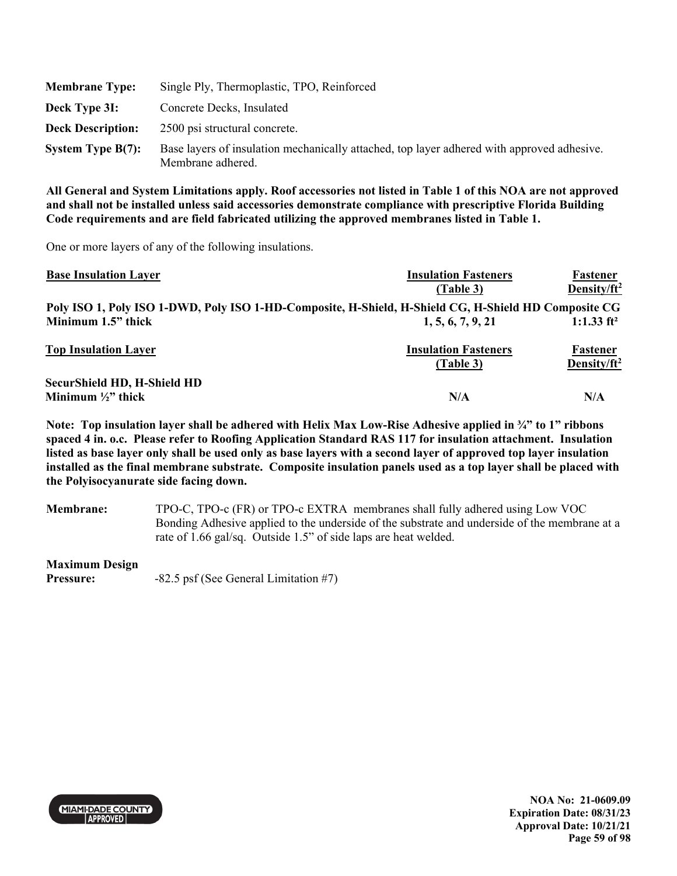| <b>Membrane Type:</b>    | Single Ply, Thermoplastic, TPO, Reinforced                                                                      |
|--------------------------|-----------------------------------------------------------------------------------------------------------------|
| Deck Type 3I:            | Concrete Decks, Insulated                                                                                       |
| <b>Deck Description:</b> | 2500 psi structural concrete.                                                                                   |
| System Type $B(7)$ :     | Base layers of insulation mechanically attached, top layer adhered with approved adhesive.<br>Membrane adhered. |

One or more layers of any of the following insulations.

| <b>Base Insulation Layer</b>                                                                         | <b>Insulation Fasteners</b> | Fastener        |
|------------------------------------------------------------------------------------------------------|-----------------------------|-----------------|
|                                                                                                      | (Table 3)                   | Density/ $ft^2$ |
| Poly ISO 1, Poly ISO 1-DWD, Poly ISO 1-HD-Composite, H-Shield, H-Shield CG, H-Shield HD Composite CG |                             |                 |
| Minimum 1.5" thick                                                                                   | 1, 5, 6, 7, 9, 21           | 1:1.33 $ft^2$   |
| <b>Top Insulation Layer</b>                                                                          | <b>Insulation Fasteners</b> | Fastener        |
|                                                                                                      | (Table 3)                   | Density/ $ft^2$ |
| <b>SecurShield HD, H-Shield HD</b>                                                                   |                             |                 |
| Minimum $\frac{1}{2}$ " thick                                                                        | N/A                         | N/A             |

**Note: Top insulation layer shall be adhered with Helix Max Low-Rise Adhesive applied in ¾" to 1" ribbons spaced 4 in. o.c. Please refer to Roofing Application Standard RAS 117 for insulation attachment. Insulation listed as base layer only shall be used only as base layers with a second layer of approved top layer insulation installed as the final membrane substrate. Composite insulation panels used as a top layer shall be placed with the Polyisocyanurate side facing down.** 

**Membrane:** TPO-C, TPO-c (FR) or TPO-c EXTRA membranes shall fully adhered using Low VOC Bonding Adhesive applied to the underside of the substrate and underside of the membrane at a rate of 1.66 gal/sq. Outside 1.5" of side laps are heat welded.

**Maximum Design** 

Pressure:  $-82.5$  psf (See General Limitation #7)



**NOA No: 21-0609.09 Expiration Date: 08/31/23 Approval Date: 10/21/21 Page 59 of 98**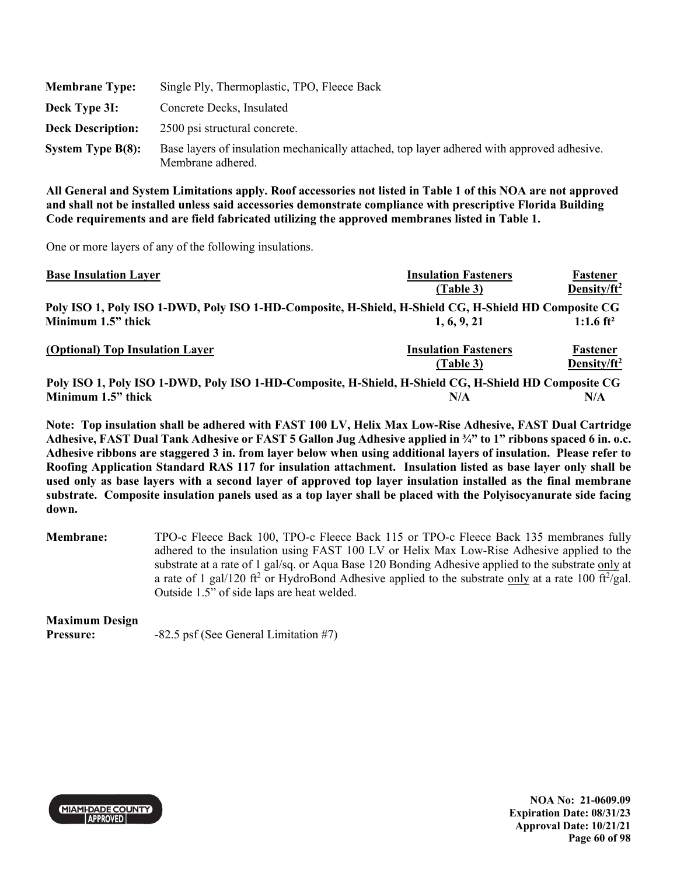| <b>Membrane Type:</b>    | Single Ply, Thermoplastic, TPO, Fleece Back                                                                     |
|--------------------------|-----------------------------------------------------------------------------------------------------------------|
| Deck Type 3I:            | Concrete Decks, Insulated                                                                                       |
| <b>Deck Description:</b> | 2500 psi structural concrete.                                                                                   |
| System Type $B(8)$ :     | Base layers of insulation mechanically attached, top layer adhered with approved adhesive.<br>Membrane adhered. |

One or more layers of any of the following insulations.

| <b>Base Insulation Layer</b>                                                                         | <b>Insulation Fasteners</b> | Fastener              |
|------------------------------------------------------------------------------------------------------|-----------------------------|-----------------------|
|                                                                                                      | (Table 3)                   | Density/ $ft^2$       |
| Poly ISO 1, Poly ISO 1-DWD, Poly ISO 1-HD-Composite, H-Shield, H-Shield CG, H-Shield HD Composite CG |                             |                       |
| Minimum 1.5" thick                                                                                   | 1, 6, 9, 21                 | 1:1.6 ft <sup>2</sup> |
| (Optional) Top Insulation Layer                                                                      | <b>Insulation Fasteners</b> | Fastener              |
|                                                                                                      | (Table 3)                   | Density/ $ft^2$       |
| Poly ISO 1, Poly ISO 1-DWD, Poly ISO 1-HD-Composite, H-Shield, H-Shield CG, H-Shield HD Composite CG |                             |                       |
| Minimum 1.5" thick                                                                                   | N/A                         | N/A                   |

**Note: Top insulation shall be adhered with FAST 100 LV, Helix Max Low-Rise Adhesive, FAST Dual Cartridge Adhesive, FAST Dual Tank Adhesive or FAST 5 Gallon Jug Adhesive applied in ¾" to 1" ribbons spaced 6 in. o.c. Adhesive ribbons are staggered 3 in. from layer below when using additional layers of insulation. Please refer to Roofing Application Standard RAS 117 for insulation attachment. Insulation listed as base layer only shall be used only as base layers with a second layer of approved top layer insulation installed as the final membrane substrate. Composite insulation panels used as a top layer shall be placed with the Polyisocyanurate side facing down.** 

**Membrane:** TPO-c Fleece Back 100, TPO-c Fleece Back 115 or TPO-c Fleece Back 135 membranes fully adhered to the insulation using FAST 100 LV or Helix Max Low-Rise Adhesive applied to the substrate at a rate of 1 gal/sq. or Aqua Base 120 Bonding Adhesive applied to the substrate only at a rate of 1 gal/120 ft<sup>2</sup> or HydroBond Adhesive applied to the substrate only at a rate 100 ft<sup>2</sup>/gal. Outside 1.5" of side laps are heat welded.

# **Maximum Design**

**Pressure:**  $-82.5$  psf (See General Limitation #7)



**NOA No: 21-0609.09 Expiration Date: 08/31/23 Approval Date: 10/21/21 Page 60 of 98**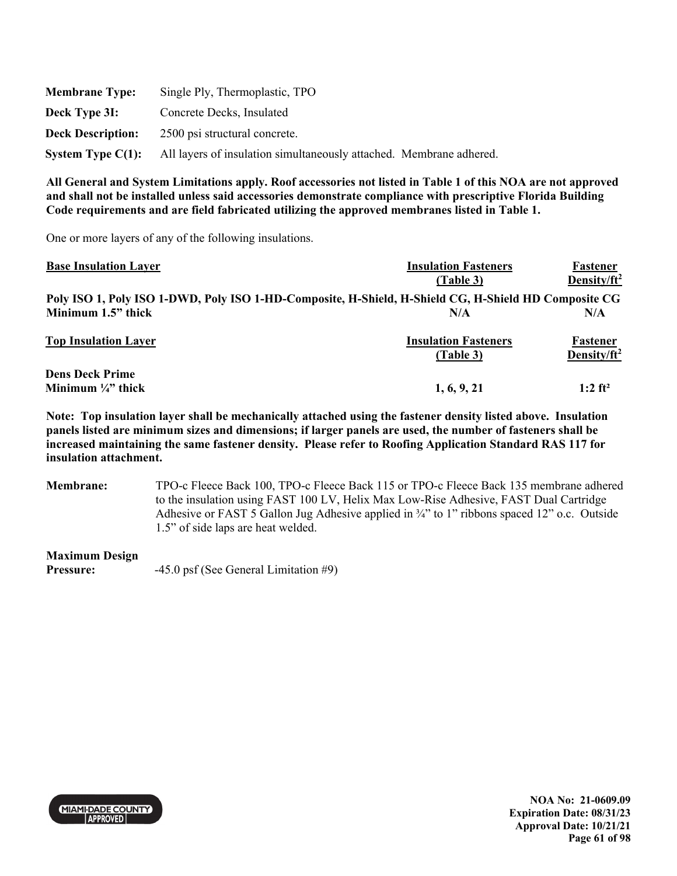| <b>Membrane Type:</b>    | Single Ply, Thermoplastic, TPO                                      |
|--------------------------|---------------------------------------------------------------------|
| Deck Type 3I:            | Concrete Decks, Insulated                                           |
| <b>Deck Description:</b> | 2500 psi structural concrete.                                       |
| System Type $C(1)$ :     | All layers of insulation simultaneously attached. Membrane adhered. |

One or more layers of any of the following insulations.

| <b>Base Insulation Layer</b>  | <b>Insulation Fasteners</b>                                                                          | Fastener                |
|-------------------------------|------------------------------------------------------------------------------------------------------|-------------------------|
|                               | (Table 3)                                                                                            | Density/ft <sup>2</sup> |
|                               | Poly ISO 1, Poly ISO 1-DWD, Poly ISO 1-HD-Composite, H-Shield, H-Shield CG, H-Shield HD Composite CG |                         |
| Minimum 1.5" thick            | N/A                                                                                                  | N/A                     |
| <b>Top Insulation Layer</b>   | <b>Insulation Fasteners</b>                                                                          | Fastener                |
|                               | (Table 3)                                                                                            | Density/ft <sup>2</sup> |
| <b>Dens Deck Prime</b>        |                                                                                                      |                         |
| Minimum $\frac{1}{4}$ " thick | 1, 6, 9, 21                                                                                          | $1:2$ ft <sup>2</sup>   |

**Note: Top insulation layer shall be mechanically attached using the fastener density listed above. Insulation panels listed are minimum sizes and dimensions; if larger panels are used, the number of fasteners shall be increased maintaining the same fastener density. Please refer to Roofing Application Standard RAS 117 for insulation attachment.** 

**Membrane:** TPO-c Fleece Back 100, TPO-c Fleece Back 115 or TPO-c Fleece Back 135 membrane adhered to the insulation using FAST 100 LV, Helix Max Low-Rise Adhesive, FAST Dual Cartridge Adhesive or FAST 5 Gallon Jug Adhesive applied in ¾" to 1" ribbons spaced 12" o.c. Outside 1.5" of side laps are heat welded.

**Maximum Design** 

**Pressure:**  $-45.0 \text{ psf}$  (See General Limitation #9)

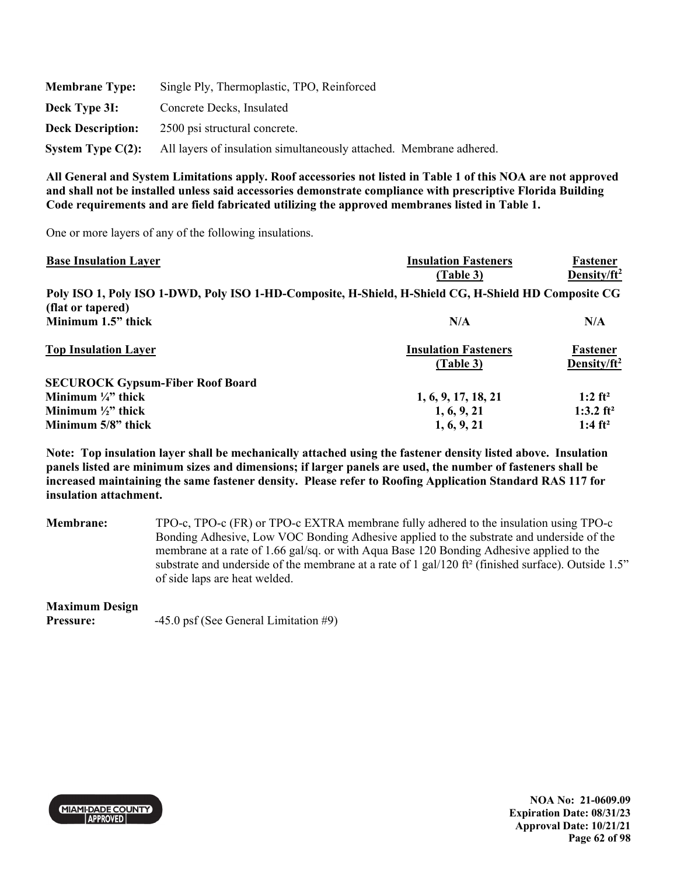| <b>Membrane Type:</b>    | Single Ply, Thermoplastic, TPO, Reinforced                          |
|--------------------------|---------------------------------------------------------------------|
| Deck Type 3I:            | Concrete Decks, Insulated                                           |
| <b>Deck Description:</b> | 2500 psi structural concrete.                                       |
| System Type $C(2)$ :     | All layers of insulation simultaneously attached. Membrane adhered. |

One or more layers of any of the following insulations.

| <b>Base Insulation Layer</b>                                                                         | <b>Insulation Fasteners</b> | Fastener                |
|------------------------------------------------------------------------------------------------------|-----------------------------|-------------------------|
|                                                                                                      | (Table 3)                   | Density/ft <sup>2</sup> |
| Poly ISO 1, Poly ISO 1-DWD, Poly ISO 1-HD-Composite, H-Shield, H-Shield CG, H-Shield HD Composite CG |                             |                         |
| (flat or tapered)                                                                                    |                             |                         |
| Minimum 1.5" thick                                                                                   | N/A                         | N/A                     |
| <b>Top Insulation Layer</b>                                                                          | <b>Insulation Fasteners</b> | Fastener                |
|                                                                                                      | (Table 3)                   | Density/ $ft^2$         |
| <b>SECUROCK Gypsum-Fiber Roof Board</b>                                                              |                             |                         |
| Minimum $\frac{1}{4}$ " thick                                                                        | 1, 6, 9, 17, 18, 21         | $1:2$ ft <sup>2</sup>   |
| Minimum $\frac{1}{2}$ " thick                                                                        | 1, 6, 9, 21                 | 1:3.2 ft <sup>2</sup>   |
| Minimum 5/8" thick                                                                                   | 1, 6, 9, 21                 | 1:4 $ft^2$              |

**Note: Top insulation layer shall be mechanically attached using the fastener density listed above. Insulation panels listed are minimum sizes and dimensions; if larger panels are used, the number of fasteners shall be increased maintaining the same fastener density. Please refer to Roofing Application Standard RAS 117 for insulation attachment.** 

**Membrane:** TPO-c, TPO-c (FR) or TPO-c EXTRA membrane fully adhered to the insulation using TPO-c Bonding Adhesive, Low VOC Bonding Adhesive applied to the substrate and underside of the membrane at a rate of 1.66 gal/sq. or with Aqua Base 120 Bonding Adhesive applied to the substrate and underside of the membrane at a rate of 1 gal/120 ft<sup>2</sup> (finished surface). Outside 1.5" of side laps are heat welded.

# **Maximum Design**

**Pressure:**  $-45.0 \text{ psf}$  (See General Limitation #9)



**NOA No: 21-0609.09 Expiration Date: 08/31/23 Approval Date: 10/21/21 Page 62 of 98**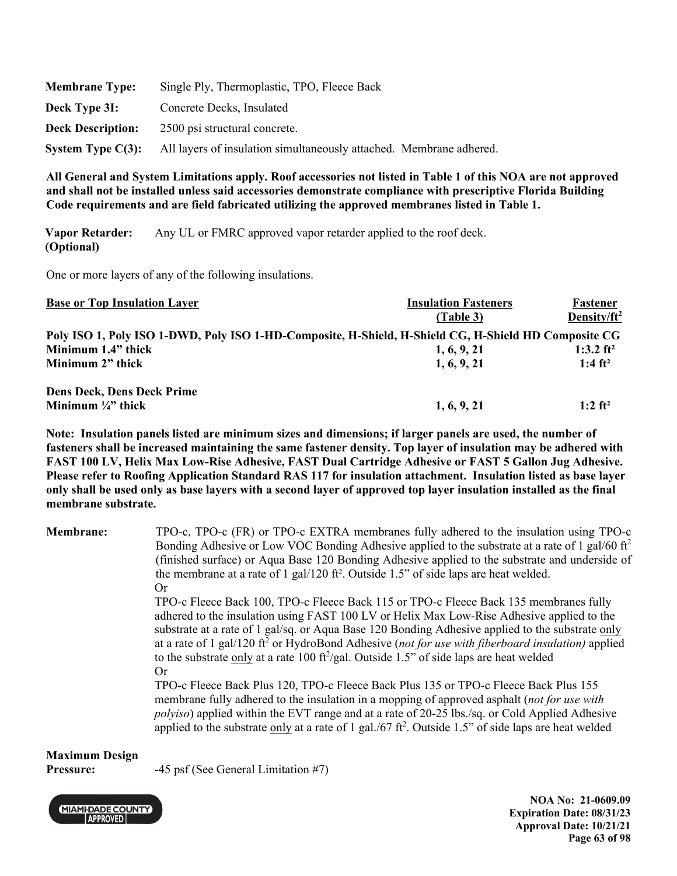| <b>Membrane Type:</b>    | Single Ply, Thermoplastic, TPO, Fleece Back                         |
|--------------------------|---------------------------------------------------------------------|
| Deck Type 3I:            | Concrete Decks, Insulated                                           |
| <b>Deck Description:</b> | 2500 psi structural concrete.                                       |
| System Type $C(3)$ :     | All layers of insulation simultaneously attached. Membrane adhered. |

**Vapor Retarder: (Optional)**  Any UL or FMRC approved vapor retarder applied to the roof deck.

One or more layers of any of the following insulations.

| <b>Base or Top Insulation Layer</b>                                                                  | <b>Insulation Fasteners</b> | Fastener                |
|------------------------------------------------------------------------------------------------------|-----------------------------|-------------------------|
|                                                                                                      | (Table 3)                   | Density/ft <sup>2</sup> |
| Poly ISO 1, Poly ISO 1-DWD, Poly ISO 1-HD-Composite, H-Shield, H-Shield CG, H-Shield HD Composite CG |                             |                         |
| Minimum 1.4" thick                                                                                   | 1, 6, 9, 21                 | 1:3.2 $ft^2$            |
| Minimum 2" thick                                                                                     | 1, 6, 9, 21                 | 1:4 $ft^2$              |
| <b>Dens Deck, Dens Deck Prime</b>                                                                    |                             |                         |
| Minimum $\frac{1}{4}$ " thick                                                                        | 1, 6, 9, 21                 | $1:2$ ft <sup>2</sup>   |

**Note: Insulation panels listed are minimum sizes and dimensions; if larger panels are used, the number of fasteners shall be increased maintaining the same fastener density. Top layer of insulation may be adhered with FAST 100 LV, Helix Max Low-Rise Adhesive, FAST Dual Cartridge Adhesive or FAST 5 Gallon Jug Adhesive. Please refer to Roofing Application Standard RAS 117 for insulation attachment. Insulation listed as base layer only shall be used only as base layers with a second layer of approved top layer insulation installed as the final membrane substrate.** 

| <b>Membrane:</b> | TPO-c, TPO-c (FR) or TPO-c EXTRA membranes fully adhered to the insulation using TPO-c<br>Bonding Adhesive or Low VOC Bonding Adhesive applied to the substrate at a rate of 1 gal/60 ft <sup>2</sup><br>(finished surface) or Aqua Base 120 Bonding Adhesive applied to the substrate and underside of<br>the membrane at a rate of 1 gal/120 ft <sup>2</sup> . Outside 1.5" of side laps are heat welded.                                                                                                          |
|------------------|----------------------------------------------------------------------------------------------------------------------------------------------------------------------------------------------------------------------------------------------------------------------------------------------------------------------------------------------------------------------------------------------------------------------------------------------------------------------------------------------------------------------|
|                  | Or<br>TPO-c Fleece Back 100, TPO-c Fleece Back 115 or TPO-c Fleece Back 135 membranes fully<br>adhered to the insulation using FAST 100 LV or Helix Max Low-Rise Adhesive applied to the<br>substrate at a rate of 1 gal/sq. or Aqua Base 120 Bonding Adhesive applied to the substrate only<br>at a rate of 1 gal/120 ft <sup>2</sup> or HydroBond Adhesive (not for use with fiberboard insulation) applied<br>to the substrate only at a rate 100 ft <sup>2</sup> /gal. Outside 1.5" of side laps are heat welded |
|                  | Or<br>TPO-c Fleece Back Plus 120, TPO-c Fleece Back Plus 135 or TPO-c Fleece Back Plus 155<br>membrane fully adhered to the insulation in a mopping of approved asphalt (not for use with<br><i>polyiso</i> ) applied within the EVT range and at a rate of 20-25 lbs./sq. or Cold Applied Adhesive<br>applied to the substrate only at a rate of 1 gal./67 $ft^2$ . Outside 1.5" of side laps are heat welded                                                                                                       |

# **Maximum Design**

**Pressure:**  $-45 \text{ psf}$  (See General Limitation #7)



**NOA No: 21-0609.09 Expiration Date: 08/31/23 Approval Date: 10/21/21 Page 63 of 98**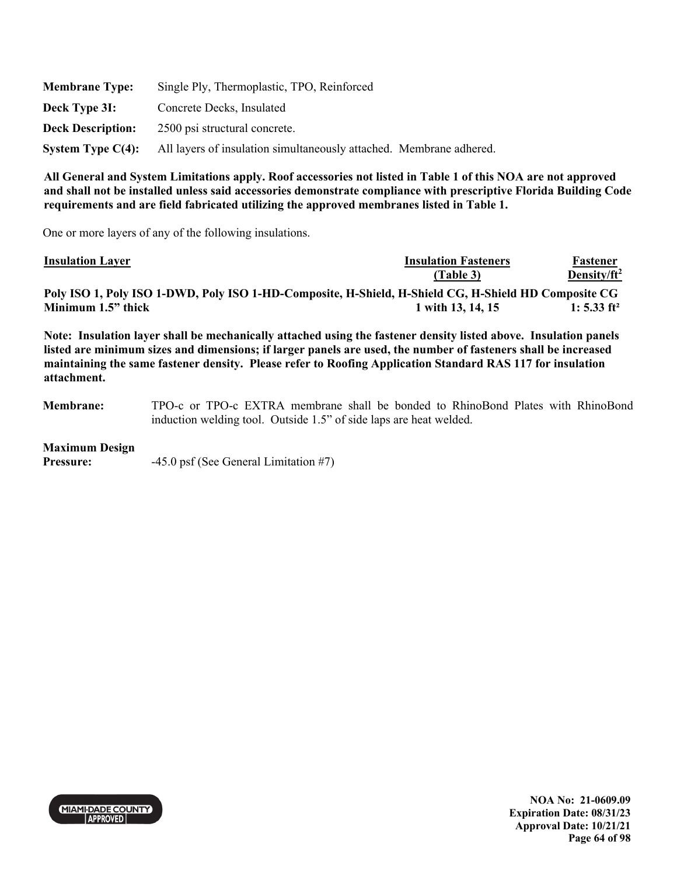| <b>Membrane Type:</b>    | Single Ply, Thermoplastic, TPO, Reinforced                          |
|--------------------------|---------------------------------------------------------------------|
| Deck Type 3I:            | Concrete Decks, Insulated                                           |
| <b>Deck Description:</b> | 2500 psi structural concrete.                                       |
| System Type $C(4)$ :     | All layers of insulation simultaneously attached. Membrane adhered. |

One or more layers of any of the following insulations.

| <b>Insulation Layer</b>                                                                              | <b>Insulation Fasteners</b> | Fastener                |
|------------------------------------------------------------------------------------------------------|-----------------------------|-------------------------|
|                                                                                                      | (Table 3)                   | Density/ $ft^2$         |
| Poly ISO 1, Poly ISO 1-DWD, Poly ISO 1-HD-Composite, H-Shield, H-Shield CG, H-Shield HD Composite CG |                             |                         |
| Minimum 1.5" thick                                                                                   | 1 with 13, 14, 15           | 1: 5.33 ft <sup>2</sup> |
|                                                                                                      |                             |                         |

**Note: Insulation layer shall be mechanically attached using the fastener density listed above. Insulation panels listed are minimum sizes and dimensions; if larger panels are used, the number of fasteners shall be increased maintaining the same fastener density. Please refer to Roofing Application Standard RAS 117 for insulation attachment.** 

**Membrane:** TPO-c or TPO-c EXTRA membrane shall be bonded to RhinoBond Plates with RhinoBond induction welding tool. Outside 1.5" of side laps are heat welded.

### **Maximum Design**

**Pressure:**  $-45.0 \text{ psf}$  (See General Limitation #7)



**NOA No: 21-0609.09 Expiration Date: 08/31/23 Approval Date: 10/21/21 Page 64 of 98**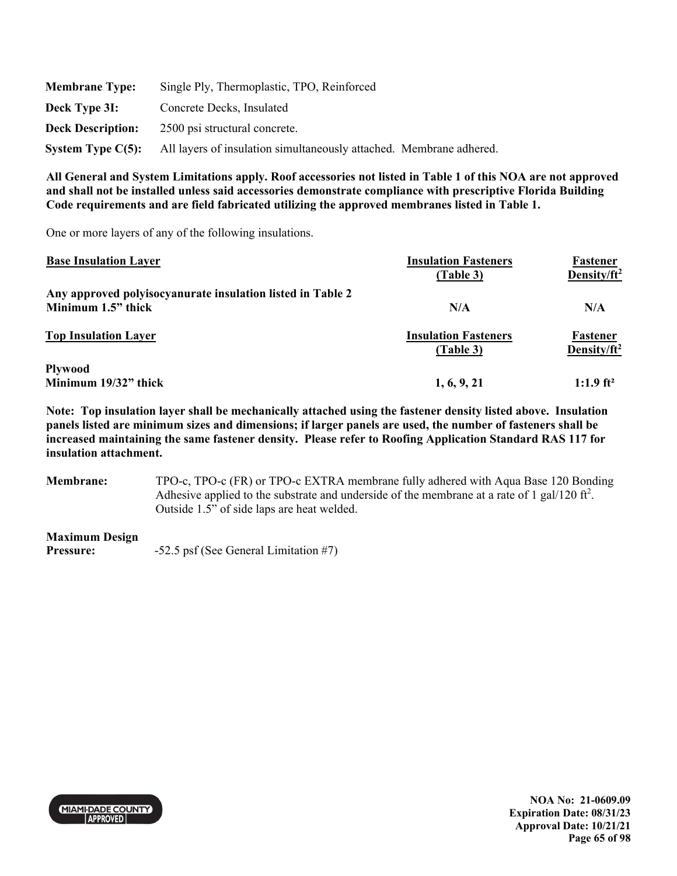| <b>Membrane Type:</b>    | Single Ply, Thermoplastic, TPO, Reinforced                          |
|--------------------------|---------------------------------------------------------------------|
| Deck Type 3I:            | Concrete Decks, Insulated                                           |
| <b>Deck Description:</b> | 2500 psi structural concrete.                                       |
| System Type $C(5)$ :     | All layers of insulation simultaneously attached. Membrane adhered. |

One or more layers of any of the following insulations.

| <b>Base Insulation Layer</b>                               | <b>Insulation Fasteners</b><br>(Table 3) | <b>Fastener</b><br>Density/ft <sup>2</sup> |
|------------------------------------------------------------|------------------------------------------|--------------------------------------------|
| Any approved polyisocyanurate insulation listed in Table 2 |                                          |                                            |
| Minimum 1.5" thick                                         | N/A                                      | N/A                                        |
| <b>Top Insulation Layer</b>                                | <b>Insulation Fasteners</b><br>(Table 3) | Fastener<br>Density/ $ft^2$                |
| <b>Plywood</b><br>Minimum 19/32" thick                     | 1, 6, 9, 21                              | $1:1.9$ ft <sup>2</sup>                    |

**Note: Top insulation layer shall be mechanically attached using the fastener density listed above. Insulation panels listed are minimum sizes and dimensions; if larger panels are used, the number of fasteners shall be increased maintaining the same fastener density. Please refer to Roofing Application Standard RAS 117 for insulation attachment.** 

**Membrane:** TPO-c, TPO-c (FR) or TPO-c EXTRA membrane fully adhered with Aqua Base 120 Bonding Adhesive applied to the substrate and underside of the membrane at a rate of 1 gal/120 ft<sup>2</sup>. Outside 1.5" of side laps are heat welded.

### **Maximum Design**

**Pressure:**  $-52.5 \text{ psf}$  (See General Limitation #7)



**NOA No: 21-0609.09 Expiration Date: 08/31/23 Approval Date: 10/21/21 Page 65 of 98**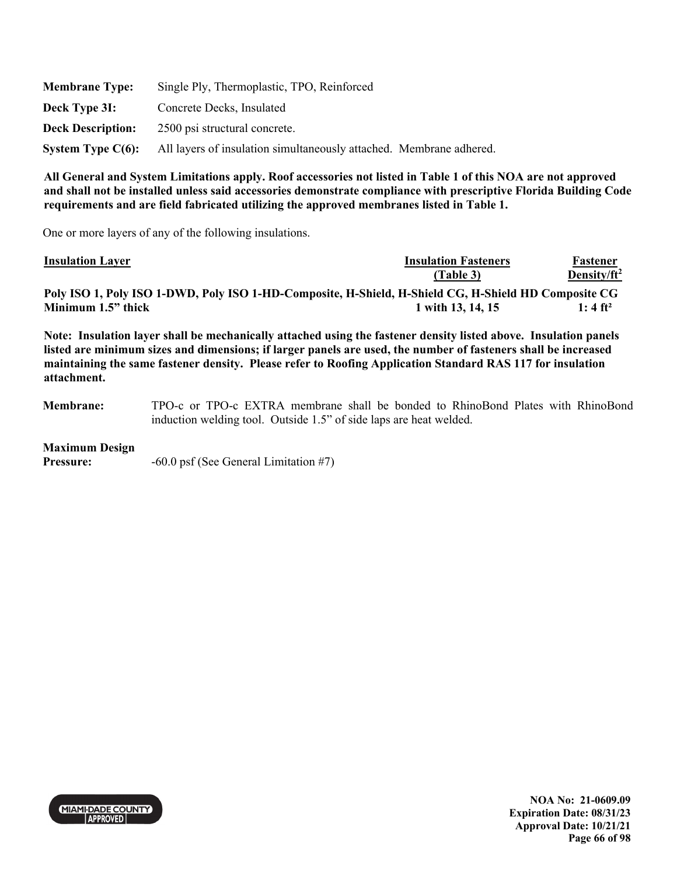| <b>Membrane Type:</b>    | Single Ply, Thermoplastic, TPO, Reinforced                          |
|--------------------------|---------------------------------------------------------------------|
| Deck Type 3I:            | Concrete Decks, Insulated                                           |
| <b>Deck Description:</b> | 2500 psi structural concrete.                                       |
| System Type $C(6)$ :     | All layers of insulation simultaneously attached. Membrane adhered. |

One or more layers of any of the following insulations.

| <b>Insulation Layer</b>                                                                              | <b>Insulation Fasteners</b> | Fastener             |
|------------------------------------------------------------------------------------------------------|-----------------------------|----------------------|
|                                                                                                      | (Table 3)                   | Density/ $ft^2$      |
| Poly ISO 1, Poly ISO 1-DWD, Poly ISO 1-HD-Composite, H-Shield, H-Shield CG, H-Shield HD Composite CG |                             |                      |
| Minimum 1.5" thick                                                                                   | 1 with 13, 14, 15           | 1: 4 ft <sup>2</sup> |

**Note: Insulation layer shall be mechanically attached using the fastener density listed above. Insulation panels listed are minimum sizes and dimensions; if larger panels are used, the number of fasteners shall be increased maintaining the same fastener density. Please refer to Roofing Application Standard RAS 117 for insulation attachment.** 

**Membrane:** TPO-c or TPO-c EXTRA membrane shall be bonded to RhinoBond Plates with RhinoBond induction welding tool. Outside 1.5" of side laps are heat welded.

### **Maximum Design**

**Pressure:**  $-60.0 \text{ psf}$  (See General Limitation #7)



**NOA No: 21-0609.09 Expiration Date: 08/31/23 Approval Date: 10/21/21 Page 66 of 98**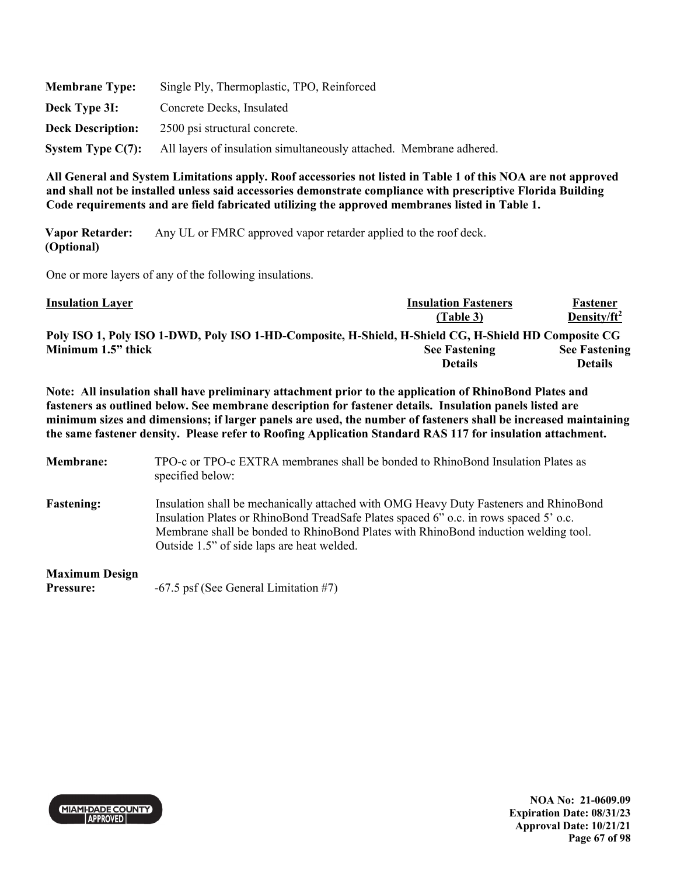| <b>Membrane Type:</b>    | Single Ply, Thermoplastic, TPO, Reinforced                          |
|--------------------------|---------------------------------------------------------------------|
| Deck Type 3I:            | Concrete Decks, Insulated                                           |
| <b>Deck Description:</b> | 2500 psi structural concrete.                                       |
| System Type $C(7)$ :     | All layers of insulation simultaneously attached. Membrane adhered. |

**Vapor Retarder: (Optional)**  Any UL or FMRC approved vapor retarder applied to the roof deck.

One or more layers of any of the following insulations.

| <b>Insulation Layer</b>                                                                              | <b>Insulation Fasteners</b> | Fastener             |
|------------------------------------------------------------------------------------------------------|-----------------------------|----------------------|
|                                                                                                      | (Table 3)                   | Density/ $ft^2$      |
| Poly ISO 1, Poly ISO 1-DWD, Poly ISO 1-HD-Composite, H-Shield, H-Shield CG, H-Shield HD Composite CG |                             |                      |
| Minimum 1.5" thick                                                                                   | <b>See Fastening</b>        | <b>See Fastening</b> |
|                                                                                                      | <b>Details</b>              | <b>Details</b>       |

**Note: All insulation shall have preliminary attachment prior to the application of RhinoBond Plates and fasteners as outlined below. See membrane description for fastener details. Insulation panels listed are minimum sizes and dimensions; if larger panels are used, the number of fasteners shall be increased maintaining the same fastener density. Please refer to Roofing Application Standard RAS 117 for insulation attachment.** 

- **Membrane:** TPO-c or TPO-c EXTRA membranes shall be bonded to RhinoBond Insulation Plates as specified below:
- **Fastening:** Insulation shall be mechanically attached with OMG Heavy Duty Fasteners and RhinoBond Insulation Plates or RhinoBond TreadSafe Plates spaced 6" o.c. in rows spaced 5' o.c. Membrane shall be bonded to RhinoBond Plates with RhinoBond induction welding tool. Outside 1.5" of side laps are heat welded.

**Maximum Design** 

Pressure:  $-67.5$  psf (See General Limitation #7)



**NOA No: 21-0609.09 Expiration Date: 08/31/23 Approval Date: 10/21/21 Page 67 of 98**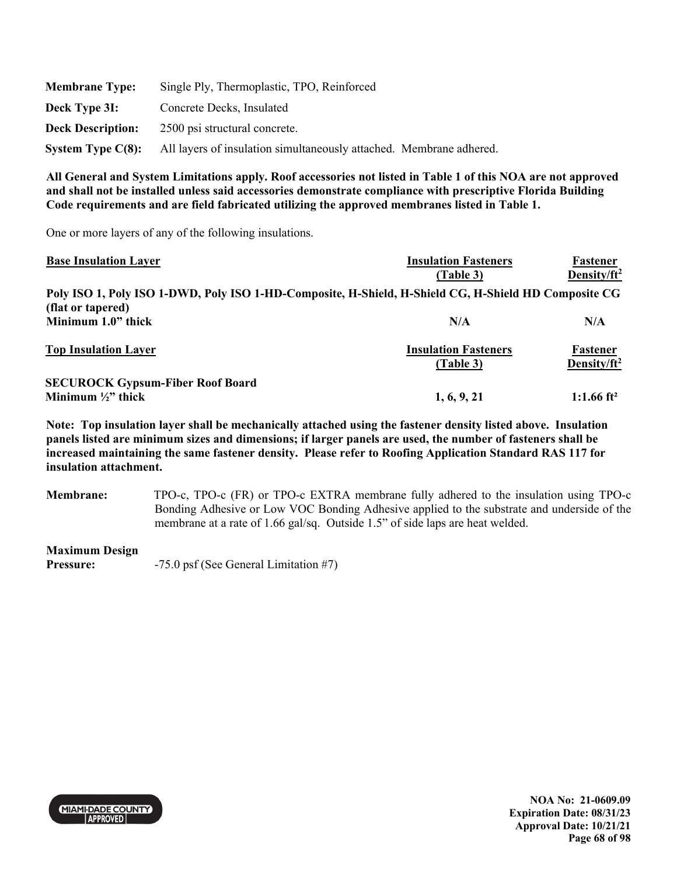| <b>Membrane Type:</b>    | Single Ply, Thermoplastic, TPO, Reinforced                          |
|--------------------------|---------------------------------------------------------------------|
| Deck Type 3I:            | Concrete Decks, Insulated                                           |
| <b>Deck Description:</b> | 2500 psi structural concrete.                                       |
| System Type $C(8)$ :     | All layers of insulation simultaneously attached. Membrane adhered. |

One or more layers of any of the following insulations.

| <b>Base Insulation Layer</b>                                                                         | <b>Insulation Fasteners</b> | Fastener                |
|------------------------------------------------------------------------------------------------------|-----------------------------|-------------------------|
|                                                                                                      | (Table 3)                   | Density/ft <sup>2</sup> |
| Poly ISO 1, Poly ISO 1-DWD, Poly ISO 1-HD-Composite, H-Shield, H-Shield CG, H-Shield HD Composite CG |                             |                         |
| (flat or tapered)                                                                                    |                             |                         |
| Minimum 1.0" thick                                                                                   | N/A                         | N/A                     |
| <b>Top Insulation Layer</b>                                                                          | <b>Insulation Fasteners</b> | Fastener                |
|                                                                                                      | (Table 3)                   | Density/ $ft^2$         |
| <b>SECUROCK Gypsum-Fiber Roof Board</b>                                                              |                             |                         |
| Minimum $\frac{1}{2}$ " thick                                                                        | 1, 6, 9, 21                 | 1:1.66 ft <sup>2</sup>  |

**Note: Top insulation layer shall be mechanically attached using the fastener density listed above. Insulation panels listed are minimum sizes and dimensions; if larger panels are used, the number of fasteners shall be increased maintaining the same fastener density. Please refer to Roofing Application Standard RAS 117 for insulation attachment.** 

**Membrane:** TPO-c, TPO-c (FR) or TPO-c EXTRA membrane fully adhered to the insulation using TPO-c Bonding Adhesive or Low VOC Bonding Adhesive applied to the substrate and underside of the membrane at a rate of 1.66 gal/sq. Outside 1.5" of side laps are heat welded.

**Maximum Design** 

**Pressure:**  $-75.0$  psf (See General Limitation #7)



**NOA No: 21-0609.09 Expiration Date: 08/31/23 Approval Date: 10/21/21 Page 68 of 98**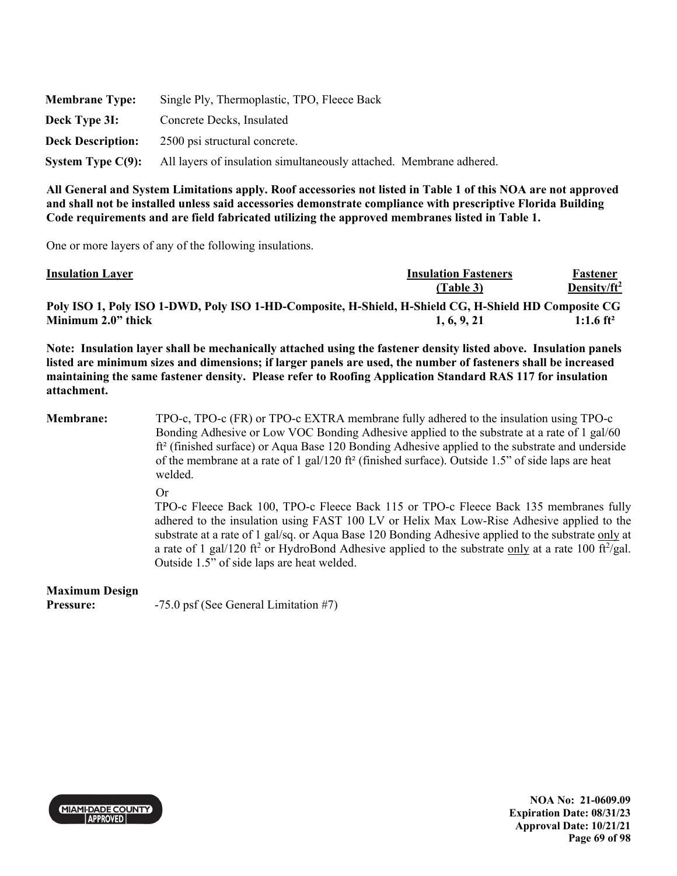| <b>Membrane Type:</b>    | Single Ply, Thermoplastic, TPO, Fleece Back                         |
|--------------------------|---------------------------------------------------------------------|
| Deck Type 3I:            | Concrete Decks, Insulated                                           |
| <b>Deck Description:</b> | 2500 psi structural concrete.                                       |
| System Type $C(9)$ :     | All layers of insulation simultaneously attached. Membrane adhered. |

One or more layers of any of the following insulations.

| <b>Insulation Layer</b>                                                                              | <b>Insulation Fasteners</b> | Fastener                |
|------------------------------------------------------------------------------------------------------|-----------------------------|-------------------------|
|                                                                                                      | (Table 3)                   | Density/ft <sup>2</sup> |
| Poly ISO 1, Poly ISO 1-DWD, Poly ISO 1-HD-Composite, H-Shield, H-Shield CG, H-Shield HD Composite CG |                             |                         |
| Minimum 2.0" thick                                                                                   | 1, 6, 9, 21                 | $1:1.6$ ft <sup>2</sup> |

**Note: Insulation layer shall be mechanically attached using the fastener density listed above. Insulation panels listed are minimum sizes and dimensions; if larger panels are used, the number of fasteners shall be increased maintaining the same fastener density. Please refer to Roofing Application Standard RAS 117 for insulation attachment.** 

**Membrane:** TPO-c, TPO-c (FR) or TPO-c EXTRA membrane fully adhered to the insulation using TPO-c Bonding Adhesive or Low VOC Bonding Adhesive applied to the substrate at a rate of 1 gal/60 ft² (finished surface) or Aqua Base 120 Bonding Adhesive applied to the substrate and underside of the membrane at a rate of 1 gal/120 ft<sup>2</sup> (finished surface). Outside 1.5" of side laps are heat welded.

Or

TPO-c Fleece Back 100, TPO-c Fleece Back 115 or TPO-c Fleece Back 135 membranes fully adhered to the insulation using FAST 100 LV or Helix Max Low-Rise Adhesive applied to the substrate at a rate of 1 gal/sq. or Aqua Base 120 Bonding Adhesive applied to the substrate only at a rate of 1 gal/120 ft<sup>2</sup> or HydroBond Adhesive applied to the substrate only at a rate 100 ft $^2$ /gal. Outside 1.5" of side laps are heat welded.

# **Maximum Design**

**Pressure:**  $-75.0$  psf (See General Limitation #7)

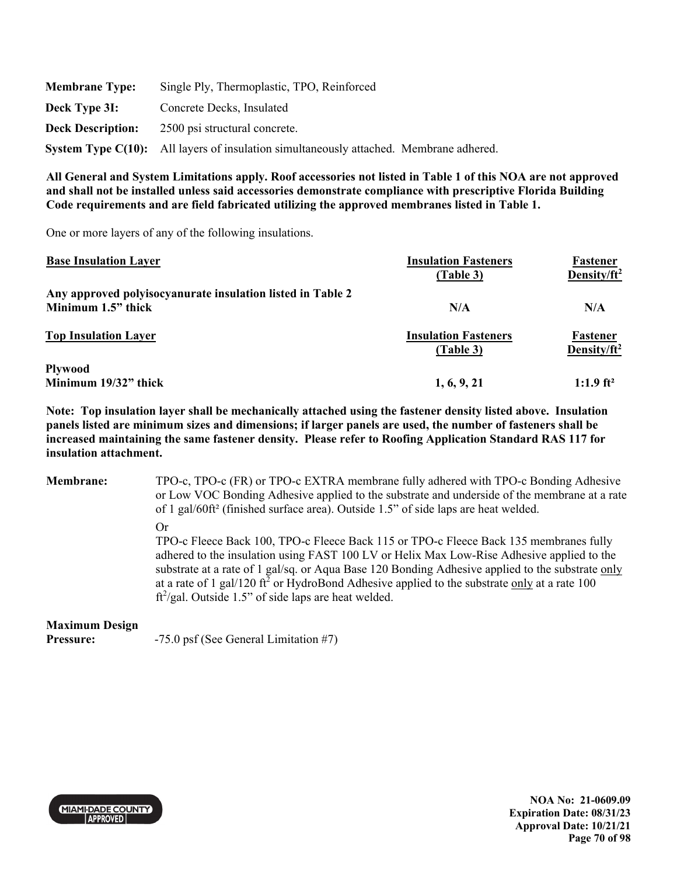| <b>Membrane Type:</b>    | Single Ply, Thermoplastic, TPO, Reinforced                                             |
|--------------------------|----------------------------------------------------------------------------------------|
| Deck Type 3I:            | Concrete Decks, Insulated                                                              |
| <b>Deck Description:</b> | 2500 psi structural concrete.                                                          |
|                          | System Type C(10): All layers of insulation simultaneously attached. Membrane adhered. |

One or more layers of any of the following insulations.

| <b>Base Insulation Layer</b>                               | <b>Insulation Fasteners</b><br>(Table 3) | <b>Fastener</b><br>Density/ft <sup>2</sup> |
|------------------------------------------------------------|------------------------------------------|--------------------------------------------|
| Any approved polyisocyanurate insulation listed in Table 2 |                                          |                                            |
| Minimum 1.5" thick                                         | N/A                                      | N/A                                        |
| <b>Top Insulation Layer</b>                                | <b>Insulation Fasteners</b><br>(Table 3) | Fastener<br>Density/ $ft^2$                |
| <b>Plywood</b><br>Minimum 19/32" thick                     | 1, 6, 9, 21                              | $1:1.9$ ft <sup>2</sup>                    |

**Note: Top insulation layer shall be mechanically attached using the fastener density listed above. Insulation panels listed are minimum sizes and dimensions; if larger panels are used, the number of fasteners shall be increased maintaining the same fastener density. Please refer to Roofing Application Standard RAS 117 for insulation attachment.** 

| <b>Membrane:</b>                   | TPO-c, TPO-c (FR) or TPO-c EXTRA membrane fully adhered with TPO-c Bonding Adhesive<br>or Low VOC Bonding Adhesive applied to the substrate and underside of the membrane at a rate<br>of 1 gal/60ft <sup>2</sup> (finished surface area). Outside 1.5" of side laps are heat welded.                                                                                                                                                                               |  |  |
|------------------------------------|---------------------------------------------------------------------------------------------------------------------------------------------------------------------------------------------------------------------------------------------------------------------------------------------------------------------------------------------------------------------------------------------------------------------------------------------------------------------|--|--|
|                                    | Or<br>TPO-c Fleece Back 100, TPO-c Fleece Back 115 or TPO-c Fleece Back 135 membranes fully<br>adhered to the insulation using FAST 100 LV or Helix Max Low-Rise Adhesive applied to the<br>substrate at a rate of 1 gal/sq. or Aqua Base 120 Bonding Adhesive applied to the substrate only<br>at a rate of 1 gal/120 ft <sup>2</sup> or HydroBond Adhesive applied to the substrate only at a rate 100<br>$ft^2$ /gal. Outside 1.5" of side laps are heat welded. |  |  |
| <b>Maximum Design</b><br>Pressure: | $-75.0$ psf (See General Limitation #7)                                                                                                                                                                                                                                                                                                                                                                                                                             |  |  |



**NOA No: 21-0609.09 Expiration Date: 08/31/23 Approval Date: 10/21/21 Page 70 of 98**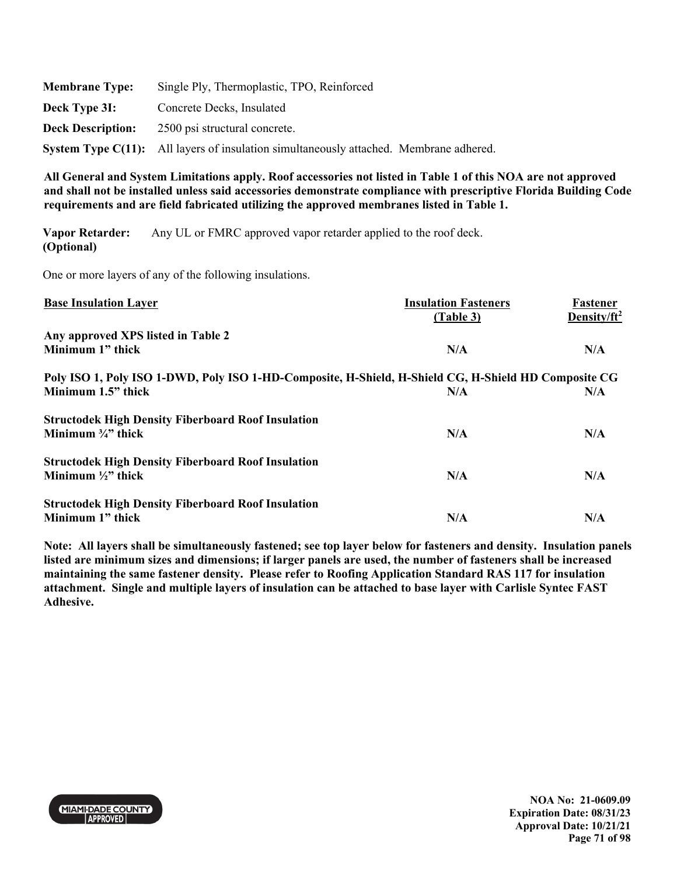| <b>Membrane Type:</b>    | Single Ply, Thermoplastic, TPO, Reinforced                                             |
|--------------------------|----------------------------------------------------------------------------------------|
| Deck Type 3I:            | Concrete Decks, Insulated                                                              |
| <b>Deck Description:</b> | 2500 psi structural concrete.                                                          |
|                          | System Type C(11): All layers of insulation simultaneously attached. Membrane adhered. |

**Vapor Retarder: (Optional)**  Any UL or FMRC approved vapor retarder applied to the roof deck.

One or more layers of any of the following insulations.

| <b>Base Insulation Layer</b>                                                                         | <b>Insulation Fasteners</b> | Fastener                |
|------------------------------------------------------------------------------------------------------|-----------------------------|-------------------------|
|                                                                                                      | (Table 3)                   | Density/ft <sup>2</sup> |
| Any approved XPS listed in Table 2                                                                   |                             |                         |
| Minimum 1" thick                                                                                     | N/A                         | N/A                     |
| Poly ISO 1, Poly ISO 1-DWD, Poly ISO 1-HD-Composite, H-Shield, H-Shield CG, H-Shield HD Composite CG |                             |                         |
| Minimum 1.5" thick                                                                                   | N/A                         | N/A                     |
| <b>Structodek High Density Fiberboard Roof Insulation</b>                                            |                             |                         |
| Minimum $\frac{3}{4}$ " thick                                                                        | N/A                         | N/A                     |
| <b>Structodek High Density Fiberboard Roof Insulation</b>                                            |                             |                         |
| Minimum $\frac{1}{2}$ " thick                                                                        | N/A                         | N/A                     |
| <b>Structodek High Density Fiberboard Roof Insulation</b>                                            |                             |                         |
| Minimum 1" thick                                                                                     | N/A                         | N/A                     |

**Note: All layers shall be simultaneously fastened; see top layer below for fasteners and density. Insulation panels listed are minimum sizes and dimensions; if larger panels are used, the number of fasteners shall be increased maintaining the same fastener density. Please refer to Roofing Application Standard RAS 117 for insulation attachment. Single and multiple layers of insulation can be attached to base layer with Carlisle Syntec FAST Adhesive.**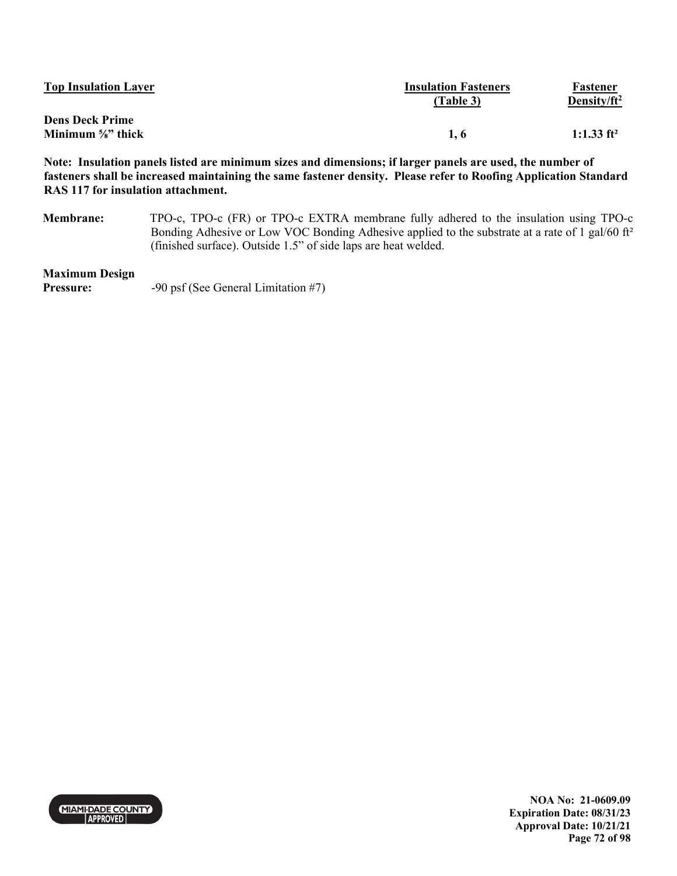| <b>Top Insulation Layer</b>   | <b>Insulation Fasteners</b><br>(Table 3) | Fastener<br>Density/ $ft^2$ |
|-------------------------------|------------------------------------------|-----------------------------|
| <b>Dens Deck Prime</b>        |                                          |                             |
| Minimum $\frac{5}{8}$ " thick | 1.6                                      | 1:1.33 ft <sup>2</sup>      |

**Note: Insulation panels listed are minimum sizes and dimensions; if larger panels are used, the number of fasteners shall be increased maintaining the same fastener density. Please refer to Roofing Application Standard RAS 117 for insulation attachment.** 

**Membrane:** TPO-c, TPO-c (FR) or TPO-c EXTRA membrane fully adhered to the insulation using TPO-c Bonding Adhesive or Low VOC Bonding Adhesive applied to the substrate at a rate of 1 gal/60 ft<sup>2</sup> (finished surface). Outside 1.5" of side laps are heat welded.

### **Maximum Design**

**Pressure:** -90 psf (See General Limitation #7)



**NOA No: 21-0609.09 Expiration Date: 08/31/23 Approval Date: 10/21/21 Page 72 of 98**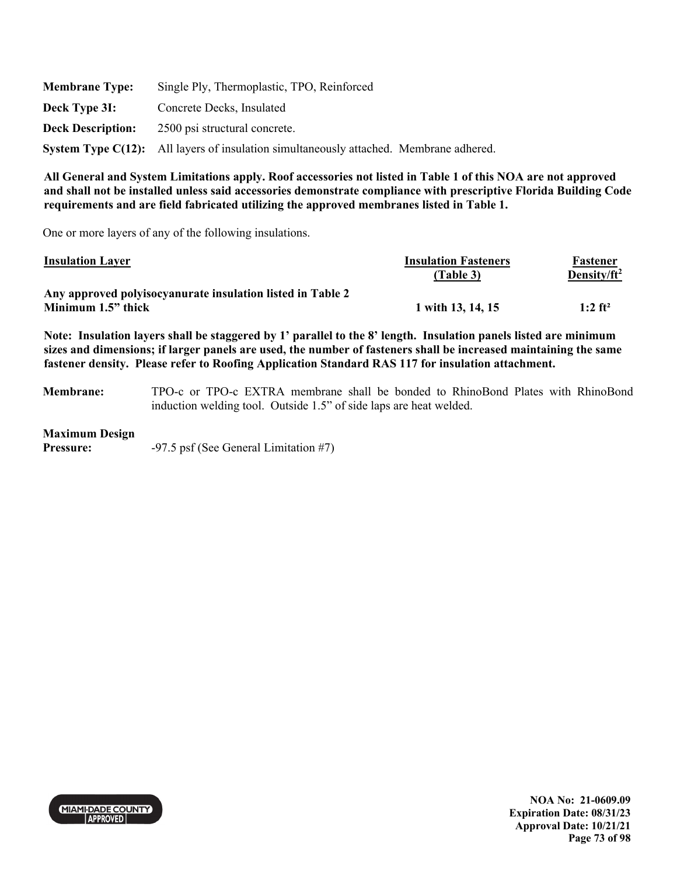| <b>Membrane Type:</b>    | Single Ply, Thermoplastic, TPO, Reinforced                                             |  |
|--------------------------|----------------------------------------------------------------------------------------|--|
| Deck Type 3I:            | Concrete Decks, Insulated                                                              |  |
| <b>Deck Description:</b> | 2500 psi structural concrete.                                                          |  |
|                          | System Type C(12): All layers of insulation simultaneously attached. Membrane adhered. |  |

One or more layers of any of the following insulations.

| <b>Insulation Layer</b>                                    | <b>Insulation Fasteners</b> | Fastener        |
|------------------------------------------------------------|-----------------------------|-----------------|
|                                                            | (Table 3)                   | Density/ $ft^2$ |
| Any approved polyisocyanurate insulation listed in Table 2 |                             |                 |
| Minimum 1.5" thick                                         | 1 with 13, 14, 15           | 1:2 $ft^2$      |

**Note: Insulation layers shall be staggered by 1' parallel to the 8' length. Insulation panels listed are minimum sizes and dimensions; if larger panels are used, the number of fasteners shall be increased maintaining the same fastener density. Please refer to Roofing Application Standard RAS 117 for insulation attachment.** 

**Membrane:** TPO-c or TPO-c EXTRA membrane shall be bonded to RhinoBond Plates with RhinoBond induction welding tool. Outside 1.5" of side laps are heat welded.

### **Maximum Design**

**Pressure:** -97.5 psf (See General Limitation #7)



**NOA No: 21-0609.09 Expiration Date: 08/31/23 Approval Date: 10/21/21 Page 73 of 98**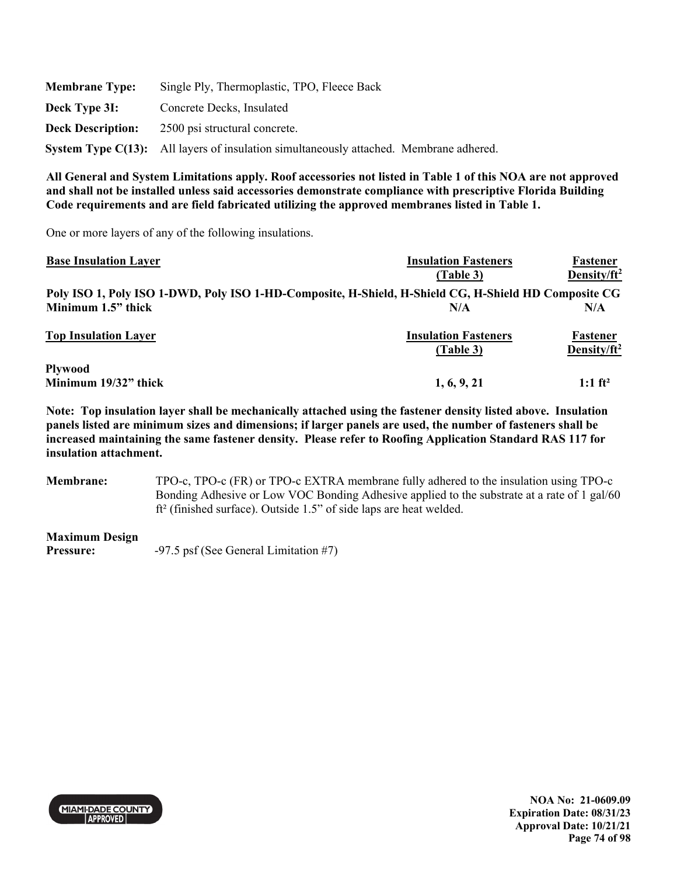| <b>Membrane Type:</b>    | Single Ply, Thermoplastic, TPO, Fleece Back                                            |  |  |
|--------------------------|----------------------------------------------------------------------------------------|--|--|
| Deck Type 3I:            | Concrete Decks, Insulated                                                              |  |  |
| <b>Deck Description:</b> | 2500 psi structural concrete.                                                          |  |  |
|                          | System Type C(13): All layers of insulation simultaneously attached. Membrane adhered. |  |  |

One or more layers of any of the following insulations.

| <b>Base Insulation Layer</b>                                                                         | <b>Insulation Fasteners</b> | Fastener                |
|------------------------------------------------------------------------------------------------------|-----------------------------|-------------------------|
|                                                                                                      | (Table 3)                   | Density/ft <sup>2</sup> |
| Poly ISO 1, Poly ISO 1-DWD, Poly ISO 1-HD-Composite, H-Shield, H-Shield CG, H-Shield HD Composite CG |                             |                         |
| Minimum 1.5" thick                                                                                   | N/A                         | N/A                     |
| <b>Top Insulation Layer</b>                                                                          | <b>Insulation Fasteners</b> | Fastener                |
|                                                                                                      | (Table 3)                   | Density/ft <sup>2</sup> |
| <b>Plywood</b>                                                                                       |                             |                         |
| Minimum 19/32" thick                                                                                 | 1, 6, 9, 21                 | 1:1 $ft^2$              |

**Note: Top insulation layer shall be mechanically attached using the fastener density listed above. Insulation panels listed are minimum sizes and dimensions; if larger panels are used, the number of fasteners shall be increased maintaining the same fastener density. Please refer to Roofing Application Standard RAS 117 for insulation attachment.** 

**Membrane:** TPO-c, TPO-c (FR) or TPO-c EXTRA membrane fully adhered to the insulation using TPO-c Bonding Adhesive or Low VOC Bonding Adhesive applied to the substrate at a rate of 1 gal/60 ft² (finished surface). Outside 1.5" of side laps are heat welded.

### **Maximum Design**

**Pressure:**  $-97.5 \text{ psf}$  (See General Limitation #7)

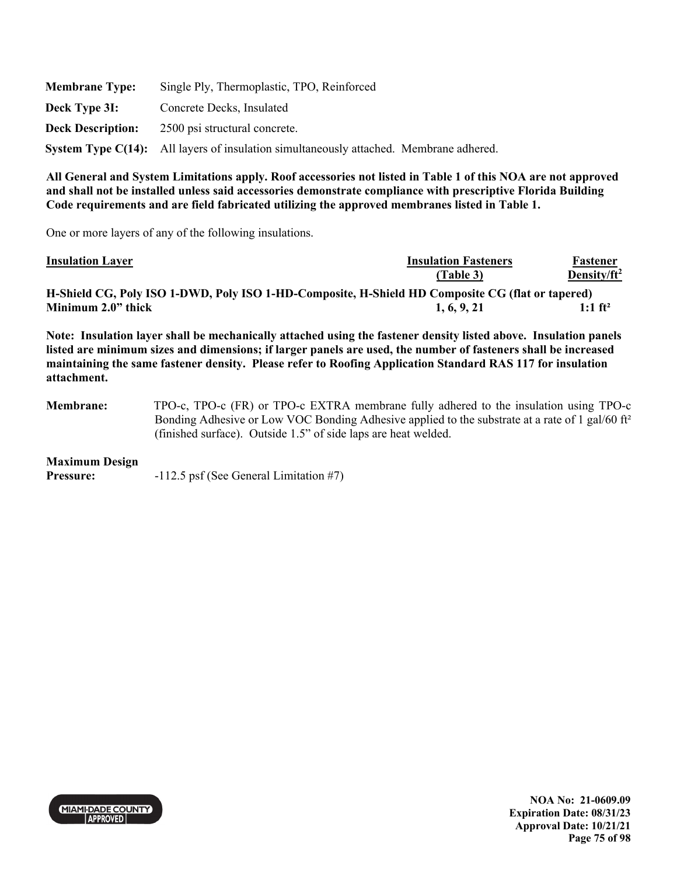| <b>Membrane Type:</b>    | Single Ply, Thermoplastic, TPO, Reinforced                                             |  |  |
|--------------------------|----------------------------------------------------------------------------------------|--|--|
| Deck Type 3I:            | Concrete Decks, Insulated                                                              |  |  |
| <b>Deck Description:</b> | 2500 psi structural concrete.                                                          |  |  |
|                          | System Type C(14): All layers of insulation simultaneously attached. Membrane adhered. |  |  |

One or more layers of any of the following insulations.

| <b>Insulation Layer</b> | <b>Insulation Fasteners</b>                                                                      | Fastener            |
|-------------------------|--------------------------------------------------------------------------------------------------|---------------------|
|                         | (Table 3)                                                                                        | Density/ $ft^2$     |
|                         | H-Shield CG, Poly ISO 1-DWD, Poly ISO 1-HD-Composite, H-Shield HD Composite CG (flat or tapered) |                     |
| Minimum 2.0" thick      | 1, 6, 9, 21                                                                                      | 1:1 ft <sup>2</sup> |
|                         |                                                                                                  |                     |

**Note: Insulation layer shall be mechanically attached using the fastener density listed above. Insulation panels listed are minimum sizes and dimensions; if larger panels are used, the number of fasteners shall be increased maintaining the same fastener density. Please refer to Roofing Application Standard RAS 117 for insulation attachment.** 

**Membrane:** TPO-c, TPO-c (FR) or TPO-c EXTRA membrane fully adhered to the insulation using TPO-c Bonding Adhesive or Low VOC Bonding Adhesive applied to the substrate at a rate of 1 gal/60 ft² (finished surface). Outside 1.5" of side laps are heat welded.

#### **Maximum Design**

**Pressure:**  $-112.5$  psf (See General Limitation #7)



**NOA No: 21-0609.09 Expiration Date: 08/31/23 Approval Date: 10/21/21 Page 75 of 98**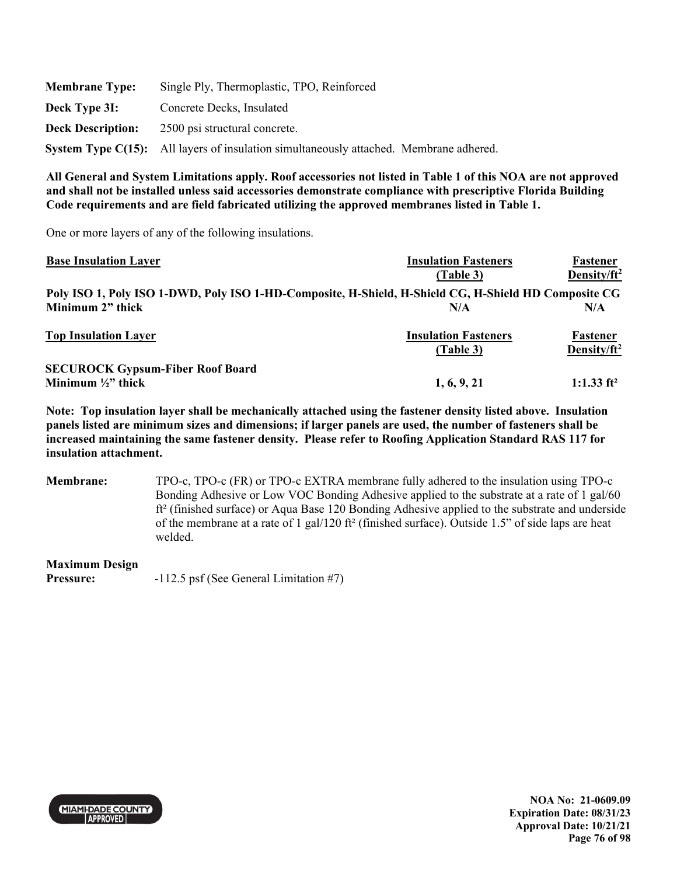| <b>Membrane Type:</b>    | Single Ply, Thermoplastic, TPO, Reinforced                                             |
|--------------------------|----------------------------------------------------------------------------------------|
| Deck Type 3I:            | Concrete Decks, Insulated                                                              |
| <b>Deck Description:</b> | 2500 psi structural concrete.                                                          |
|                          | System Type C(15): All layers of insulation simultaneously attached. Membrane adhered. |

One or more layers of any of the following insulations.

| <b>Base Insulation Layer</b>                                                                         | <b>Insulation Fasteners</b> | Fastener                |
|------------------------------------------------------------------------------------------------------|-----------------------------|-------------------------|
|                                                                                                      | (Table 3)                   | Density/ft <sup>2</sup> |
| Poly ISO 1, Poly ISO 1-DWD, Poly ISO 1-HD-Composite, H-Shield, H-Shield CG, H-Shield HD Composite CG |                             |                         |
| Minimum 2" thick                                                                                     | N/A                         | N/A                     |
| <b>Top Insulation Layer</b>                                                                          | <b>Insulation Fasteners</b> | Fastener                |
|                                                                                                      | (Table 3)                   | Density/ft <sup>2</sup> |
| <b>SECUROCK Gypsum-Fiber Roof Board</b>                                                              |                             |                         |
| Minimum $\frac{1}{2}$ " thick                                                                        | 1, 6, 9, 21                 | 1:1.33 $ft^2$           |

**Note: Top insulation layer shall be mechanically attached using the fastener density listed above. Insulation panels listed are minimum sizes and dimensions; if larger panels are used, the number of fasteners shall be increased maintaining the same fastener density. Please refer to Roofing Application Standard RAS 117 for insulation attachment.** 

**Membrane:** TPO-c, TPO-c (FR) or TPO-c EXTRA membrane fully adhered to the insulation using TPO-c Bonding Adhesive or Low VOC Bonding Adhesive applied to the substrate at a rate of 1 gal/60 ft² (finished surface) or Aqua Base 120 Bonding Adhesive applied to the substrate and underside of the membrane at a rate of 1 gal/120 ft<sup>2</sup> (finished surface). Outside 1.5" of side laps are heat welded.

**Maximum Design**  Pressure:  $-112.5$  psf (See General Limitation #7)

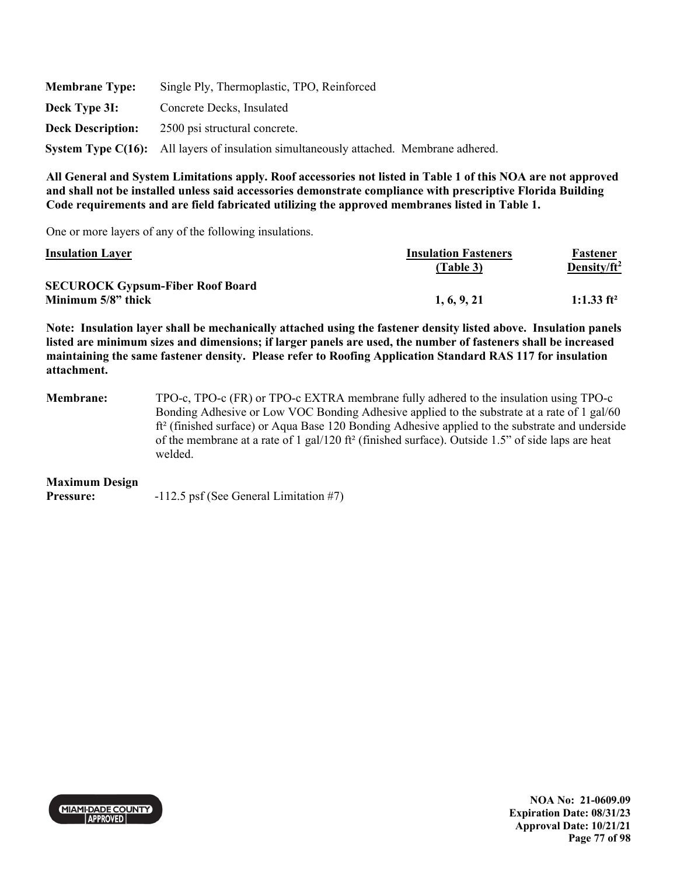| <b>Membrane Type:</b>    | Single Ply, Thermoplastic, TPO, Reinforced                                                    |  |
|--------------------------|-----------------------------------------------------------------------------------------------|--|
| Deck Type 3I:            | Concrete Decks, Insulated                                                                     |  |
| <b>Deck Description:</b> | 2500 psi structural concrete.                                                                 |  |
|                          | <b>System Type C(16):</b> All layers of insulation simultaneously attached. Membrane adhered. |  |

One or more layers of any of the following insulations.

| <b>Insulation Layer</b>                 | <b>Insulation Fasteners</b> | Fastener                |
|-----------------------------------------|-----------------------------|-------------------------|
|                                         | (Table 3)                   | Density/ft <sup>2</sup> |
| <b>SECUROCK Gypsum-Fiber Roof Board</b> |                             |                         |
| Minimum 5/8" thick                      | 1, 6, 9, 21                 | 1:1.33 $ft^2$           |

**Note: Insulation layer shall be mechanically attached using the fastener density listed above. Insulation panels listed are minimum sizes and dimensions; if larger panels are used, the number of fasteners shall be increased maintaining the same fastener density. Please refer to Roofing Application Standard RAS 117 for insulation attachment.** 

**Membrane:** TPO-c, TPO-c (FR) or TPO-c EXTRA membrane fully adhered to the insulation using TPO-c Bonding Adhesive or Low VOC Bonding Adhesive applied to the substrate at a rate of 1 gal/60 ft<sup>2</sup> (finished surface) or Aqua Base 120 Bonding Adhesive applied to the substrate and underside of the membrane at a rate of 1 gal/120 ft<sup>2</sup> (finished surface). Outside 1.5" of side laps are heat welded.

#### **Maximum Design**

Pressure:  $-112.5$  psf (See General Limitation #7)

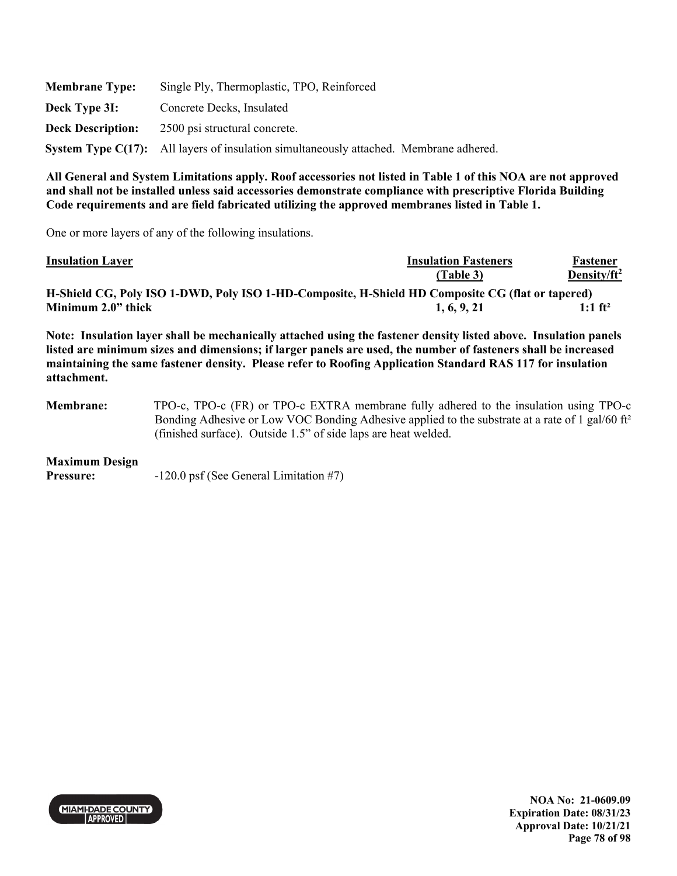| <b>Membrane Type:</b>    | Single Ply, Thermoplastic, TPO, Reinforced                                                    |  |  |
|--------------------------|-----------------------------------------------------------------------------------------------|--|--|
| Deck Type 3I:            | Concrete Decks, Insulated                                                                     |  |  |
| <b>Deck Description:</b> | 2500 psi structural concrete.                                                                 |  |  |
|                          | <b>System Type C(17):</b> All layers of insulation simultaneously attached. Membrane adhered. |  |  |

One or more layers of any of the following insulations.

| <b>Insulation Layer</b>                                                                          | <b>Insulation Fasteners</b> | Fastener              |
|--------------------------------------------------------------------------------------------------|-----------------------------|-----------------------|
|                                                                                                  | (Table 3)                   | Density/ $ft^2$       |
| H-Shield CG, Poly ISO 1-DWD, Poly ISO 1-HD-Composite, H-Shield HD Composite CG (flat or tapered) |                             |                       |
| Minimum 2.0" thick                                                                               | 1, 6, 9, 21                 | $1:1$ ft <sup>2</sup> |
|                                                                                                  |                             |                       |

**Note: Insulation layer shall be mechanically attached using the fastener density listed above. Insulation panels listed are minimum sizes and dimensions; if larger panels are used, the number of fasteners shall be increased maintaining the same fastener density. Please refer to Roofing Application Standard RAS 117 for insulation attachment.** 

**Membrane:** TPO-c, TPO-c (FR) or TPO-c EXTRA membrane fully adhered to the insulation using TPO-c Bonding Adhesive or Low VOC Bonding Adhesive applied to the substrate at a rate of 1 gal/60 ft² (finished surface). Outside 1.5" of side laps are heat welded.

#### **Maximum Design**

**Pressure:**  $-120.0$  psf (See General Limitation #7)



**NOA No: 21-0609.09 Expiration Date: 08/31/23 Approval Date: 10/21/21 Page 78 of 98**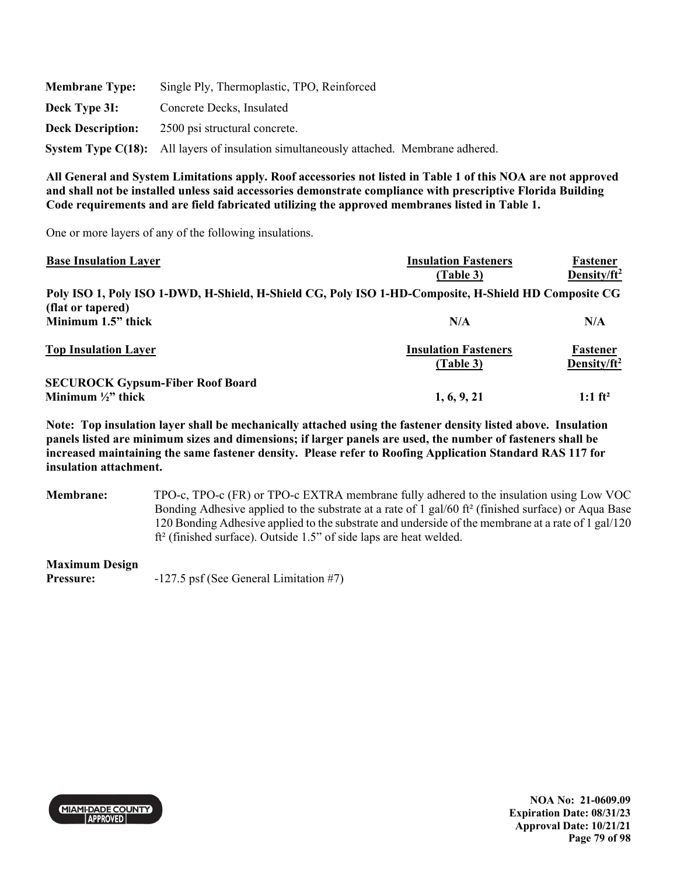| <b>Membrane Type:</b>    | Single Ply, Thermoplastic, TPO, Reinforced                                             |
|--------------------------|----------------------------------------------------------------------------------------|
| Deck Type 3I:            | Concrete Decks, Insulated                                                              |
| <b>Deck Description:</b> | 2500 psi structural concrete.                                                          |
|                          | System Type C(18): All layers of insulation simultaneously attached. Membrane adhered. |

One or more layers of any of the following insulations.

| <b>Base Insulation Layer</b>                                                                         | <b>Insulation Fasteners</b> | Fastener                |
|------------------------------------------------------------------------------------------------------|-----------------------------|-------------------------|
|                                                                                                      | (Table 3)                   | Density/ft <sup>2</sup> |
| Poly ISO 1, Poly ISO 1-DWD, H-Shield, H-Shield CG, Poly ISO 1-HD-Composite, H-Shield HD Composite CG |                             |                         |
| (flat or tapered)                                                                                    |                             |                         |
| Minimum 1.5" thick                                                                                   | N/A                         | N/A                     |
| <b>Top Insulation Layer</b>                                                                          | <b>Insulation Fasteners</b> | Fastener                |
|                                                                                                      | (Table 3)                   | Density/ft <sup>2</sup> |
| <b>SECUROCK Gypsum-Fiber Roof Board</b>                                                              |                             |                         |
| Minimum $\frac{1}{2}$ " thick                                                                        | 1, 6, 9, 21                 | 1:1 $ft^2$              |

**Note: Top insulation layer shall be mechanically attached using the fastener density listed above. Insulation panels listed are minimum sizes and dimensions; if larger panels are used, the number of fasteners shall be increased maintaining the same fastener density. Please refer to Roofing Application Standard RAS 117 for insulation attachment.** 

**Membrane:** TPO-c, TPO-c (FR) or TPO-c EXTRA membrane fully adhered to the insulation using Low VOC Bonding Adhesive applied to the substrate at a rate of 1 gal/60 ft² (finished surface) or Aqua Base 120 Bonding Adhesive applied to the substrate and underside of the membrane at a rate of 1 gal/120 ft² (finished surface). Outside 1.5" of side laps are heat welded.

**Maximum Design** 

**Pressure:**  $-127.5$  psf (See General Limitation #7)

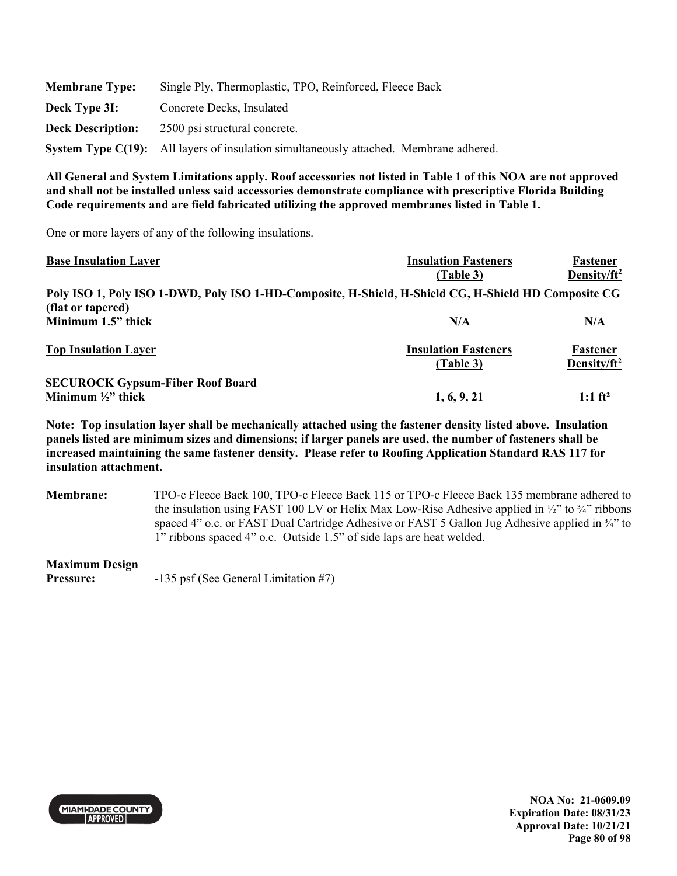| <b>Membrane Type:</b>    | Single Ply, Thermoplastic, TPO, Reinforced, Fleece Back                                |  |  |
|--------------------------|----------------------------------------------------------------------------------------|--|--|
| Deck Type 3I:            | Concrete Decks, Insulated                                                              |  |  |
| <b>Deck Description:</b> | 2500 psi structural concrete.                                                          |  |  |
|                          | System Type C(19): All layers of insulation simultaneously attached. Membrane adhered. |  |  |

One or more layers of any of the following insulations.

| <b>Base Insulation Layer</b>                                                                         | <b>Insulation Fasteners</b> | Fastener                |
|------------------------------------------------------------------------------------------------------|-----------------------------|-------------------------|
|                                                                                                      | (Table 3)                   | Density/ $ft^2$         |
| Poly ISO 1, Poly ISO 1-DWD, Poly ISO 1-HD-Composite, H-Shield, H-Shield CG, H-Shield HD Composite CG |                             |                         |
| (flat or tapered)                                                                                    |                             |                         |
| Minimum 1.5" thick                                                                                   | N/A                         | N/A                     |
| <b>Top Insulation Layer</b>                                                                          | <b>Insulation Fasteners</b> | Fastener                |
|                                                                                                      | (Table 3)                   | Density/ft <sup>2</sup> |
| <b>SECUROCK Gypsum-Fiber Roof Board</b>                                                              |                             |                         |
| Minimum $\frac{1}{2}$ " thick                                                                        | 1, 6, 9, 21                 | 1:1 $ft^2$              |

**Note: Top insulation layer shall be mechanically attached using the fastener density listed above. Insulation panels listed are minimum sizes and dimensions; if larger panels are used, the number of fasteners shall be increased maintaining the same fastener density. Please refer to Roofing Application Standard RAS 117 for insulation attachment.** 

**Membrane:** TPO-c Fleece Back 100, TPO-c Fleece Back 115 or TPO-c Fleece Back 135 membrane adhered to the insulation using FAST 100 LV or Helix Max Low-Rise Adhesive applied in  $\frac{1}{2}$  to  $\frac{3}{4}$ " ribbons spaced 4" o.c. or FAST Dual Cartridge Adhesive or FAST 5 Gallon Jug Adhesive applied in ¼" to 1" ribbons spaced 4" o.c. Outside 1.5" of side laps are heat welded.

### **Maximum Design**

Pressure:  $-135 \text{ psf}$  (See General Limitation #7)



**NOA No: 21-0609.09 Expiration Date: 08/31/23 Approval Date: 10/21/21 Page 80 of 98**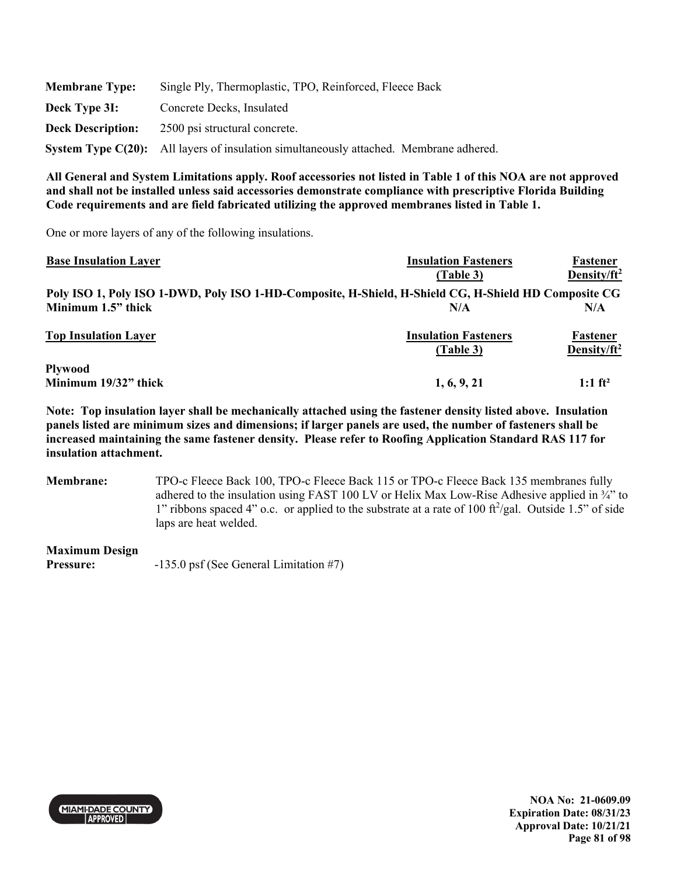| <b>Membrane Type:</b>    | Single Ply, Thermoplastic, TPO, Reinforced, Fleece Back                                |  |  |
|--------------------------|----------------------------------------------------------------------------------------|--|--|
| Deck Type 3I:            | Concrete Decks, Insulated                                                              |  |  |
| <b>Deck Description:</b> | 2500 psi structural concrete.                                                          |  |  |
|                          | System Type C(20): All layers of insulation simultaneously attached. Membrane adhered. |  |  |

One or more layers of any of the following insulations.

| <b>Base Insulation Layer</b>                                                                         | <b>Insulation Fasteners</b> | Fastener                |
|------------------------------------------------------------------------------------------------------|-----------------------------|-------------------------|
|                                                                                                      | (Table 3)                   | Density/ft <sup>2</sup> |
| Poly ISO 1, Poly ISO 1-DWD, Poly ISO 1-HD-Composite, H-Shield, H-Shield CG, H-Shield HD Composite CG |                             |                         |
| Minimum 1.5" thick                                                                                   | N/A                         | N/A                     |
| <b>Top Insulation Layer</b>                                                                          | <b>Insulation Fasteners</b> | Fastener                |
|                                                                                                      | (Table 3)                   | Density/ft <sup>2</sup> |
| <b>Plywood</b>                                                                                       |                             |                         |
| Minimum 19/32" thick                                                                                 | 1, 6, 9, 21                 | 1:1 $ft^2$              |

**Note: Top insulation layer shall be mechanically attached using the fastener density listed above. Insulation panels listed are minimum sizes and dimensions; if larger panels are used, the number of fasteners shall be increased maintaining the same fastener density. Please refer to Roofing Application Standard RAS 117 for insulation attachment.** 

**Membrane:** TPO-c Fleece Back 100, TPO-c Fleece Back 115 or TPO-c Fleece Back 135 membranes fully adhered to the insulation using FAST 100 LV or Helix Max Low-Rise Adhesive applied in ¾" to 1" ribbons spaced 4" o.c. or applied to the substrate at a rate of 100 ft<sup>2</sup>/gal. Outside 1.5" of side laps are heat welded.

**Maximum Design** 

Pressure:  $-135.0 \text{ psf}$  (See General Limitation #7)

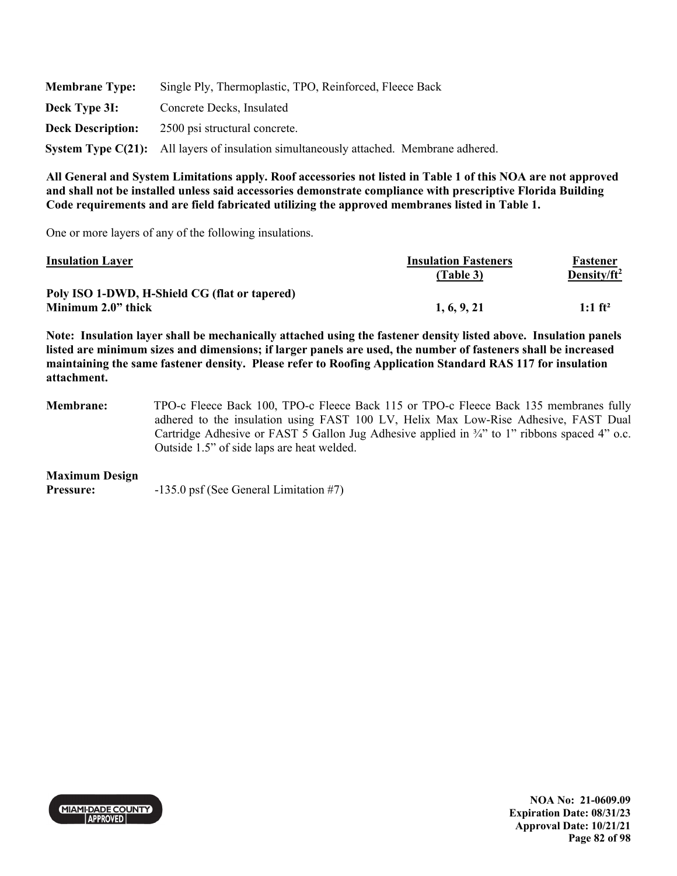| <b>Membrane Type:</b>    | Single Ply, Thermoplastic, TPO, Reinforced, Fleece Back                                |  |  |
|--------------------------|----------------------------------------------------------------------------------------|--|--|
| Deck Type 3I:            | Concrete Decks, Insulated                                                              |  |  |
| <b>Deck Description:</b> | 2500 psi structural concrete.                                                          |  |  |
|                          | System Type C(21): All layers of insulation simultaneously attached. Membrane adhered. |  |  |

One or more layers of any of the following insulations.

| <b>Insulation Layer</b>                       | <b>Insulation Fasteners</b> | Fastener              |
|-----------------------------------------------|-----------------------------|-----------------------|
|                                               | (Table 3)                   | Density/ $ft^2$       |
| Poly ISO 1-DWD, H-Shield CG (flat or tapered) |                             |                       |
| Minimum 2.0" thick                            | 1, 6, 9, 21                 | $1:1$ ft <sup>2</sup> |

**Note: Insulation layer shall be mechanically attached using the fastener density listed above. Insulation panels listed are minimum sizes and dimensions; if larger panels are used, the number of fasteners shall be increased maintaining the same fastener density. Please refer to Roofing Application Standard RAS 117 for insulation attachment.** 

**Membrane:** TPO-c Fleece Back 100, TPO-c Fleece Back 115 or TPO-c Fleece Back 135 membranes fully adhered to the insulation using FAST 100 LV, Helix Max Low-Rise Adhesive, FAST Dual Cartridge Adhesive or FAST 5 Gallon Jug Adhesive applied in ¾" to 1" ribbons spaced 4" o.c. Outside 1.5" of side laps are heat welded.

#### **Maximum Design**

**Pressure:**  $-135.0 \text{ psf}$  (See General Limitation #7)



**NOA No: 21-0609.09 Expiration Date: 08/31/23 Approval Date: 10/21/21 Page 82 of 98**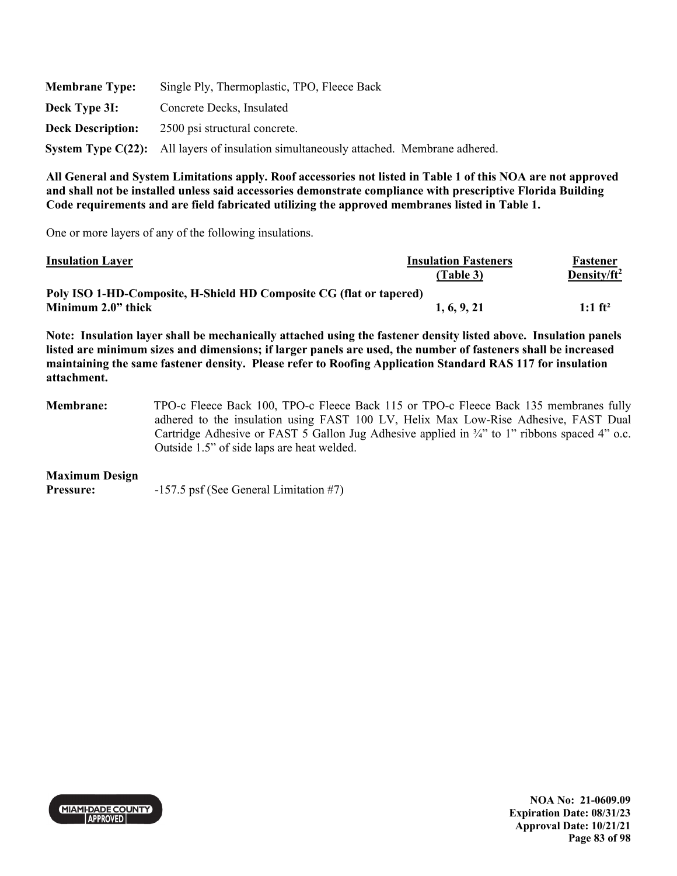| <b>Membrane Type:</b>    | Single Ply, Thermoplastic, TPO, Fleece Back                                            |  |  |
|--------------------------|----------------------------------------------------------------------------------------|--|--|
| Deck Type 3I:            | Concrete Decks, Insulated                                                              |  |  |
| <b>Deck Description:</b> | 2500 psi structural concrete.                                                          |  |  |
|                          | System Type C(22): All layers of insulation simultaneously attached. Membrane adhered. |  |  |

One or more layers of any of the following insulations.

| <b>Insulation Layer</b>                                                                                                                                                                                                                                                                                                                                         | <b>Insulation Fasteners</b> | Fastener        |
|-----------------------------------------------------------------------------------------------------------------------------------------------------------------------------------------------------------------------------------------------------------------------------------------------------------------------------------------------------------------|-----------------------------|-----------------|
|                                                                                                                                                                                                                                                                                                                                                                 | (Table 3)                   | Density/ $ft^2$ |
| Poly ISO 1-HD-Composite, H-Shield HD Composite CG (flat or tapered)                                                                                                                                                                                                                                                                                             |                             |                 |
| Minimum 2.0" thick                                                                                                                                                                                                                                                                                                                                              | 1, 6, 9, 21                 | 1:1 $ft^2$      |
| Note: Insulation layer shall be mechanically attached using the fastener density listed above. Insulation panels<br>listed are minimum sizes and dimensions; if larger panels are used, the number of fasteners shall be increased<br>maintaining the same fastener density. Please refer to Roofing Application Standard RAS 117 for insulation<br>attachment. |                             |                 |

**Membrane:** TPO-c Fleece Back 100, TPO-c Fleece Back 115 or TPO-c Fleece Back 135 membranes fully adhered to the insulation using FAST 100 LV, Helix Max Low-Rise Adhesive, FAST Dual Cartridge Adhesive or FAST 5 Gallon Jug Adhesive applied in ¾" to 1" ribbons spaced 4" o.c. Outside 1.5" of side laps are heat welded.

#### **Maximum Design**

**Pressure:** -157.5 psf (See General Limitation #7)



**NOA No: 21-0609.09 Expiration Date: 08/31/23 Approval Date: 10/21/21 Page 83 of 98**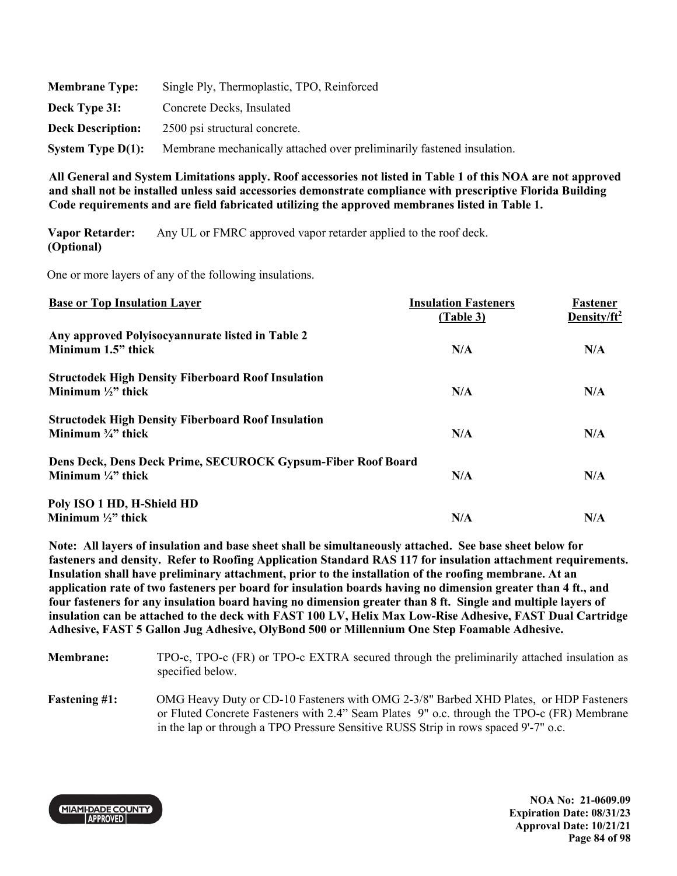| <b>Membrane Type:</b>    | Single Ply, Thermoplastic, TPO, Reinforced                             |
|--------------------------|------------------------------------------------------------------------|
| Deck Type 3I:            | Concrete Decks, Insulated                                              |
| <b>Deck Description:</b> | 2500 psi structural concrete.                                          |
| System Type $D(1)$ :     | Membrane mechanically attached over preliminarily fastened insulation. |

**Vapor Retarder: (Optional)**  Any UL or FMRC approved vapor retarder applied to the roof deck.

One or more layers of any of the following insulations.

| <b>Base or Top Insulation Layer</b>                          | <b>Insulation Fasteners</b><br>(Table 3) | Fastener<br>Density/ft <sup>2</sup> |
|--------------------------------------------------------------|------------------------------------------|-------------------------------------|
| Any approved Polyisocyannurate listed in Table 2             |                                          |                                     |
| Minimum 1.5" thick                                           | N/A                                      | N/A                                 |
| <b>Structodek High Density Fiberboard Roof Insulation</b>    |                                          |                                     |
| Minimum $\frac{1}{2}$ thick                                  | N/A                                      | N/A                                 |
| <b>Structodek High Density Fiberboard Roof Insulation</b>    |                                          |                                     |
| Minimum $\frac{3}{4}$ " thick                                | N/A                                      | N/A                                 |
| Dens Deck, Dens Deck Prime, SECUROCK Gypsum-Fiber Roof Board |                                          |                                     |
| Minimum $\frac{1}{4}$ thick                                  | N/A                                      | N/A                                 |
| Poly ISO 1 HD, H-Shield HD                                   |                                          |                                     |
| Minimum $\frac{1}{2}$ " thick                                | N/A                                      | N/A                                 |

**Note: All layers of insulation and base sheet shall be simultaneously attached. See base sheet below for fasteners and density. Refer to Roofing Application Standard RAS 117 for insulation attachment requirements. Insulation shall have preliminary attachment, prior to the installation of the roofing membrane. At an application rate of two fasteners per board for insulation boards having no dimension greater than 4 ft., and four fasteners for any insulation board having no dimension greater than 8 ft. Single and multiple layers of insulation can be attached to the deck with FAST 100 LV, Helix Max Low-Rise Adhesive, FAST Dual Cartridge Adhesive, FAST 5 Gallon Jug Adhesive, OlyBond 500 or Millennium One Step Foamable Adhesive.** 

| <b>Membrane:</b>     | TPO-c, TPO-c (FR) or TPO-c EXTRA secured through the preliminarily attached insulation as<br>specified below.                                                                                                                                                              |
|----------------------|----------------------------------------------------------------------------------------------------------------------------------------------------------------------------------------------------------------------------------------------------------------------------|
| <b>Fastening #1:</b> | OMG Heavy Duty or CD-10 Fasteners with OMG 2-3/8" Barbed XHD Plates, or HDP Fasteners<br>or Fluted Concrete Fasteners with 2.4" Seam Plates 9" o.c. through the TPO-c (FR) Membrane<br>in the lap or through a TPO Pressure Sensitive RUSS Strip in rows spaced 9'-7" o.c. |

**MIAMI-DADE COUNTY APPROVED** 

**NOA No: 21-0609.09 Expiration Date: 08/31/23 Approval Date: 10/21/21 Page 84 of 98**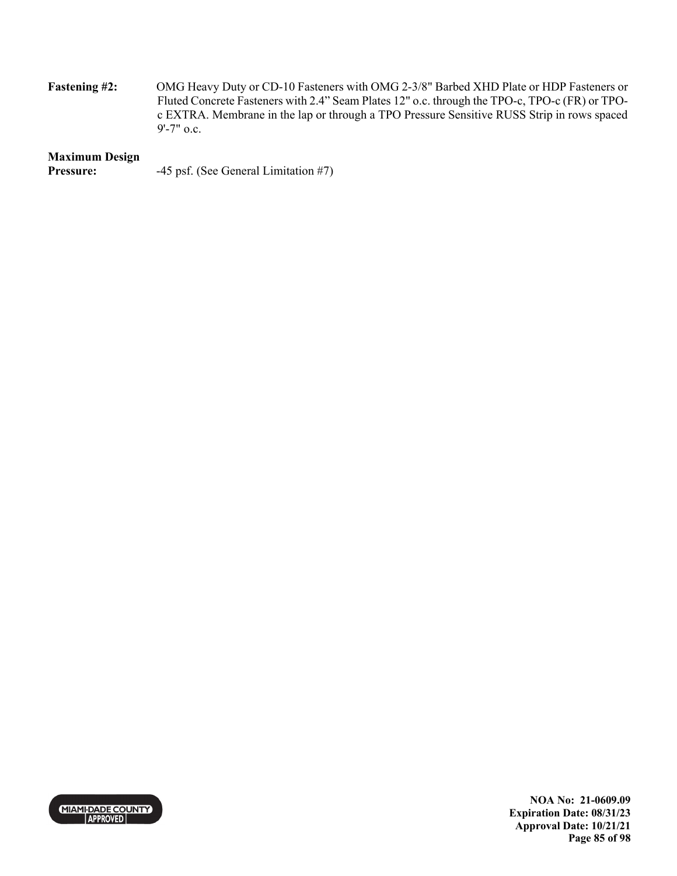**Fastening #2:** OMG Heavy Duty or CD-10 Fasteners with OMG 2-3/8" Barbed XHD Plate or HDP Fasteners or Fluted Concrete Fasteners with 2.4" Seam Plates 12" o.c. through the TPO-c, TPO-c (FR) or TPOc EXTRA. Membrane in the lap or through a TPO Pressure Sensitive RUSS Strip in rows spaced 9'-7" o.c.

### **Maximum Design**

| Pressure: | -45 psf. (See General Limitation #7) |  |
|-----------|--------------------------------------|--|
|-----------|--------------------------------------|--|



**NOA No: 21-0609.09 Expiration Date: 08/31/23 Approval Date: 10/21/21 Page 85 of 98**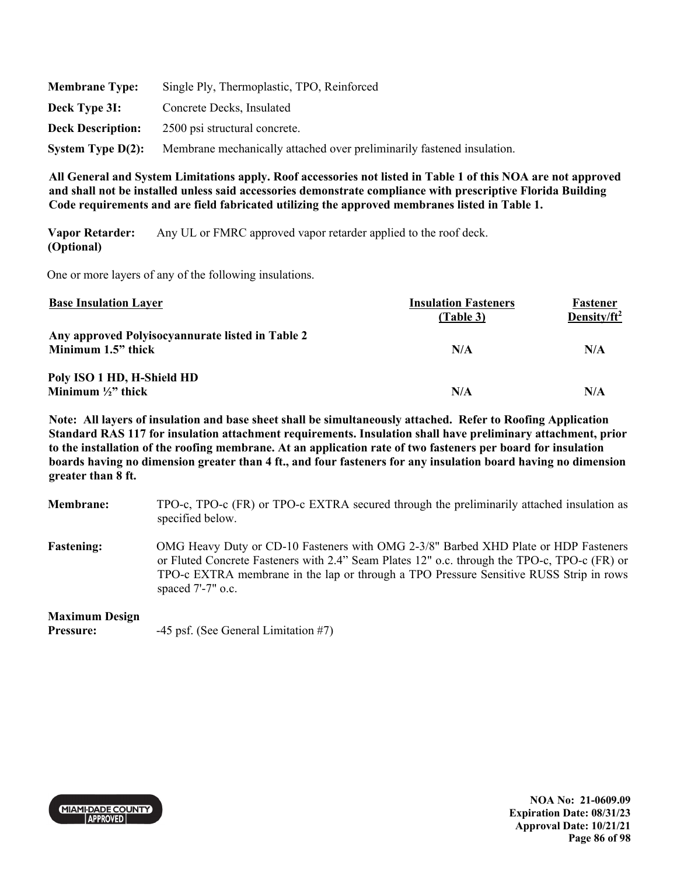| <b>Membrane Type:</b>    | Single Ply, Thermoplastic, TPO, Reinforced                             |
|--------------------------|------------------------------------------------------------------------|
| Deck Type 3I:            | Concrete Decks, Insulated                                              |
| <b>Deck Description:</b> | 2500 psi structural concrete.                                          |
| System Type $D(2)$ :     | Membrane mechanically attached over preliminarily fastened insulation. |

**Vapor Retarder: (Optional)**  Any UL or FMRC approved vapor retarder applied to the roof deck.

One or more layers of any of the following insulations.

| <b>Base Insulation Layer</b>                                           | <b>Insulation Fasteners</b><br>(Table 3) | Fastener<br>Density/ft <sup>2</sup> |
|------------------------------------------------------------------------|------------------------------------------|-------------------------------------|
| Any approved Polyisocyannurate listed in Table 2<br>Minimum 1.5" thick | N/A                                      | N/A                                 |
| Poly ISO 1 HD, H-Shield HD<br>Minimum $\frac{1}{2}$ " thick            | N/A                                      | N/A                                 |

**Note: All layers of insulation and base sheet shall be simultaneously attached. Refer to Roofing Application Standard RAS 117 for insulation attachment requirements. Insulation shall have preliminary attachment, prior to the installation of the roofing membrane. At an application rate of two fasteners per board for insulation boards having no dimension greater than 4 ft., and four fasteners for any insulation board having no dimension greater than 8 ft.** 

| <b>Membrane:</b>  | TPO-c, TPO-c (FR) or TPO-c EXTRA secured through the preliminarily attached insulation as<br>specified below.                                                                                                                                                                                         |
|-------------------|-------------------------------------------------------------------------------------------------------------------------------------------------------------------------------------------------------------------------------------------------------------------------------------------------------|
| <b>Fastening:</b> | OMG Heavy Duty or CD-10 Fasteners with OMG 2-3/8" Barbed XHD Plate or HDP Fasteners<br>or Fluted Concrete Fasteners with 2.4" Seam Plates 12" o.c. through the TPO-c, TPO-c (FR) or<br>TPO-c EXTRA membrane in the lap or through a TPO Pressure Sensitive RUSS Strip in rows<br>spaced $7'$ -7" o.c. |

### **Maximum Design**

**Pressure:** -45 psf. (See General Limitation #7)



**NOA No: 21-0609.09 Expiration Date: 08/31/23 Approval Date: 10/21/21 Page 86 of 98**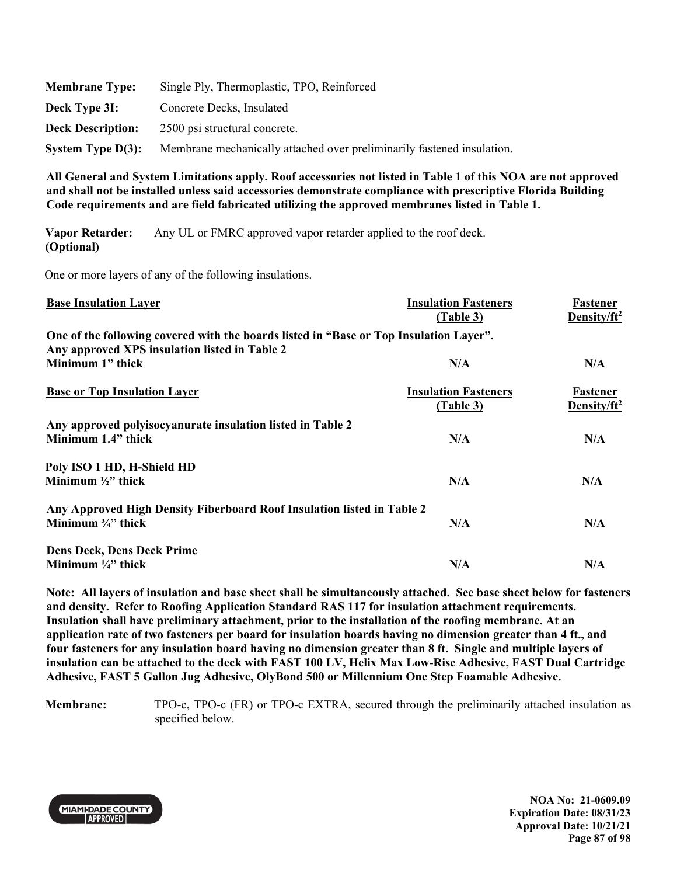| <b>Membrane Type:</b>    | Single Ply, Thermoplastic, TPO, Reinforced                             |
|--------------------------|------------------------------------------------------------------------|
| Deck Type 3I:            | Concrete Decks, Insulated                                              |
| <b>Deck Description:</b> | 2500 psi structural concrete.                                          |
| System Type $D(3)$ :     | Membrane mechanically attached over preliminarily fastened insulation. |

**Vapor Retarder: (Optional)**  Any UL or FMRC approved vapor retarder applied to the roof deck.

One or more layers of any of the following insulations.

| <b>Base Insulation Layer</b>                                                           | <b>Insulation Fasteners</b><br>(Table 3) | Fastener<br>Density/ft <sup>2</sup> |
|----------------------------------------------------------------------------------------|------------------------------------------|-------------------------------------|
| One of the following covered with the boards listed in "Base or Top Insulation Layer". |                                          |                                     |
| Any approved XPS insulation listed in Table 2                                          |                                          |                                     |
| Minimum 1" thick                                                                       | N/A                                      | N/A                                 |
| <b>Base or Top Insulation Layer</b>                                                    | <b>Insulation Fasteners</b>              | Fastener                            |
|                                                                                        | (Table 3)                                | Density/ $ft^2$                     |
| Any approved polyisocyanurate insulation listed in Table 2                             |                                          |                                     |
| Minimum 1.4" thick                                                                     | N/A                                      | N/A                                 |
| Poly ISO 1 HD, H-Shield HD                                                             |                                          |                                     |
| Minimum $\frac{1}{2}$ " thick                                                          | N/A                                      | N/A                                 |
| Any Approved High Density Fiberboard Roof Insulation listed in Table 2                 |                                          |                                     |
| Minimum $\frac{3}{4}$ " thick                                                          | N/A                                      | N/A                                 |
| <b>Dens Deck, Dens Deck Prime</b>                                                      |                                          |                                     |
| Minimum $\frac{1}{4}$ " thick                                                          | N/A                                      | N/A                                 |
|                                                                                        |                                          |                                     |

**Note: All layers of insulation and base sheet shall be simultaneously attached. See base sheet below for fasteners and density. Refer to Roofing Application Standard RAS 117 for insulation attachment requirements. Insulation shall have preliminary attachment, prior to the installation of the roofing membrane. At an application rate of two fasteners per board for insulation boards having no dimension greater than 4 ft., and four fasteners for any insulation board having no dimension greater than 8 ft. Single and multiple layers of insulation can be attached to the deck with FAST 100 LV, Helix Max Low-Rise Adhesive, FAST Dual Cartridge Adhesive, FAST 5 Gallon Jug Adhesive, OlyBond 500 or Millennium One Step Foamable Adhesive.** 

**Membrane:** TPO-c, TPO-c (FR) or TPO-c EXTRA, secured through the preliminarily attached insulation as specified below.



**NOA No: 21-0609.09 Expiration Date: 08/31/23 Approval Date: 10/21/21 Page 87 of 98**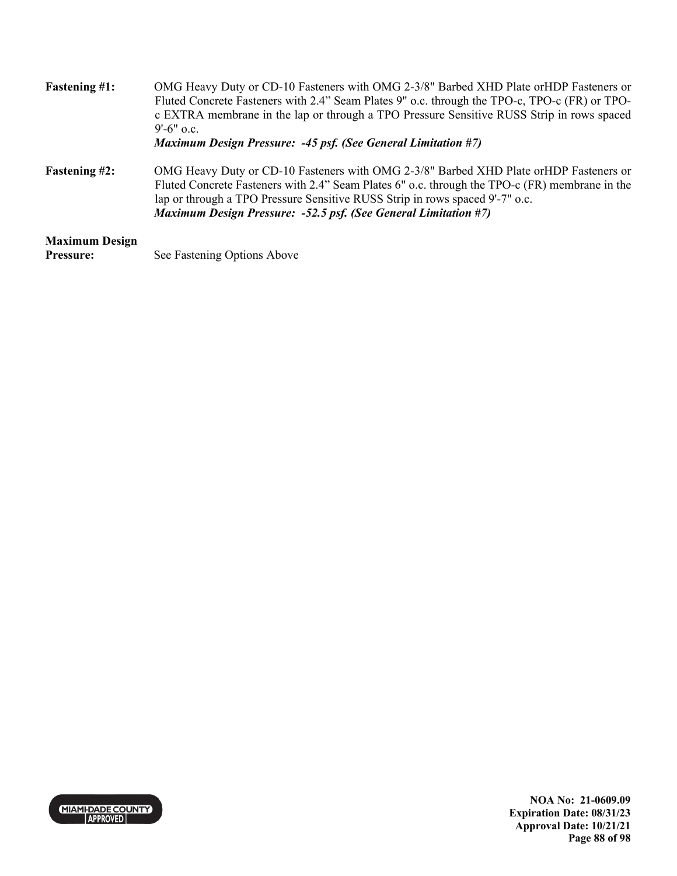| <b>Fastening #1:</b>                      | OMG Heavy Duty or CD-10 Fasteners with OMG 2-3/8" Barbed XHD Plate or HDP Fasteners or<br>Fluted Concrete Fasteners with 2.4" Seam Plates 9" o.c. through the TPO-c, TPO-c (FR) or TPO-<br>c EXTRA membrane in the lap or through a TPO Pressure Sensitive RUSS Strip in rows spaced<br>$9'$ -6" o.c.                                              |
|-------------------------------------------|----------------------------------------------------------------------------------------------------------------------------------------------------------------------------------------------------------------------------------------------------------------------------------------------------------------------------------------------------|
|                                           | <b>Maximum Design Pressure: -45 psf. (See General Limitation #7)</b>                                                                                                                                                                                                                                                                               |
| <b>Fastening #2:</b>                      | OMG Heavy Duty or CD-10 Fasteners with OMG 2-3/8" Barbed XHD Plate or HDP Fasteners or<br>Fluted Concrete Fasteners with 2.4" Seam Plates 6" o.c. through the TPO-c (FR) membrane in the<br>lap or through a TPO Pressure Sensitive RUSS Strip in rows spaced 9'-7" o.c.<br><b>Maximum Design Pressure: -52.5 psf. (See General Limitation #7)</b> |
| <b>Maximum Design</b><br><b>Pressure:</b> | See Fastening Options Above                                                                                                                                                                                                                                                                                                                        |

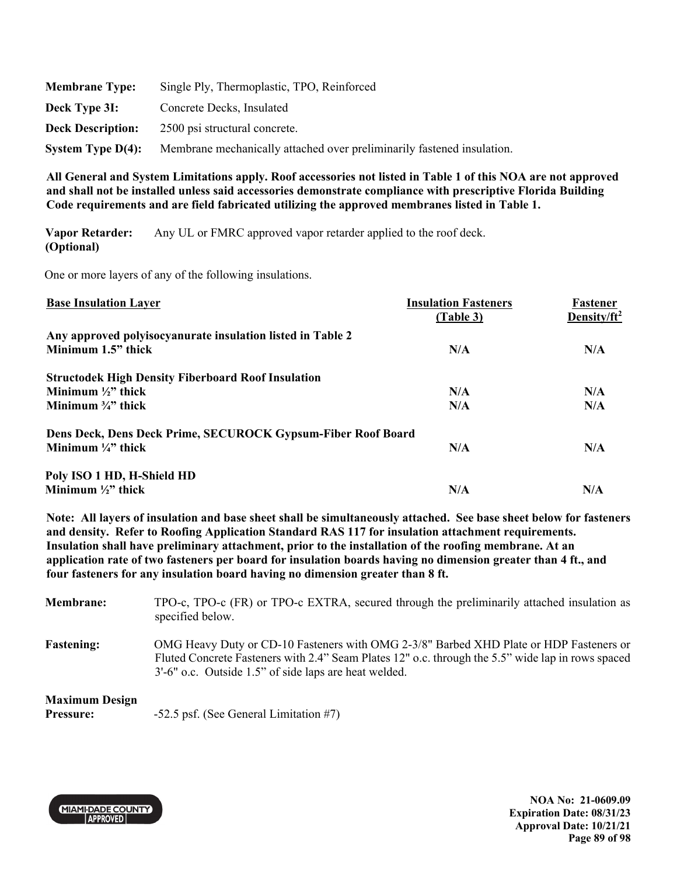| <b>Membrane Type:</b>    | Single Ply, Thermoplastic, TPO, Reinforced                             |
|--------------------------|------------------------------------------------------------------------|
| Deck Type 3I:            | Concrete Decks, Insulated                                              |
| <b>Deck Description:</b> | 2500 psi structural concrete.                                          |
| System Type $D(4)$ :     | Membrane mechanically attached over preliminarily fastened insulation. |

**Vapor Retarder: (Optional)**  Any UL or FMRC approved vapor retarder applied to the roof deck.

One or more layers of any of the following insulations.

| <b>Base Insulation Layer</b>                                 | <b>Insulation Fasteners</b><br>(Table 3) | Fastener<br>Density/ft <sup>2</sup> |
|--------------------------------------------------------------|------------------------------------------|-------------------------------------|
| Any approved polyisocyanurate insulation listed in Table 2   |                                          |                                     |
| Minimum 1.5" thick                                           | N/A                                      | N/A                                 |
| <b>Structodek High Density Fiberboard Roof Insulation</b>    |                                          |                                     |
| Minimum $\frac{1}{2}$ " thick                                | N/A                                      | N/A                                 |
| Minimum $\frac{3}{4}$ " thick                                | N/A                                      | N/A                                 |
| Dens Deck, Dens Deck Prime, SECUROCK Gypsum-Fiber Roof Board |                                          |                                     |
| Minimum $\frac{1}{4}$ " thick                                | N/A                                      | N/A                                 |
| Poly ISO 1 HD, H-Shield HD                                   |                                          |                                     |
| Minimum $\frac{1}{2}$ " thick                                | N/A                                      | N/A                                 |

**Note: All layers of insulation and base sheet shall be simultaneously attached. See base sheet below for fasteners and density. Refer to Roofing Application Standard RAS 117 for insulation attachment requirements. Insulation shall have preliminary attachment, prior to the installation of the roofing membrane. At an application rate of two fasteners per board for insulation boards having no dimension greater than 4 ft., and four fasteners for any insulation board having no dimension greater than 8 ft.** 

| <b>Membrane:</b>  | TPO-c, TPO-c (FR) or TPO-c EXTRA, secured through the preliminarily attached insulation as<br>specified below.                                                                                                                                       |
|-------------------|------------------------------------------------------------------------------------------------------------------------------------------------------------------------------------------------------------------------------------------------------|
| <b>Fastening:</b> | OMG Heavy Duty or CD-10 Fasteners with OMG 2-3/8" Barbed XHD Plate or HDP Fasteners or<br>Fluted Concrete Fasteners with 2.4" Seam Plates 12" o.c. through the 5.5" wide lap in rows spaced<br>3'-6" o.c. Outside 1.5" of side laps are heat welded. |

# **Maximum Design**

**Pressure:** -52.5 psf. (See General Limitation #7)



**NOA No: 21-0609.09 Expiration Date: 08/31/23 Approval Date: 10/21/21 Page 89 of 98**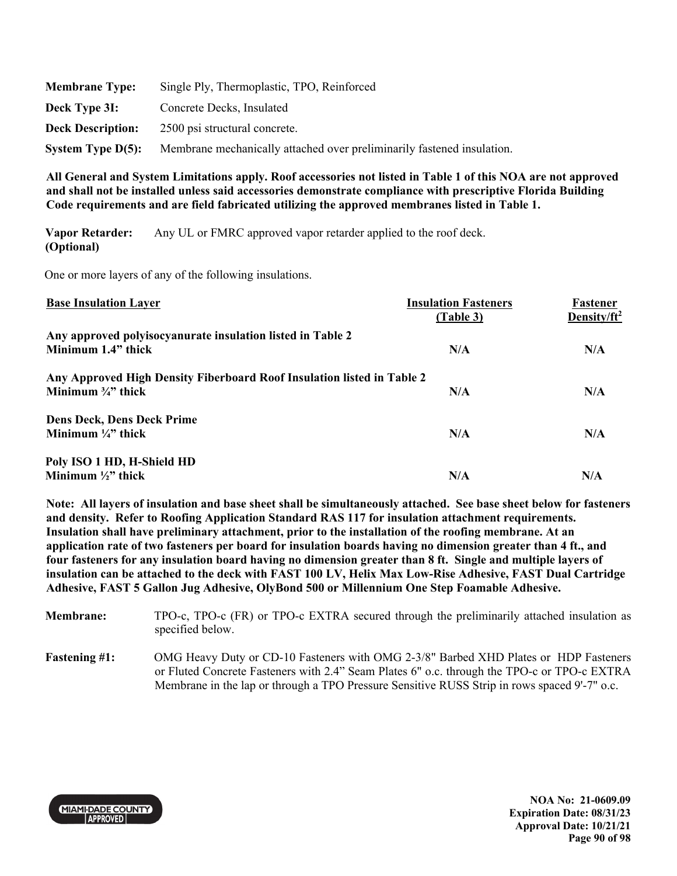| <b>Membrane Type:</b>    | Single Ply, Thermoplastic, TPO, Reinforced                             |
|--------------------------|------------------------------------------------------------------------|
| Deck Type 3I:            | Concrete Decks, Insulated                                              |
| <b>Deck Description:</b> | 2500 psi structural concrete.                                          |
| System Type $D(5)$ :     | Membrane mechanically attached over preliminarily fastened insulation. |

**Vapor Retarder: (Optional)**  Any UL or FMRC approved vapor retarder applied to the roof deck.

One or more layers of any of the following insulations.

| <b>Base Insulation Layer</b>                                           | <b>Insulation Fasteners</b><br>(Table 3) | Fastener<br>Density/ft <sup>2</sup> |
|------------------------------------------------------------------------|------------------------------------------|-------------------------------------|
| Any approved polyisocyanurate insulation listed in Table 2             |                                          |                                     |
| Minimum 1.4" thick                                                     | N/A                                      | N/A                                 |
| Any Approved High Density Fiberboard Roof Insulation listed in Table 2 |                                          |                                     |
| Minimum $\frac{3}{4}$ " thick                                          | N/A                                      | N/A                                 |
| <b>Dens Deck, Dens Deck Prime</b>                                      |                                          |                                     |
| Minimum $\frac{1}{4}$ " thick                                          | N/A                                      | N/A                                 |
| Poly ISO 1 HD, H-Shield HD                                             |                                          |                                     |
| Minimum $\frac{1}{2}$ " thick                                          | N/A                                      | N/A                                 |

**Note: All layers of insulation and base sheet shall be simultaneously attached. See base sheet below for fasteners and density. Refer to Roofing Application Standard RAS 117 for insulation attachment requirements. Insulation shall have preliminary attachment, prior to the installation of the roofing membrane. At an application rate of two fasteners per board for insulation boards having no dimension greater than 4 ft., and four fasteners for any insulation board having no dimension greater than 8 ft. Single and multiple layers of insulation can be attached to the deck with FAST 100 LV, Helix Max Low-Rise Adhesive, FAST Dual Cartridge Adhesive, FAST 5 Gallon Jug Adhesive, OlyBond 500 or Millennium One Step Foamable Adhesive.** 

- **Membrane:** TPO-c, TPO-c (FR) or TPO-c EXTRA secured through the preliminarily attached insulation as specified below.
- **Fastening #1:** OMG Heavy Duty or CD-10 Fasteners with OMG 2-3/8" Barbed XHD Plates or HDP Fasteners or Fluted Concrete Fasteners with 2.4" Seam Plates 6" o.c. through the TPO-c or TPO-c EXTRA Membrane in the lap or through a TPO Pressure Sensitive RUSS Strip in rows spaced 9'-7" o.c.



**NOA No: 21-0609.09 Expiration Date: 08/31/23 Approval Date: 10/21/21 Page 90 of 98**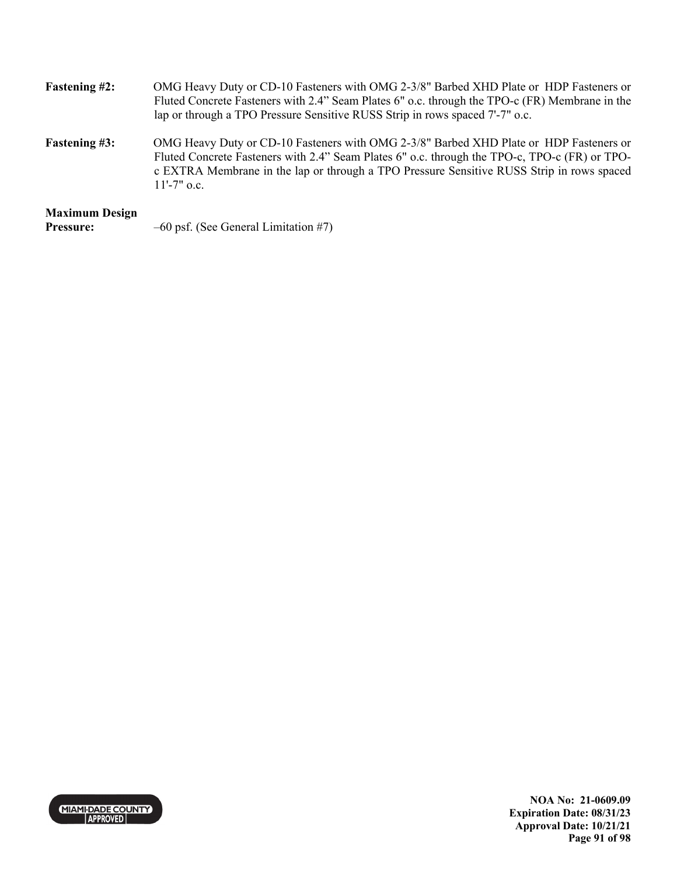| <b>Fastening #2:</b>  | OMG Heavy Duty or CD-10 Fasteners with OMG 2-3/8" Barbed XHD Plate or HDP Fasteners or<br>Fluted Concrete Fasteners with 2.4" Seam Plates 6" o.c. through the TPO-c (FR) Membrane in the<br>lap or through a TPO Pressure Sensitive RUSS Strip in rows spaced 7'-7" o.c.                               |
|-----------------------|--------------------------------------------------------------------------------------------------------------------------------------------------------------------------------------------------------------------------------------------------------------------------------------------------------|
| <b>Fastening #3:</b>  | OMG Heavy Duty or CD-10 Fasteners with OMG 2-3/8" Barbed XHD Plate or HDP Fasteners or<br>Fluted Concrete Fasteners with 2.4" Seam Plates 6" o.c. through the TPO-c, TPO-c (FR) or TPO-<br>c EXTRA Membrane in the lap or through a TPO Pressure Sensitive RUSS Strip in rows spaced<br>$11'$ -7" o.c. |
| <b>Maximum Design</b> |                                                                                                                                                                                                                                                                                                        |
| <b>Pressure:</b>      | $-60$ psf. (See General Limitation #7)                                                                                                                                                                                                                                                                 |



**NOA No: 21-0609.09 Expiration Date: 08/31/23 Approval Date: 10/21/21 Page 91 of 98**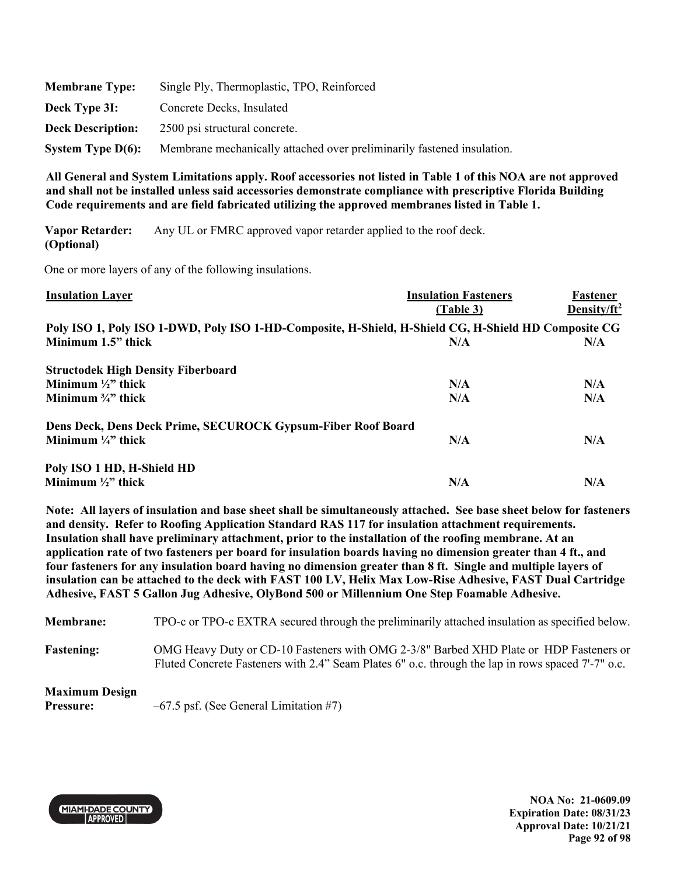| <b>Membrane Type:</b>    | Single Ply, Thermoplastic, TPO, Reinforced                             |
|--------------------------|------------------------------------------------------------------------|
| Deck Type 3I:            | Concrete Decks, Insulated                                              |
| <b>Deck Description:</b> | 2500 psi structural concrete.                                          |
| System Type $D(6)$ :     | Membrane mechanically attached over preliminarily fastened insulation. |

**Vapor Retarder: (Optional)**  Any UL or FMRC approved vapor retarder applied to the roof deck.

One or more layers of any of the following insulations.

| <b>Insulation Layer</b>                                                                              | <b>Insulation Fasteners</b><br>(Table 3) | Fastener<br>Density/ft <sup>2</sup> |
|------------------------------------------------------------------------------------------------------|------------------------------------------|-------------------------------------|
| Poly ISO 1, Poly ISO 1-DWD, Poly ISO 1-HD-Composite, H-Shield, H-Shield CG, H-Shield HD Composite CG |                                          |                                     |
| Minimum 1.5" thick                                                                                   | N/A                                      | N/A                                 |
| <b>Structodek High Density Fiberboard</b>                                                            |                                          |                                     |
| Minimum $\frac{1}{2}$ " thick                                                                        | N/A                                      | N/A                                 |
| Minimum $\frac{3}{4}$ " thick                                                                        | N/A                                      | N/A                                 |
| Dens Deck, Dens Deck Prime, SECUROCK Gypsum-Fiber Roof Board                                         |                                          |                                     |
| Minimum $\frac{1}{4}$ " thick                                                                        | N/A                                      | N/A                                 |
| Poly ISO 1 HD, H-Shield HD                                                                           |                                          |                                     |
| Minimum $\frac{1}{2}$ " thick                                                                        | N/A                                      | N/A                                 |

**Note: All layers of insulation and base sheet shall be simultaneously attached. See base sheet below for fasteners and density. Refer to Roofing Application Standard RAS 117 for insulation attachment requirements. Insulation shall have preliminary attachment, prior to the installation of the roofing membrane. At an application rate of two fasteners per board for insulation boards having no dimension greater than 4 ft., and four fasteners for any insulation board having no dimension greater than 8 ft. Single and multiple layers of insulation can be attached to the deck with FAST 100 LV, Helix Max Low-Rise Adhesive, FAST Dual Cartridge Adhesive, FAST 5 Gallon Jug Adhesive, OlyBond 500 or Millennium One Step Foamable Adhesive.** 

**Membrane:** TPO-c or TPO-c EXTRA secured through the preliminarily attached insulation as specified below.

**Fastening:** OMG Heavy Duty or CD-10 Fasteners with OMG 2-3/8" Barbed XHD Plate or HDP Fasteners or Fluted Concrete Fasteners with 2.4" Seam Plates 6" o.c. through the lap in rows spaced 7'-7" o.c.

### **Maximum Design**

**Pressure:**  $-67.5$  psf. (See General Limitation #7)



**NOA No: 21-0609.09 Expiration Date: 08/31/23 Approval Date: 10/21/21 Page 92 of 98**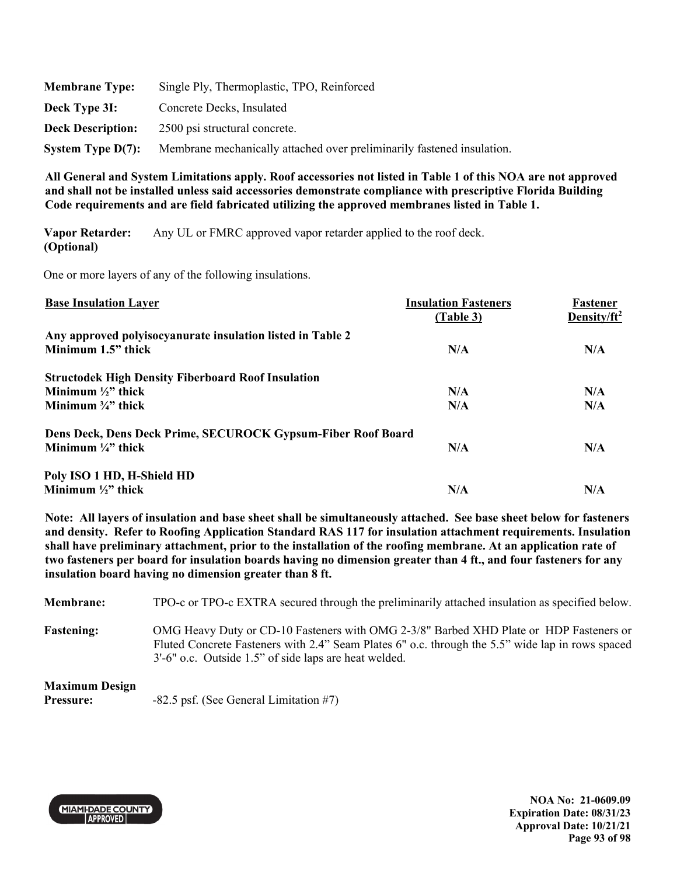| <b>Membrane Type:</b>    | Single Ply, Thermoplastic, TPO, Reinforced                             |
|--------------------------|------------------------------------------------------------------------|
| Deck Type 3I:            | Concrete Decks, Insulated                                              |
| <b>Deck Description:</b> | 2500 psi structural concrete.                                          |
| System Type $D(7)$ :     | Membrane mechanically attached over preliminarily fastened insulation. |

**Vapor Retarder: (Optional)**  Any UL or FMRC approved vapor retarder applied to the roof deck.

One or more layers of any of the following insulations.

| <b>Base Insulation Layer</b>                                 | <b>Insulation Fasteners</b><br>(Table 3) | Fastener<br>Density/ft <sup>2</sup> |
|--------------------------------------------------------------|------------------------------------------|-------------------------------------|
| Any approved polyisocyanurate insulation listed in Table 2   |                                          |                                     |
| Minimum 1.5" thick                                           | N/A                                      | N/A                                 |
| <b>Structodek High Density Fiberboard Roof Insulation</b>    |                                          |                                     |
| Minimum $\frac{1}{2}$ " thick                                | N/A                                      | N/A                                 |
| Minimum $\frac{3}{4}$ " thick                                | N/A                                      | N/A                                 |
| Dens Deck, Dens Deck Prime, SECUROCK Gypsum-Fiber Roof Board |                                          |                                     |
| Minimum $\frac{1}{4}$ " thick                                | N/A                                      | N/A                                 |
| Poly ISO 1 HD, H-Shield HD                                   |                                          |                                     |
| Minimum $\frac{1}{2}$ " thick                                | N/A                                      | N/A                                 |

**Note: All layers of insulation and base sheet shall be simultaneously attached. See base sheet below for fasteners and density. Refer to Roofing Application Standard RAS 117 for insulation attachment requirements. Insulation shall have preliminary attachment, prior to the installation of the roofing membrane. At an application rate of two fasteners per board for insulation boards having no dimension greater than 4 ft., and four fasteners for any insulation board having no dimension greater than 8 ft.** 

**Membrane:** TPO-c or TPO-c EXTRA secured through the preliminarily attached insulation as specified below. **Fastening:** OMG Heavy Duty or CD-10 Fasteners with OMG 2-3/8" Barbed XHD Plate or HDP Fasteners or Fluted Concrete Fasteners with 2.4" Seam Plates 6" o.c. through the 5.5" wide lap in rows spaced 3'-6" o.c. Outside 1.5" of side laps are heat welded.

## **Maximum Design**

**Pressure:**  $-82.5$  psf. (See General Limitation #7)



**NOA No: 21-0609.09 Expiration Date: 08/31/23 Approval Date: 10/21/21 Page 93 of 98**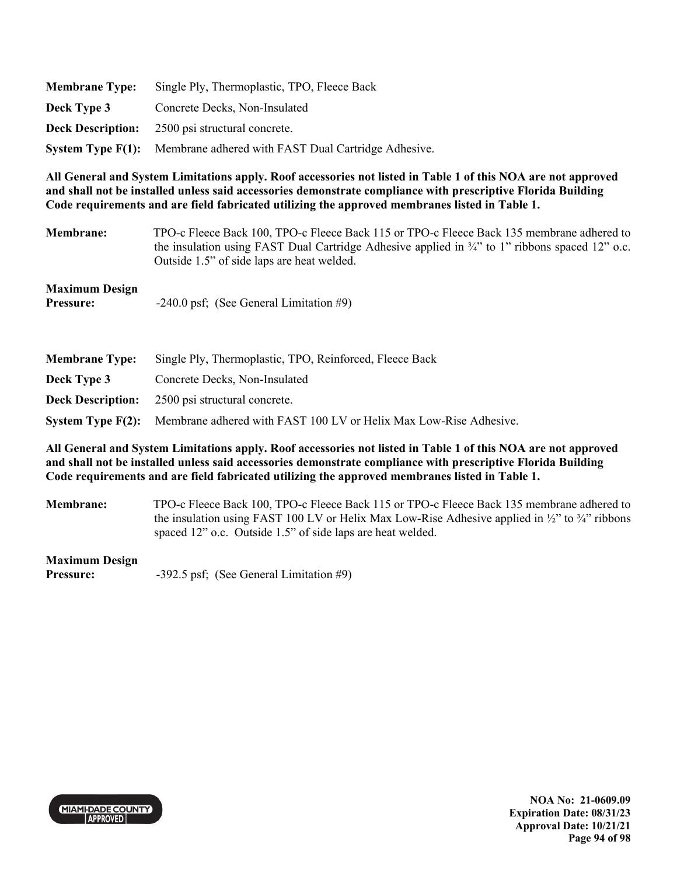| <b>Membrane Type:</b> | Single Ply, Thermoplastic, TPO, Fleece Back                                  |
|-----------------------|------------------------------------------------------------------------------|
| Deck Type 3           | Concrete Decks, Non-Insulated                                                |
|                       | <b>Deck Description:</b> 2500 psi structural concrete.                       |
|                       | <b>System Type F(1):</b> Membrane adhered with FAST Dual Cartridge Adhesive. |

**Membrane:** TPO-c Fleece Back 100, TPO-c Fleece Back 115 or TPO-c Fleece Back 135 membrane adhered to the insulation using FAST Dual Cartridge Adhesive applied in ¾" to 1" ribbons spaced 12" o.c. Outside 1.5" of side laps are heat welded.

| <b>Maximum Design</b> |                                           |
|-----------------------|-------------------------------------------|
| <b>Pressure:</b>      | $-240.0$ psf; (See General Limitation #9) |

| <b>Membrane Type:</b> | Single Ply, Thermoplastic, TPO, Reinforced, Fleece Back                             |  |
|-----------------------|-------------------------------------------------------------------------------------|--|
| Deck Type 3           | Concrete Decks, Non-Insulated                                                       |  |
|                       | <b>Deck Description:</b> 2500 psi structural concrete.                              |  |
|                       | System Type F(2): Membrane adhered with FAST 100 LV or Helix Max Low-Rise Adhesive. |  |

**All General and System Limitations apply. Roof accessories not listed in Table 1 of this NOA are not approved and shall not be installed unless said accessories demonstrate compliance with prescriptive Florida Building Code requirements and are field fabricated utilizing the approved membranes listed in Table 1.** 

**Membrane:** TPO-c Fleece Back 100, TPO-c Fleece Back 115 or TPO-c Fleece Back 135 membrane adhered to the insulation using FAST 100 LV or Helix Max Low-Rise Adhesive applied in  $\frac{1}{2}$  to  $\frac{3}{4}$  ribbons spaced 12" o.c. Outside 1.5" of side laps are heat welded.

### **Maximum Design**

**Pressure:**  $-392.5 \text{ psf}$ ; (See General Limitation #9)

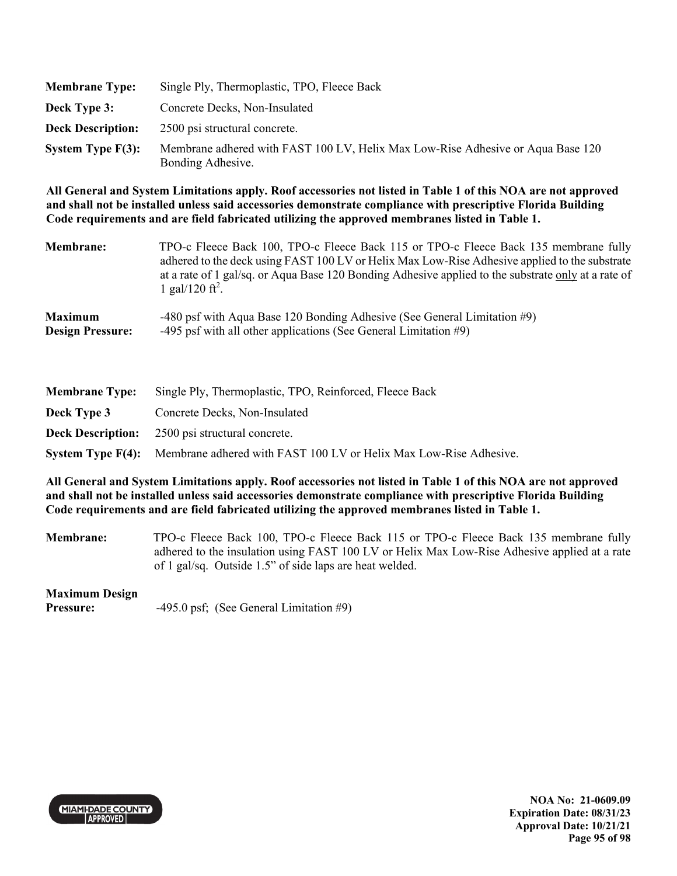| <b>Membrane Type:</b>    | Single Ply, Thermoplastic, TPO, Fleece Back                                                          |
|--------------------------|------------------------------------------------------------------------------------------------------|
| Deck Type 3:             | Concrete Decks, Non-Insulated                                                                        |
| <b>Deck Description:</b> | 2500 psi structural concrete.                                                                        |
| System Type $F(3)$ :     | Membrane adhered with FAST 100 LV, Helix Max Low-Rise Adhesive or Aqua Base 120<br>Bonding Adhesive. |

| <b>Membrane:</b>        | TPO-c Fleece Back 100, TPO-c Fleece Back 115 or TPO-c Fleece Back 135 membrane fully<br>adhered to the deck using FAST 100 LV or Helix Max Low-Rise Adhesive applied to the substrate<br>at a rate of 1 gal/sq. or Aqua Base 120 Bonding Adhesive applied to the substrate only at a rate of<br>1 gal/120 ft <sup>2</sup> . |
|-------------------------|-----------------------------------------------------------------------------------------------------------------------------------------------------------------------------------------------------------------------------------------------------------------------------------------------------------------------------|
| <b>Maximum</b>          | -480 psf with Aqua Base 120 Bonding Adhesive (See General Limitation #9)                                                                                                                                                                                                                                                    |
| <b>Design Pressure:</b> | -495 psf with all other applications (See General Limitation $#9$ )                                                                                                                                                                                                                                                         |

| <b>Membrane Type:</b> | Single Ply, Thermoplastic, TPO, Reinforced, Fleece Back                                    |
|-----------------------|--------------------------------------------------------------------------------------------|
| Deck Type 3           | Concrete Decks, Non-Insulated                                                              |
|                       | <b>Deck Description:</b> 2500 psi structural concrete.                                     |
|                       | <b>System Type F(4):</b> Membrane adhered with FAST 100 LV or Helix Max Low-Rise Adhesive. |

**All General and System Limitations apply. Roof accessories not listed in Table 1 of this NOA are not approved and shall not be installed unless said accessories demonstrate compliance with prescriptive Florida Building Code requirements and are field fabricated utilizing the approved membranes listed in Table 1.** 

**Membrane:** TPO-c Fleece Back 100, TPO-c Fleece Back 115 or TPO-c Fleece Back 135 membrane fully adhered to the insulation using FAST 100 LV or Helix Max Low-Rise Adhesive applied at a rate of 1 gal/sq. Outside 1.5" of side laps are heat welded.

# **Maximum Design**

**Pressure:** -495.0 psf; (See General Limitation #9)



**NOA No: 21-0609.09 Expiration Date: 08/31/23 Approval Date: 10/21/21 Page 95 of 98**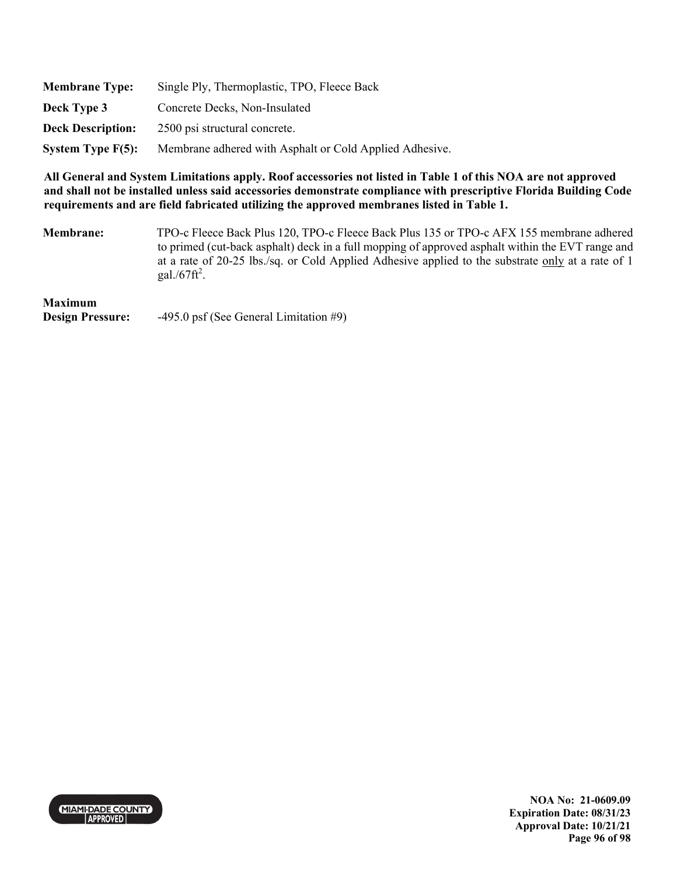| <b>Membrane Type:</b>    | Single Ply, Thermoplastic, TPO, Fleece Back             |
|--------------------------|---------------------------------------------------------|
| Deck Type 3              | Concrete Decks, Non-Insulated                           |
| <b>Deck Description:</b> | 2500 psi structural concrete.                           |
| System Type $F(5)$ :     | Membrane adhered with Asphalt or Cold Applied Adhesive. |

**Membrane:** TPO-c Fleece Back Plus 120, TPO-c Fleece Back Plus 135 or TPO-c AFX 155 membrane adhered to primed (cut-back asphalt) deck in a full mopping of approved asphalt within the EVT range and at a rate of 20-25 lbs./sq. or Cold Applied Adhesive applied to the substrate only at a rate of 1 gal./ $67$ ft<sup>2</sup>.

# **Maximum**

**Design Pressure:** -495.0 psf (See General Limitation #9)



**NOA No: 21-0609.09 Expiration Date: 08/31/23 Approval Date: 10/21/21 Page 96 of 98**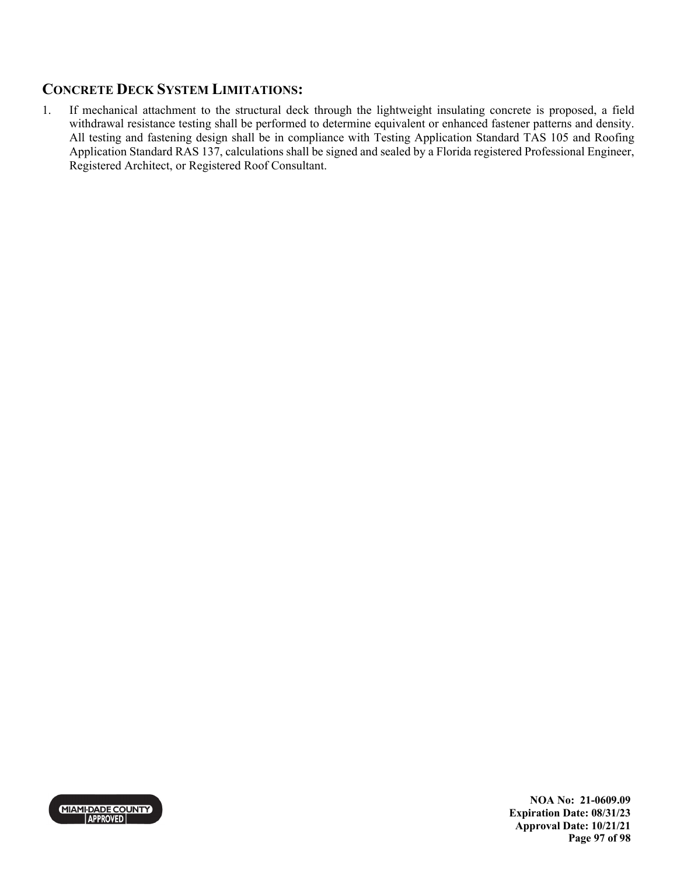# **CONCRETE DECK SYSTEM LIMITATIONS:**

1. If mechanical attachment to the structural deck through the lightweight insulating concrete is proposed, a field withdrawal resistance testing shall be performed to determine equivalent or enhanced fastener patterns and density. All testing and fastening design shall be in compliance with Testing Application Standard TAS 105 and Roofing Application Standard RAS 137, calculations shall be signed and sealed by a Florida registered Professional Engineer, Registered Architect, or Registered Roof Consultant.



**NOA No: 21-0609.09 Expiration Date: 08/31/23 Approval Date: 10/21/21 Page 97 of 98**